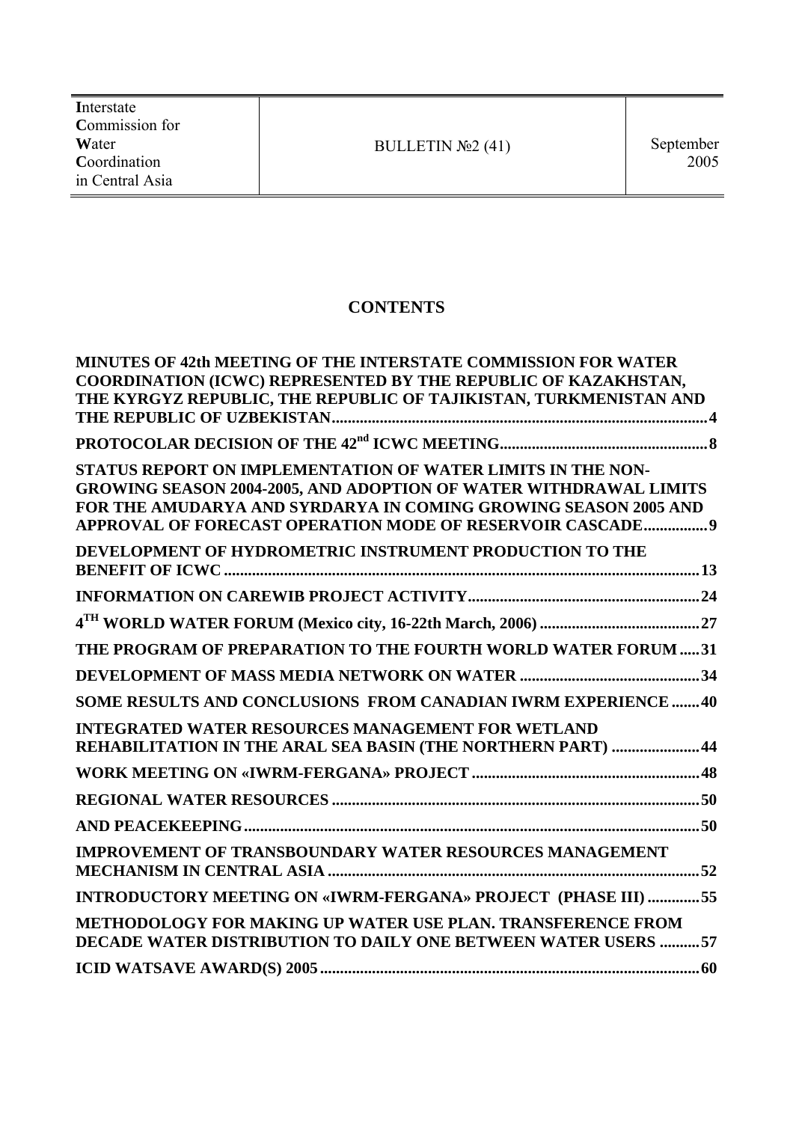**I**nterstate **C**ommission for **W**ater **C**oordination in Central Asia

# **CONTENTS**

| <b>MINUTES OF 42th MEETING OF THE INTERSTATE COMMISSION FOR WATER</b><br>COORDINATION (ICWC) REPRESENTED BY THE REPUBLIC OF KAZAKHSTAN,<br>THE KYRGYZ REPUBLIC, THE REPUBLIC OF TAJIKISTAN, TURKMENISTAN AND                                                      |  |
|-------------------------------------------------------------------------------------------------------------------------------------------------------------------------------------------------------------------------------------------------------------------|--|
|                                                                                                                                                                                                                                                                   |  |
| STATUS REPORT ON IMPLEMENTATION OF WATER LIMITS IN THE NON-<br>GROWING SEASON 2004-2005, AND ADOPTION OF WATER WITHDRAWAL LIMITS<br>FOR THE AMUDARYA AND SYRDARYA IN COMING GROWING SEASON 2005 AND<br>APPROVAL OF FORECAST OPERATION MODE OF RESERVOIR CASCADE 9 |  |
| DEVELOPMENT OF HYDROMETRIC INSTRUMENT PRODUCTION TO THE                                                                                                                                                                                                           |  |
|                                                                                                                                                                                                                                                                   |  |
|                                                                                                                                                                                                                                                                   |  |
| THE PROGRAM OF PREPARATION TO THE FOURTH WORLD WATER FORUM  31                                                                                                                                                                                                    |  |
|                                                                                                                                                                                                                                                                   |  |
| SOME RESULTS AND CONCLUSIONS FROM CANADIAN IWRM EXPERIENCE  40                                                                                                                                                                                                    |  |
| <b>INTEGRATED WATER RESOURCES MANAGEMENT FOR WETLAND</b><br>REHABILITATION IN THE ARAL SEA BASIN (THE NORTHERN PART)  44                                                                                                                                          |  |
|                                                                                                                                                                                                                                                                   |  |
|                                                                                                                                                                                                                                                                   |  |
|                                                                                                                                                                                                                                                                   |  |
| <b>IMPROVEMENT OF TRANSBOUNDARY WATER RESOURCES MANAGEMENT</b>                                                                                                                                                                                                    |  |
| INTRODUCTORY MEETING ON «IWRM-FERGANA» PROJECT (PHASE III) 55                                                                                                                                                                                                     |  |
| <b>METHODOLOGY FOR MAKING UP WATER USE PLAN. TRANSFERENCE FROM</b><br>DECADE WATER DISTRIBUTION TO DAILY ONE BETWEEN WATER USERS 57                                                                                                                               |  |
|                                                                                                                                                                                                                                                                   |  |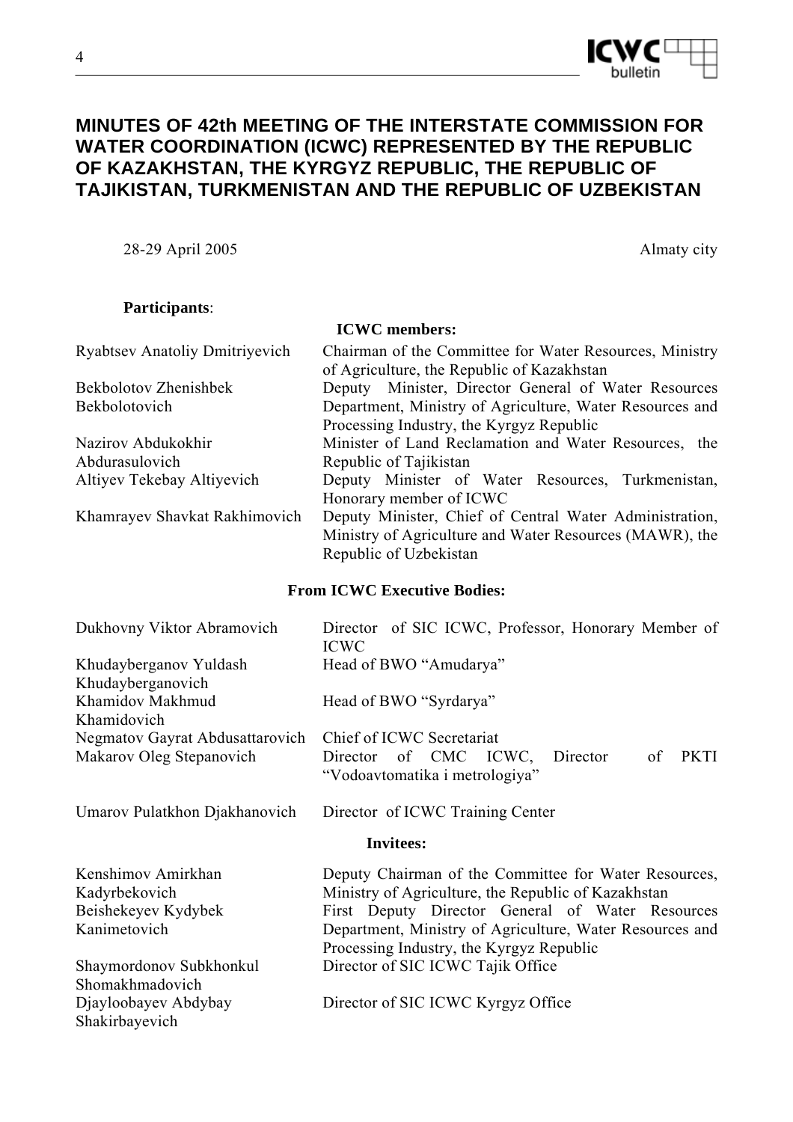**MINUTES OF 42th MEETING OF THE INTERSTATE COMMISSION FOR WATER COORDINATION (ICWC) REPRESENTED BY THE REPUBLIC OF KAZAKHSTAN, THE KYRGYZ REPUBLIC, THE REPUBLIC OF TAJIKISTAN, TURKMENISTAN AND THE REPUBLIC OF UZBEKISTAN** 

28-29 April 2005 Almaty city

# **Participants**:

**ICWC members:**  Ryabtsev Anatoliy Dmitriyevich Chairman of the Committee for Water Resources, Ministry of Agriculture, the Republic of Kazakhstan Bekbolotov Zhenishbek Bekbolotovich Deputy Minister, Director General of Water Resources Department, Ministry of Agriculture, Water Resources and Processing Industry, the Kyrgyz Republic Nazirov Abdukokhir Abdurasulovich Minister of Land Reclamation and Water Resources, the Republic of Tajikistan Altiyev Tekebay Altiyevich Deputy Minister of Water Resources, Turkmenistan, Honorary member of ICWC Khamrayev Shavkat Rakhimovich Deputy Minister, Chief of Central Water Administration, Ministry of Agriculture and Water Resources (MAWR), the

### **From ICWC Executive Bodies:**

| Dukhovny Viktor Abramovich                 | Director of SIC ICWC, Professor, Honorary Member of<br><b>ICWC</b>                       |  |  |
|--------------------------------------------|------------------------------------------------------------------------------------------|--|--|
| Khudayberganov Yuldash                     | Head of BWO "Amudarya"                                                                   |  |  |
| Khudayberganovich                          |                                                                                          |  |  |
| Khamidov Makhmud<br>Khamidovich            | Head of BWO "Syrdarya"                                                                   |  |  |
| Negmatov Gayrat Abdusattarovich            | Chief of ICWC Secretariat                                                                |  |  |
| Makarov Oleg Stepanovich                   | Director of CMC ICWC,<br><b>PKTI</b><br>Director<br>of<br>"Vodoavtomatika i metrologiya" |  |  |
| Umarov Pulatkhon Djakhanovich              | Director of ICWC Training Center                                                         |  |  |
| <b>Invitees:</b>                           |                                                                                          |  |  |
| Kenshimov Amirkhan                         | Deputy Chairman of the Committee for Water Resources,                                    |  |  |
| Kadyrbekovich                              | Ministry of Agriculture, the Republic of Kazakhstan                                      |  |  |
| Beishekeyev Kydybek                        | First Deputy Director General of Water Resources                                         |  |  |
| Kanimetovich                               | Department, Ministry of Agriculture, Water Resources and                                 |  |  |
|                                            | Processing Industry, the Kyrgyz Republic                                                 |  |  |
| Shaymordonov Subkhonkul<br>Shomakhmadovich | Director of SIC ICWC Tajik Office                                                        |  |  |
| Djayloobayev Abdybay<br>Shakirbayevich     | Director of SIC ICWC Kyrgyz Office                                                       |  |  |



Republic of Uzbekistan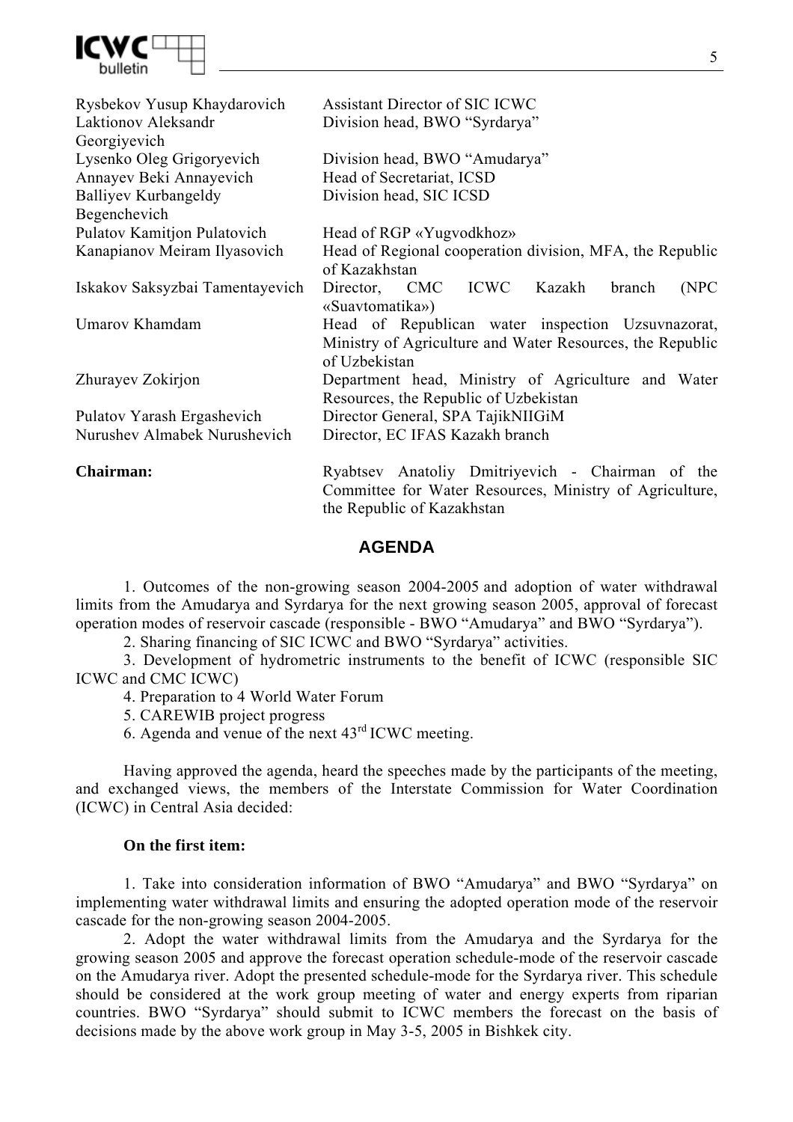

| Rysbekov Yusup Khaydarovich<br>Laktionov Aleksandr<br>Georgiyevich | Assistant Director of SIC ICWC<br>Division head, BWO "Syrdarya"                                                                           |
|--------------------------------------------------------------------|-------------------------------------------------------------------------------------------------------------------------------------------|
| Lysenko Oleg Grigoryevich                                          | Division head, BWO "Amudarya"                                                                                                             |
| Annayev Beki Annayevich                                            | Head of Secretariat, ICSD                                                                                                                 |
| Balliyev Kurbangeldy                                               | Division head, SIC ICSD                                                                                                                   |
| Begenchevich                                                       |                                                                                                                                           |
| <b>Pulatov Kamitjon Pulatovich</b>                                 | Head of RGP «Yugvodkhoz»                                                                                                                  |
| Kanapianov Meiram Ilyasovich                                       | Head of Regional cooperation division, MFA, the Republic<br>of Kazakhstan                                                                 |
| Iskakov Saksyzbai Tamentayevich                                    | Director, CMC ICWC Kazakh<br>(NPC)<br>branch<br>«Suavtomatika»)                                                                           |
| Umarov Khamdam                                                     | Head of Republican water inspection Uzsuvnazorat,<br>Ministry of Agriculture and Water Resources, the Republic<br>of Uzbekistan           |
| Zhurayev Zokirjon                                                  | Department head, Ministry of Agriculture and Water<br>Resources, the Republic of Uzbekistan                                               |
| Pulatov Yarash Ergashevich                                         | Director General, SPA TajikNIIGiM                                                                                                         |
| Nurushev Almabek Nurushevich                                       | Director, EC IFAS Kazakh branch                                                                                                           |
| Chairman:                                                          | Ryabtsev Anatoliy Dmitriyevich - Chairman of the<br>Committee for Water Resources, Ministry of Agriculture,<br>the Republic of Kazakhstan |

# **AGENDA**

1. Outcomes of the non-growing season 2004-2005 and adoption of water withdrawal limits from the Amudarya and Syrdarya for the next growing season 2005, approval of forecast operation modes of reservoir cascade (responsible - BWO "Amudarya" and BWO "Syrdarya").

2. Sharing financing of SIC ICWC and BWO "Syrdarya" activities.

3. Development of hydrometric instruments to the benefit of ICWC (responsible SIC ICWC and CMC ICWC)

4. Preparation to 4 World Water Forum

5. CAREWIB project progress

6. Agenda and venue of the next 43rd ICWC meeting.

Having approved the agenda, heard the speeches made by the participants of the meeting, and exchanged views, the members of the Interstate Commission for Water Coordination (ICWC) in Central Asia decided:

### **On the first item:**

1. Take into consideration information of BWO "Amudarya" and BWO "Syrdarya" on implementing water withdrawal limits and ensuring the adopted operation mode of the reservoir cascade for the non-growing season 2004-2005.

2. Adopt the water withdrawal limits from the Amudarya and the Syrdarya for the growing season 2005 and approve the forecast operation schedule-mode of the reservoir cascade on the Amudarya river. Adopt the presented schedule-mode for the Syrdarya river. This schedule should be considered at the work group meeting of water and energy experts from riparian countries. BWO "Syrdarya" should submit to ICWC members the forecast on the basis of decisions made by the above work group in May 3-5, 2005 in Bishkek city.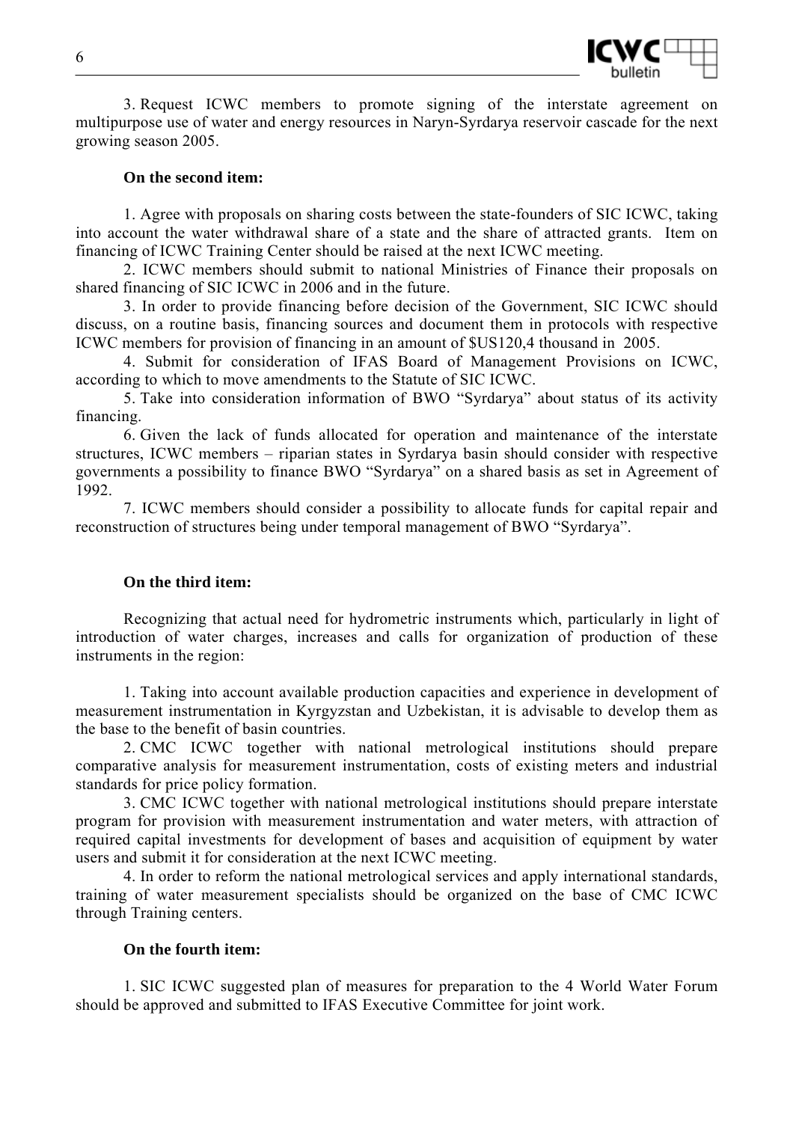

3. Request ICWC members to promote signing of the interstate agreement on multipurpose use of water and energy resources in Naryn-Syrdarya reservoir cascade for the next growing season 2005.

### **On the second item:**

1. Agree with proposals on sharing costs between the state-founders of SIC ICWC, taking into account the water withdrawal share of a state and the share of attracted grants. Item on financing of ICWC Training Center should be raised at the next ICWC meeting.

2. ICWC members should submit to national Ministries of Finance their proposals on shared financing of SIC ICWC in 2006 and in the future.

3. In order to provide financing before decision of the Government, SIC ICWC should discuss, on a routine basis, financing sources and document them in protocols with respective ICWC members for provision of financing in an amount of \$US120,4 thousand in 2005.

4. Submit for consideration of IFAS Board of Management Provisions on ICWC, according to which to move amendments to the Statute of SIC ICWC.

5. Take into consideration information of BWO "Syrdarya" about status of its activity financing.

6. Given the lack of funds allocated for operation and maintenance of the interstate structures, ICWC members – riparian states in Syrdarya basin should consider with respective governments a possibility to finance BWO "Syrdarya" on a shared basis as set in Agreement of 1992.

7. ICWC members should consider a possibility to allocate funds for capital repair and reconstruction of structures being under temporal management of BWO "Syrdarya".

### **On the third item:**

Recognizing that actual need for hydrometric instruments which, particularly in light of introduction of water charges, increases and calls for organization of production of these instruments in the region:

1. Taking into account available production capacities and experience in development of measurement instrumentation in Kyrgyzstan and Uzbekistan, it is advisable to develop them as the base to the benefit of basin countries.

2. CMC ICWC together with national metrological institutions should prepare comparative analysis for measurement instrumentation, costs of existing meters and industrial standards for price policy formation.

3. CMC ICWC together with national metrological institutions should prepare interstate program for provision with measurement instrumentation and water meters, with attraction of required capital investments for development of bases and acquisition of equipment by water users and submit it for consideration at the next ICWC meeting.

4. In order to reform the national metrological services and apply international standards, training of water measurement specialists should be organized on the base of CMC ICWC through Training centers.

### **On the fourth item:**

1. SIC ICWC suggested plan of measures for preparation to the 4 World Water Forum should be approved and submitted to IFAS Executive Committee for joint work.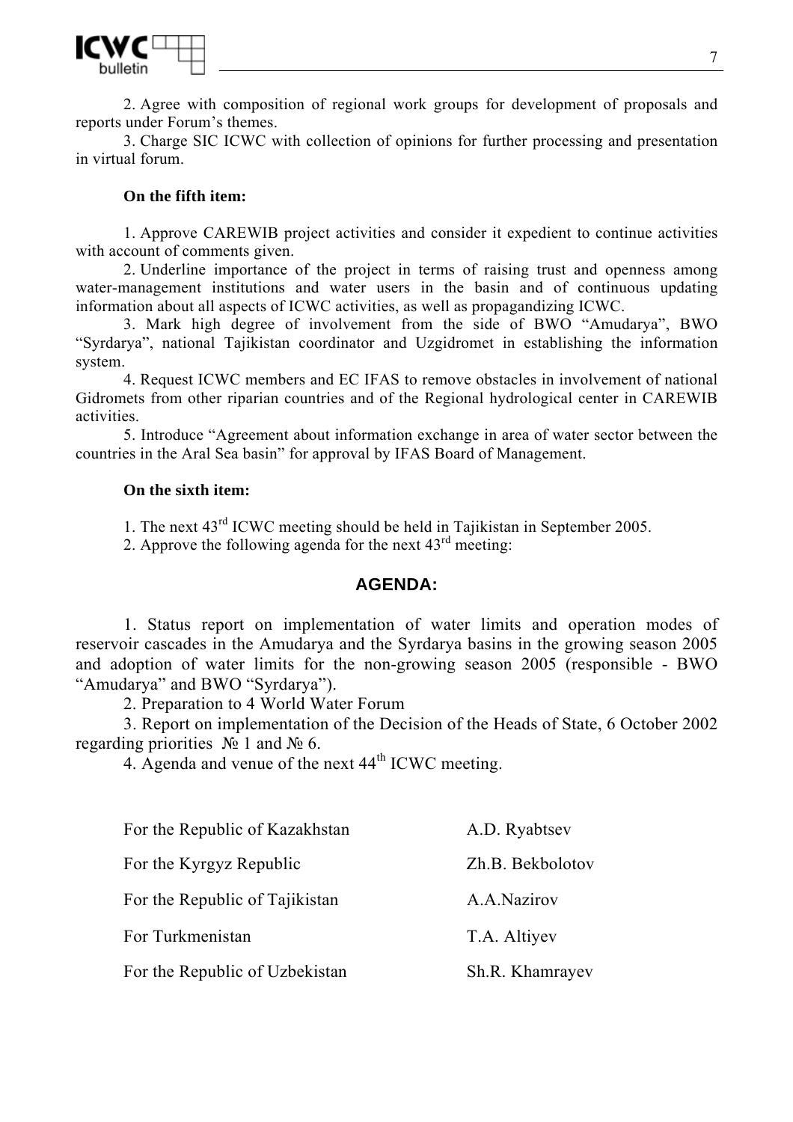

2. Agree with composition of regional work groups for development of proposals and reports under Forum's themes.

3. Charge SIC ICWC with collection of opinions for further processing and presentation in virtual forum.

### **On the fifth item:**

1. Approve CAREWIB project activities and consider it expedient to continue activities with account of comments given.

2. Underline importance of the project in terms of raising trust and openness among water-management institutions and water users in the basin and of continuous updating information about all aspects of ICWC activities, as well as propagandizing ICWC.

3. Mark high degree of involvement from the side of BWO "Amudarya", BWO "Syrdarya", national Tajikistan coordinator and Uzgidromet in establishing the information system.

4. Request ICWC members and EC IFAS to remove obstacles in involvement of national Gidromets from other riparian countries and of the Regional hydrological center in CAREWIB activities.

5. Introduce "Agreement about information exchange in area of water sector between the countries in the Aral Sea basin" for approval by IFAS Board of Management.

### **On the sixth item:**

1. The next 43rd ICWC meeting should be held in Tajikistan in September 2005.

2. Approve the following agenda for the next  $43<sup>rd</sup>$  meeting:

# **AGENDA:**

1. Status report on implementation of water limits and operation modes of reservoir cascades in the Amudarya and the Syrdarya basins in the growing season 2005 and adoption of water limits for the non-growing season 2005 (responsible - BWO "Amudarya" and BWO "Syrdarya").

2. Preparation to 4 World Water Forum

3. Report on implementation of the Decision of the Heads of State, 6 October 2002 regarding priorities  $\mathcal{N}_2$  1 and  $\mathcal{N}_2$  6.

4. Agenda and venue of the next 44<sup>th</sup> ICWC meeting.

| For the Republic of Kazakhstan | A.D. Ryabtsev    |
|--------------------------------|------------------|
| For the Kyrgyz Republic        | Zh.B. Bekbolotov |
| For the Republic of Tajikistan | A.A.Nazirov      |
| For Turkmenistan               | T.A. Altiyev     |
| For the Republic of Uzbekistan | Sh.R. Khamrayev  |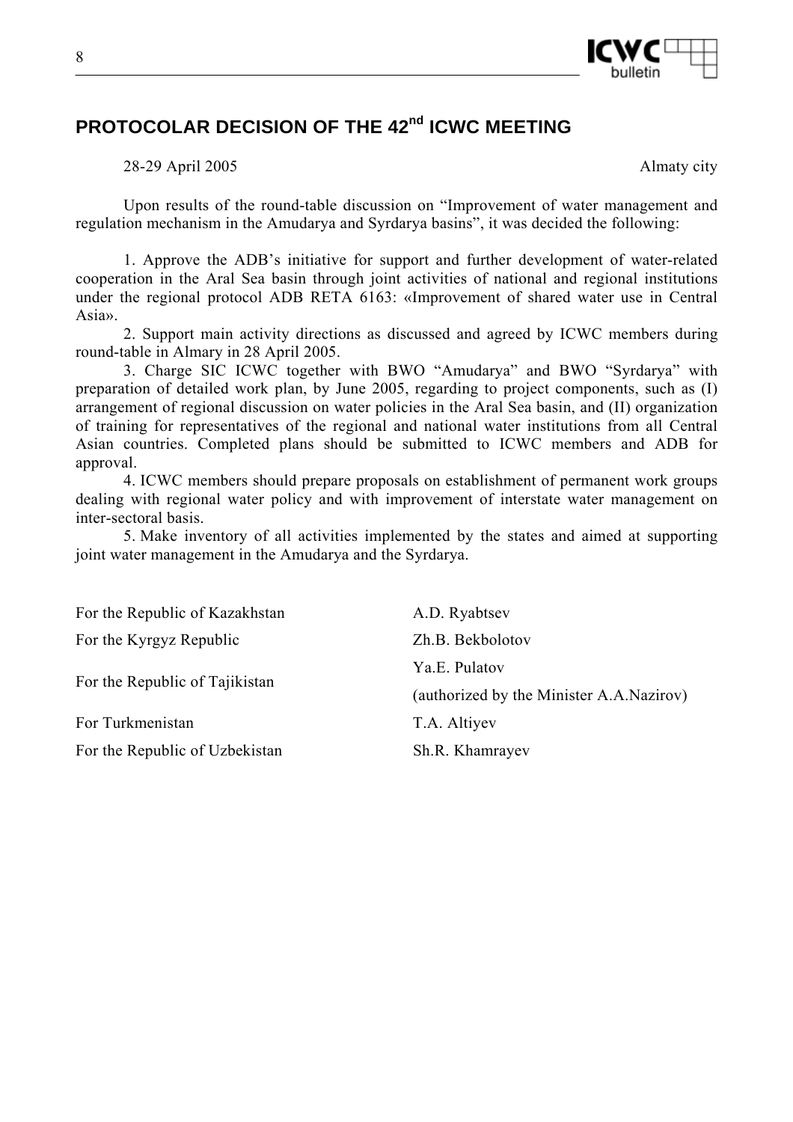

# **PROTOCOLAR DECISION OF THE 42nd ICWC MEETING**

28-29 April 2005 Almaty city

Upon results of the round-table discussion on "Improvement of water management and regulation mechanism in the Amudarya and Syrdarya basins", it was decided the following:

1. Approve the ADB's initiative for support and further development of water-related cooperation in the Aral Sea basin through joint activities of national and regional institutions under the regional protocol ADB RETA 6163: «Improvement of shared water use in Central Asia».

2. Support main activity directions as discussed and agreed by ICWC members during round-table in Almary in 28 April 2005.

3. Charge SIC ICWC together with BWO "Amudarya" and BWO "Syrdarya" with preparation of detailed work plan, by June 2005, regarding to project components, such as (I) arrangement of regional discussion on water policies in the Aral Sea basin, and (II) organization of training for representatives of the regional and national water institutions from all Central Asian countries. Completed plans should be submitted to ICWC members and ADB for approval.

4. ICWC members should prepare proposals on establishment of permanent work groups dealing with regional water policy and with improvement of interstate water management on inter-sectoral basis.

5. Make inventory of all activities implemented by the states and aimed at supporting joint water management in the Amudarya and the Syrdarya.

| For the Republic of Kazakhstan | A.D. Ryabtsev                            |
|--------------------------------|------------------------------------------|
| For the Kyrgyz Republic        | Zh.B. Bekbolotov                         |
|                                | Ya.E. Pulatov                            |
| For the Republic of Tajikistan | (authorized by the Minister A.A.Nazirov) |
| For Turkmenistan               | T.A. Altiyev                             |
| For the Republic of Uzbekistan | Sh.R. Khamrayev                          |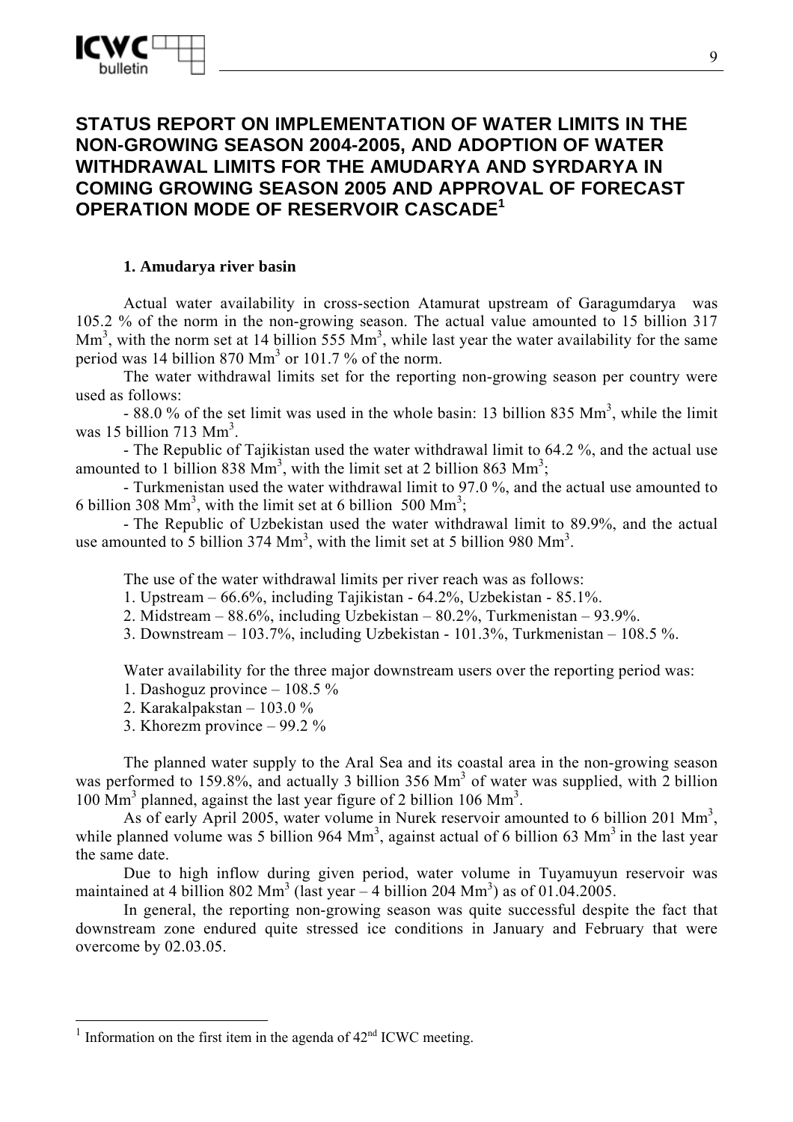# **STATUS REPORT ON IMPLEMENTATION OF WATER LIMITS IN THE NON-GROWING SEASON 2004-2005, AND ADOPTION OF WATER WITHDRAWAL LIMITS FOR THE AMUDARYA AND SYRDARYA IN COMING GROWING SEASON 2005 AND APPROVAL OF FORECAST OPERATION MODE OF RESERVOIR CASCADE<sup>1</sup>**

# **1. Amudarya river basin**

Actual water availability in cross-section Atamurat upstream of Garagumdarya was 105.2 % of the norm in the non-growing season. The actual value amounted to 15 billion 317  $\text{Mm}^3$ , with the norm set at 14 billion 555  $\text{Mm}^3$ , while last year the water availability for the same period was 14 billion  $870 \text{ Mm}^3$  or 101.7% of the norm.

The water withdrawal limits set for the reporting non-growing season per country were used as follows:

 $-88.0\%$  of the set limit was used in the whole basin: 13 billion 835 Mm<sup>3</sup>, while the limit was 15 billion 713  $\text{Mm}^3$ .

- The Republic of Tajikistan used the water withdrawal limit to 64.2 %, and the actual use amounted to 1 billion 838  $\text{Mm}^3$ , with the limit set at 2 billion 863  $\text{Mm}^3$ ;

- Turkmenistan used the water withdrawal limit to 97.0 %, and the actual use amounted to 6 billion 308 Mm<sup>3</sup>, with the limit set at 6 billion 500 Mm<sup>3</sup>;

- The Republic of Uzbekistan used the water withdrawal limit to 89.9%, and the actual use amounted to 5 billion 374  $\text{Mm}^3$ , with the limit set at 5 billion 980  $\text{Mm}^3$ .

The use of the water withdrawal limits per river reach was as follows:

- 1. Upstream 66.6%, including Tajikistan 64.2%, Uzbekistan 85.1%.
- 2. Midstream  $88.6\%$ , including Uzbekistan  $80.2\%$ , Turkmenistan  $93.9\%$ .
- 3. Downstream 103.7%, including Uzbekistan 101.3%, Turkmenistan 108.5 %.

Water availability for the three major downstream users over the reporting period was:

- 1. Dashoguz province 108.5 %
- 2. Karakalpakstan 103.0 %
- 3. Khorezm province 99.2 %

The planned water supply to the Aral Sea and its coastal area in the non-growing season was performed to 159.8%, and actually 3 billion 356 Mm<sup>3</sup> of water was supplied, with 2 billion 100 Mm<sup>3</sup> planned, against the last year figure of 2 billion 106 Mm<sup>3</sup>.

As of early April 2005, water volume in Nurek reservoir amounted to 6 billion 201  $\text{Mm}^3$ , while planned volume was 5 billion 964  $\text{Mm}^3$ , against actual of 6 billion 63  $\text{Mm}^3$  in the last year the same date.

Due to high inflow during given period, water volume in Tuyamuyun reservoir was maintained at 4 billion 802 Mm<sup>3</sup> (last year  $-$  4 billion 204 Mm<sup>3</sup>) as of 01.04.2005.

In general, the reporting non-growing season was quite successful despite the fact that downstream zone endured quite stressed ice conditions in January and February that were overcome by 02.03.05.

 $\overline{a}$ 

<sup>&</sup>lt;sup>1</sup> Information on the first item in the agenda of  $42<sup>nd</sup>$  ICWC meeting.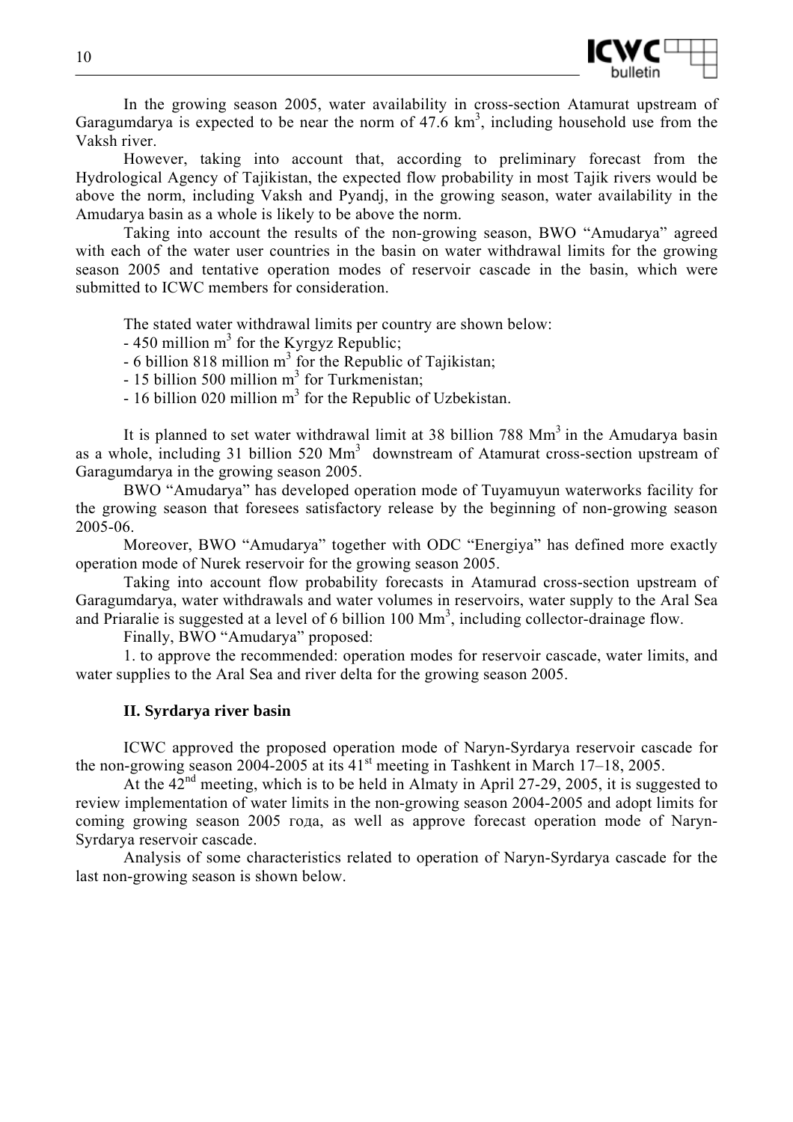

In the growing season 2005, water availability in cross-section Atamurat upstream of Garagumdarya is expected to be near the norm of  $47.6 \text{ km}^3$ , including household use from the Vaksh river.

However, taking into account that, according to preliminary forecast from the Hydrological Agency of Tajikistan, the expected flow probability in most Tajik rivers would be above the norm, including Vaksh and Pyandj, in the growing season, water availability in the Amudarya basin as a whole is likely to be above the norm.

Taking into account the results of the non-growing season, BWO "Amudarya" agreed with each of the water user countries in the basin on water withdrawal limits for the growing season 2005 and tentative operation modes of reservoir cascade in the basin, which were submitted to ICWC members for consideration.

The stated water withdrawal limits per country are shown below:

 $-450$  million m<sup>3</sup> for the Kyrgyz Republic;

 $-6$  billion 818 million m<sup>3</sup> for the Republic of Tajikistan;

- 15 billion 500 million  $m^3$  for Turkmenistan;

 $-16$  billion 020 million m<sup>3</sup> for the Republic of Uzbekistan.

It is planned to set water withdrawal limit at 38 billion 788 Mm<sup>3</sup> in the Amudarya basin as a whole, including 31 billion 520  $\text{Mm}^3$  downstream of Atamurat cross-section upstream of Garagumdarya in the growing season 2005.

BWO "Amudarya" has developed operation mode of Tuyamuyun waterworks facility for the growing season that foresees satisfactory release by the beginning of non-growing season 2005-06.

Moreover, BWO "Amudarya" together with ODC "Energiya" has defined more exactly operation mode of Nurek reservoir for the growing season 2005.

Taking into account flow probability forecasts in Atamurad cross-section upstream of Garagumdarya, water withdrawals and water volumes in reservoirs, water supply to the Aral Sea and Priaralie is suggested at a level of 6 billion  $100 \text{ Mm}^3$ , including collector-drainage flow.

Finally, BWO "Amudarya" proposed:

1. to approve the recommended: operation modes for reservoir cascade, water limits, and water supplies to the Aral Sea and river delta for the growing season 2005.

#### **II. Syrdarya river basin**

ICWC approved the proposed operation mode of Naryn-Syrdarya reservoir cascade for the non-growing season 2004-2005 at its  $41<sup>st</sup>$  meeting in Tashkent in March 17–18, 2005.

At the  $42<sup>nd</sup>$  meeting, which is to be held in Almaty in April 27-29, 2005, it is suggested to review implementation of water limits in the non-growing season 2004-2005 and adopt limits for coming growing season 2005 года, as well as approve forecast operation mode of Naryn-Syrdarya reservoir cascade.

Analysis of some characteristics related to operation of Naryn-Syrdarya cascade for the last non-growing season is shown below.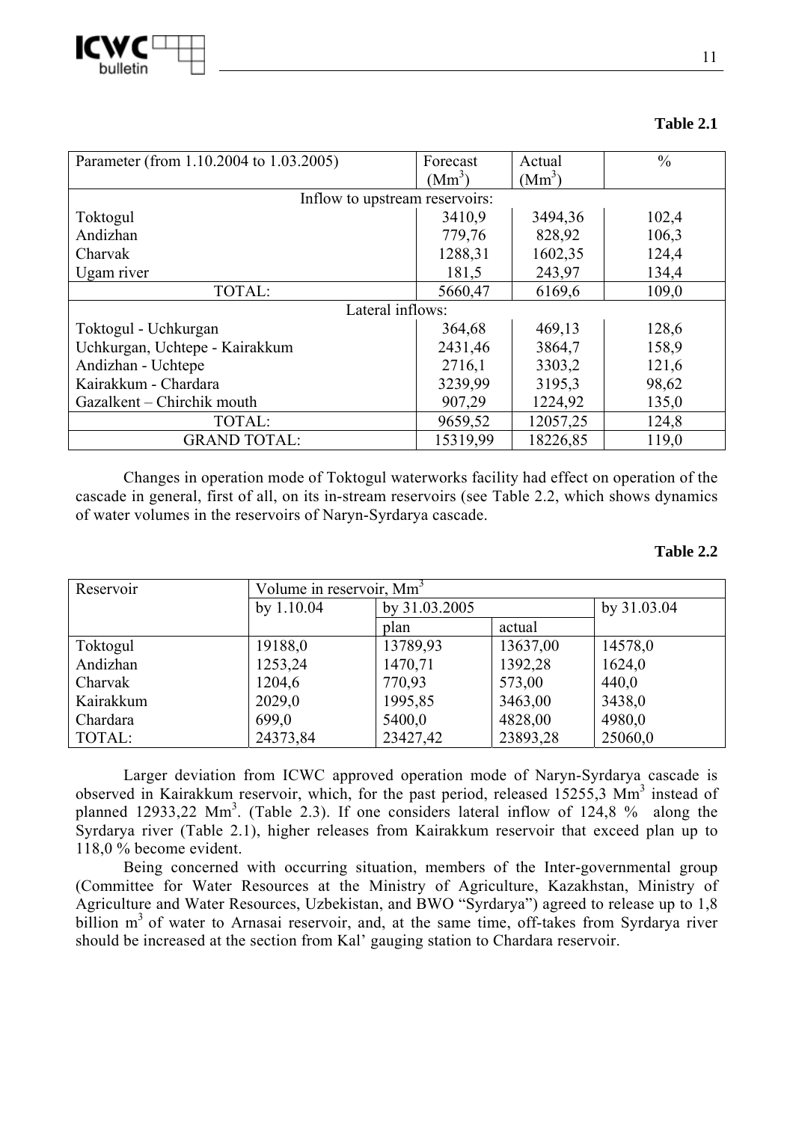

| Parameter (from 1.10.2004 to 1.03.2005) | Forecast<br>$(Mm^3)$ | Actual<br>$(Mm^3)$ | $\frac{0}{0}$ |  |
|-----------------------------------------|----------------------|--------------------|---------------|--|
|                                         |                      |                    |               |  |
| Inflow to upstream reservoirs:          |                      |                    |               |  |
| Toktogul                                | 3410,9               | 3494,36            | 102,4         |  |
| Andizhan                                | 779,76               | 828,92             | 106,3         |  |
| Charvak                                 | 1288,31              | 1602,35            | 124,4         |  |
| Ugam river                              | 181,5                | 243,97             | 134,4         |  |
| TOTAL:                                  | 5660,47              | 6169,6             | 109,0         |  |
|                                         | Lateral inflows:     |                    |               |  |
| Toktogul - Uchkurgan                    | 364,68               | 469,13             | 128,6         |  |
| Uchkurgan, Uchtepe - Kairakkum          | 2431,46              | 3864,7             | 158,9         |  |
| Andizhan - Uchtepe                      | 2716,1               | 3303,2             | 121,6         |  |
| Kairakkum - Chardara                    | 3239,99              | 3195,3             | 98,62         |  |
| Gazalkent – Chirchik mouth              | 907,29               | 1224,92            | 135,0         |  |
| TOTAL:                                  | 9659,52              | 12057,25           | 124,8         |  |
| <b>GRAND TOTAL:</b>                     | 15319,99             | 18226,85           | 119,0         |  |

**Table 2.1** 

Changes in operation mode of Toktogul waterworks facility had effect on operation of the cascade in general, first of all, on its in-stream reservoirs (see Table 2.2, which shows dynamics of water volumes in the reservoirs of Naryn-Syrdarya cascade.

### **Table 2.2**

| Reservoir | Volume in reservoir, Mm <sup>3</sup> |               |          |             |
|-----------|--------------------------------------|---------------|----------|-------------|
|           | by $1.10.04$                         | by 31.03.2005 |          | by 31.03.04 |
|           |                                      | plan          | actual   |             |
| Toktogul  | 19188,0                              | 13789,93      | 13637,00 | 14578,0     |
| Andizhan  | 1253,24                              | 1470,71       | 1392,28  | 1624,0      |
| Charvak   | 1204,6                               | 770,93        | 573,00   | 440,0       |
| Kairakkum | 2029,0                               | 1995,85       | 3463,00  | 3438,0      |
| Chardara  | 699,0                                | 5400,0        | 4828,00  | 4980,0      |
| TOTAL:    | 24373,84                             | 23427,42      | 23893,28 | 25060,0     |

Larger deviation from ICWC approved operation mode of Naryn-Syrdarya cascade is observed in Kairakkum reservoir, which, for the past period, released 15255,3 Mm<sup>3</sup> instead of planned 12933,22 Mm<sup>3</sup>. (Table 2.3). If one considers lateral inflow of 124,8 % along the Syrdarya river (Table 2.1), higher releases from Kairakkum reservoir that exceed plan up to 118,0 % become evident.

Being concerned with occurring situation, members of the Inter-governmental group (Committee for Water Resources at the Ministry of Agriculture, Kazakhstan, Ministry of Agriculture and Water Resources, Uzbekistan, and BWO "Syrdarya") agreed to release up to 1,8 billion  $m<sup>3</sup>$  of water to Arnasai reservoir, and, at the same time, off-takes from Syrdarya river should be increased at the section from Kal' gauging station to Chardara reservoir.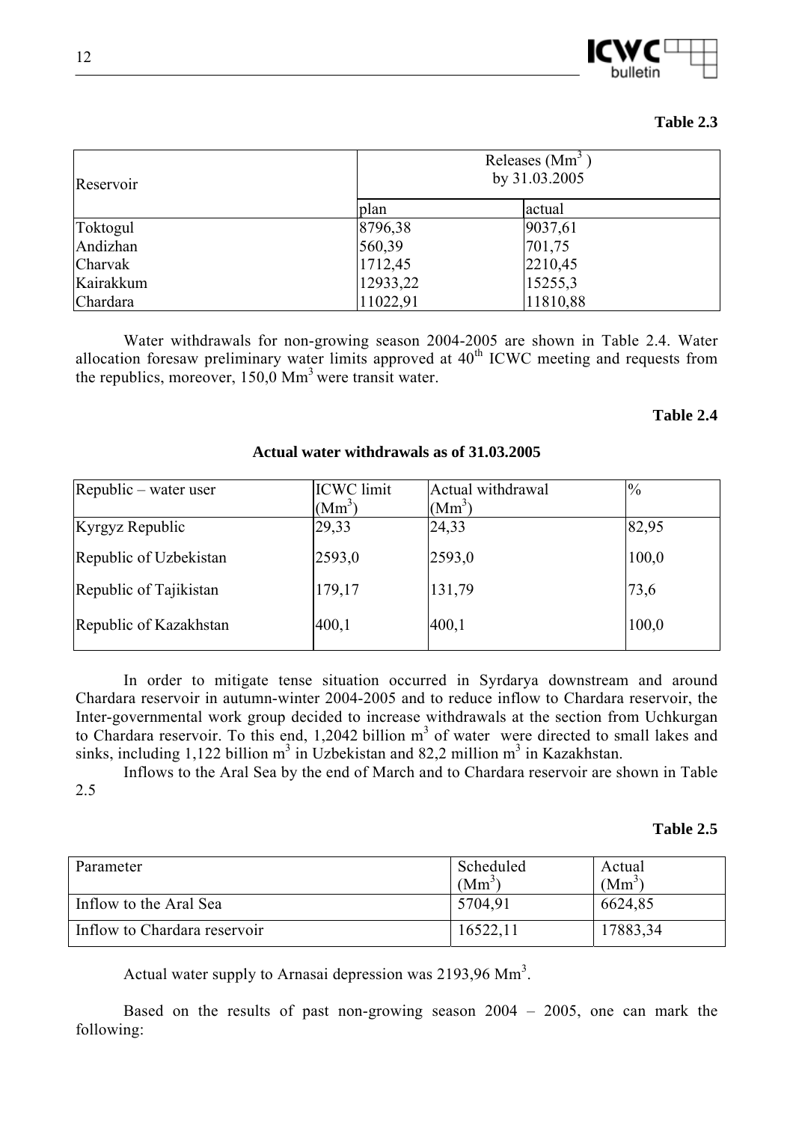

### **Table 2.3**

| Reservoir | Releases (Mm <sup>3</sup><br>by 31.03.2005 |          |  |
|-----------|--------------------------------------------|----------|--|
|           | plan                                       | actual   |  |
| Toktogul  | 8796,38                                    | 9037,61  |  |
| Andizhan  | 560,39                                     | 701,75   |  |
| Charvak   | 1712,45                                    | 2210,45  |  |
| Kairakkum | 12933,22                                   | 15255,3  |  |
| Chardara  | 11022,91                                   | 11810,88 |  |

Water withdrawals for non-growing season 2004-2005 are shown in Table 2.4. Water allocation foresaw preliminary water limits approved at  $40<sup>th</sup>$  ICWC meeting and requests from the republics, moreover,  $150.0 \text{ Mm}^3$  were transit water.

#### **Table 2.4**

| Republic – water user  | <b>ICWC</b> limit | Actual withdrawal | $\frac{10}{6}$ |
|------------------------|-------------------|-------------------|----------------|
|                        | $(Mm^3)$          | $(Mm^3)$          |                |
| Kyrgyz Republic        | 29,33             | 24,33             | 82,95          |
| Republic of Uzbekistan | 2593,0            | 2593,0            | 100,0          |
| Republic of Tajikistan | 179,17            | 131,79            | 73,6           |
| Republic of Kazakhstan | 400,1             | 400,1             | 100,0          |

#### **Actual water withdrawals as of 31.03.2005**

In order to mitigate tense situation occurred in Syrdarya downstream and around Chardara reservoir in autumn-winter 2004-2005 and to reduce inflow to Chardara reservoir, the Inter-governmental work group decided to increase withdrawals at the section from Uchkurgan to Chardara reservoir. To this end, 1,2042 billion  $m<sup>3</sup>$  of water were directed to small lakes and sinks, including 1,122 billion  $m^3$  in Uzbekistan and 82,2 million  $m^3$  in Kazakhstan.

Inflows to the Aral Sea by the end of March and to Chardara reservoir are shown in Table 2.5

#### **Table 2.5**

| Parameter                    | Scheduled<br>$(Mm^3)$ | Actual<br>(Mm <sup>3</sup> ) |
|------------------------------|-----------------------|------------------------------|
| Inflow to the Aral Sea       | 5704,91               | 6624,85                      |
| Inflow to Chardara reservoir | 16522,11              | 17883,34                     |

Actual water supply to Arnasai depression was 2193,96  $\text{Mm}^3$ .

Based on the results of past non-growing season 2004 – 2005, one can mark the following: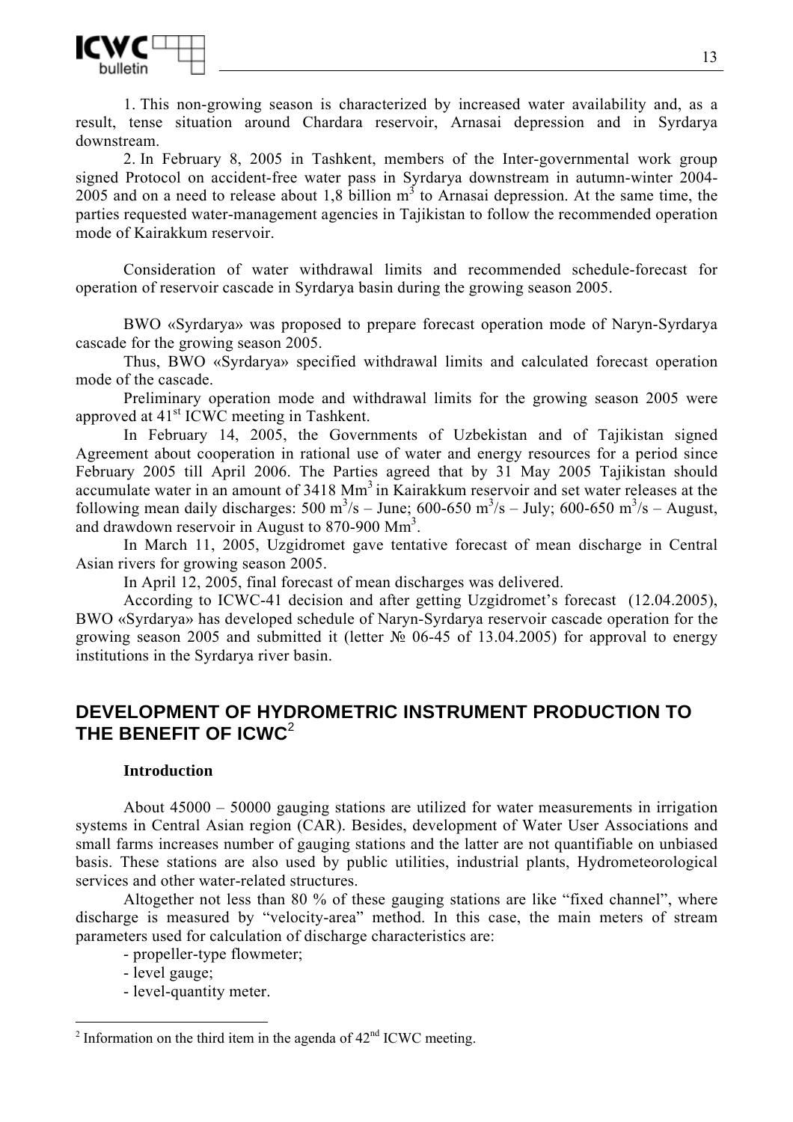

1. This non-growing season is characterized by increased water availability and, as a result, tense situation around Chardara reservoir, Arnasai depression and in Syrdarya downstream.

2. In February 8, 2005 in Tashkent, members of the Inter-governmental work group signed Protocol on accident-free water pass in Syrdarya downstream in autumn-winter 2004- 2005 and on a need to release about 1,8 billion  $m^3$  to Arnasai depression. At the same time, the parties requested water-management agencies in Tajikistan to follow the recommended operation mode of Kairakkum reservoir.

Consideration of water withdrawal limits and recommended schedule-forecast for operation of reservoir cascade in Syrdarya basin during the growing season 2005.

BWO «Syrdarya» was proposed to prepare forecast operation mode of Naryn-Syrdarya cascade for the growing season 2005.

Thus, BWO «Syrdarya» specified withdrawal limits and calculated forecast operation mode of the cascade.

Preliminary operation mode and withdrawal limits for the growing season 2005 were approved at 41st ICWC meeting in Tashkent.

In February 14, 2005, the Governments of Uzbekistan and of Tajikistan signed Agreement about cooperation in rational use of water and energy resources for a period since February 2005 till April 2006. The Parties agreed that by 31 May 2005 Tajikistan should accumulate water in an amount of 3418 Mm<sup>3</sup> in Kairakkum reservoir and set water releases at the following mean daily discharges: 500 m<sup>3</sup>/s – June; 600-650 m<sup>3</sup>/s – July; 600-650 m<sup>3</sup>/s – August, and drawdown reservoir in August to 870-900 Mm<sup>3</sup>.

In March 11, 2005, Uzgidromet gave tentative forecast of mean discharge in Central Asian rivers for growing season 2005.

In April 12, 2005, final forecast of mean discharges was delivered.

According to ICWC-41 decision and after getting Uzgidromet's forecast (12.04.2005), BWO «Syrdarya» has developed schedule of Naryn-Syrdarya reservoir cascade operation for the growing season 2005 and submitted it (letter № 06-45 of 13.04.2005) for approval to energy institutions in the Syrdarya river basin.

# **DEVELOPMENT OF HYDROMETRIC INSTRUMENT PRODUCTION TO THE BENEFIT OF ICWC**<sup>2</sup>

#### **Introduction**

About 45000 – 50000 gauging stations are utilized for water measurements in irrigation systems in Central Asian region (CAR). Besides, development of Water User Associations and small farms increases number of gauging stations and the latter are not quantifiable on unbiased basis. These stations are also used by public utilities, industrial plants, Hydrometeorological services and other water-related structures.

Altogether not less than 80 % of these gauging stations are like "fixed channel", where discharge is measured by "velocity-area" method. In this case, the main meters of stream parameters used for calculation of discharge characteristics are:

- propeller-type flowmeter;

- level gauge;

 $\overline{a}$ 

- level-quantity meter.

<sup>&</sup>lt;sup>2</sup> Information on the third item in the agenda of  $42<sup>nd</sup>$  ICWC meeting.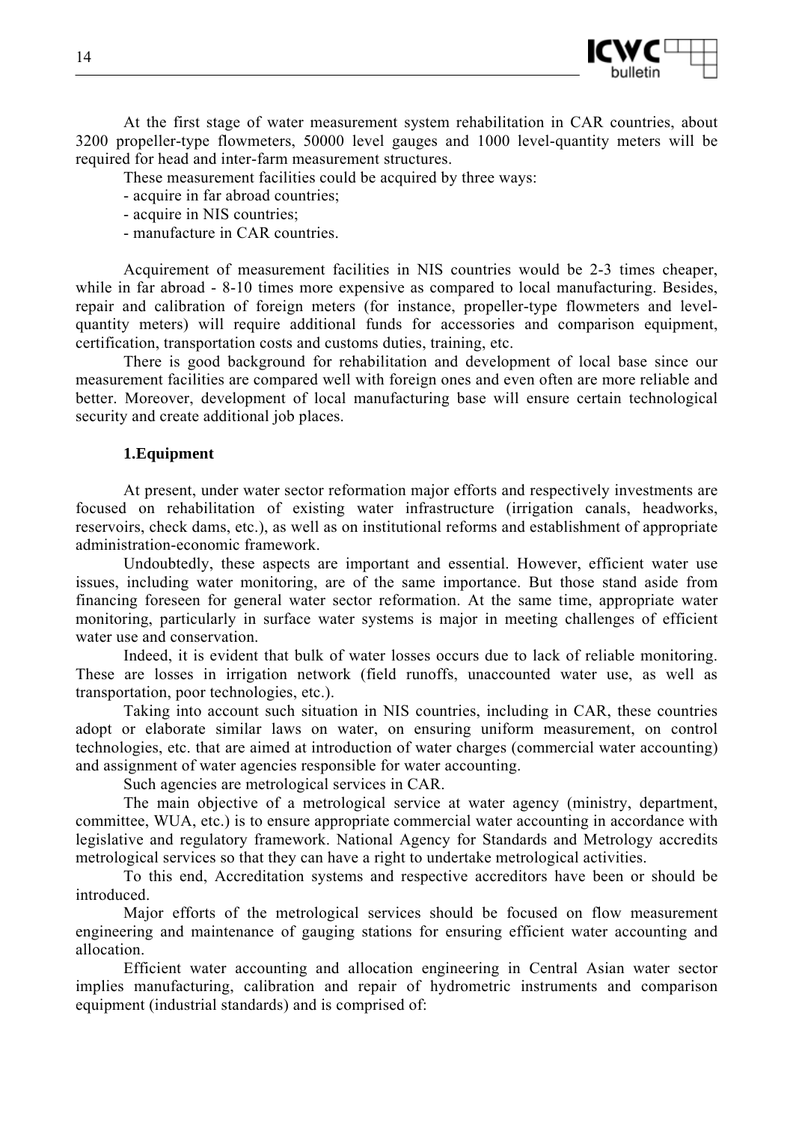

At the first stage of water measurement system rehabilitation in CAR countries, about 3200 propeller-type flowmeters, 50000 level gauges and 1000 level-quantity meters will be required for head and inter-farm measurement structures.

These measurement facilities could be acquired by three ways:

- acquire in far abroad countries;
- acquire in NIS countries;
- manufacture in CAR countries.

Acquirement of measurement facilities in NIS countries would be 2-3 times cheaper, while in far abroad - 8-10 times more expensive as compared to local manufacturing. Besides, repair and calibration of foreign meters (for instance, propeller-type flowmeters and levelquantity meters) will require additional funds for accessories and comparison equipment, certification, transportation costs and customs duties, training, etc.

There is good background for rehabilitation and development of local base since our measurement facilities are compared well with foreign ones and even often are more reliable and better. Moreover, development of local manufacturing base will ensure certain technological security and create additional job places.

### **1.Equipment**

At present, under water sector reformation major efforts and respectively investments are focused on rehabilitation of existing water infrastructure (irrigation canals, headworks, reservoirs, check dams, etc.), as well as on institutional reforms and establishment of appropriate administration-economic framework.

Undoubtedly, these aspects are important and essential. However, efficient water use issues, including water monitoring, are of the same importance. But those stand aside from financing foreseen for general water sector reformation. At the same time, appropriate water monitoring, particularly in surface water systems is major in meeting challenges of efficient water use and conservation.

Indeed, it is evident that bulk of water losses occurs due to lack of reliable monitoring. These are losses in irrigation network (field runoffs, unaccounted water use, as well as transportation, poor technologies, etc.).

Taking into account such situation in NIS countries, including in CAR, these countries adopt or elaborate similar laws on water, on ensuring uniform measurement, on control technologies, etc. that are aimed at introduction of water charges (commercial water accounting) and assignment of water agencies responsible for water accounting.

Such agencies are metrological services in CAR.

The main objective of a metrological service at water agency (ministry, department, committee, WUA, etc.) is to ensure appropriate commercial water accounting in accordance with legislative and regulatory framework. National Agency for Standards and Metrology accredits metrological services so that they can have a right to undertake metrological activities.

To this end, Accreditation systems and respective accreditors have been or should be introduced.

Major efforts of the metrological services should be focused on flow measurement engineering and maintenance of gauging stations for ensuring efficient water accounting and allocation.

Efficient water accounting and allocation engineering in Central Asian water sector implies manufacturing, calibration and repair of hydrometric instruments and comparison equipment (industrial standards) and is comprised of: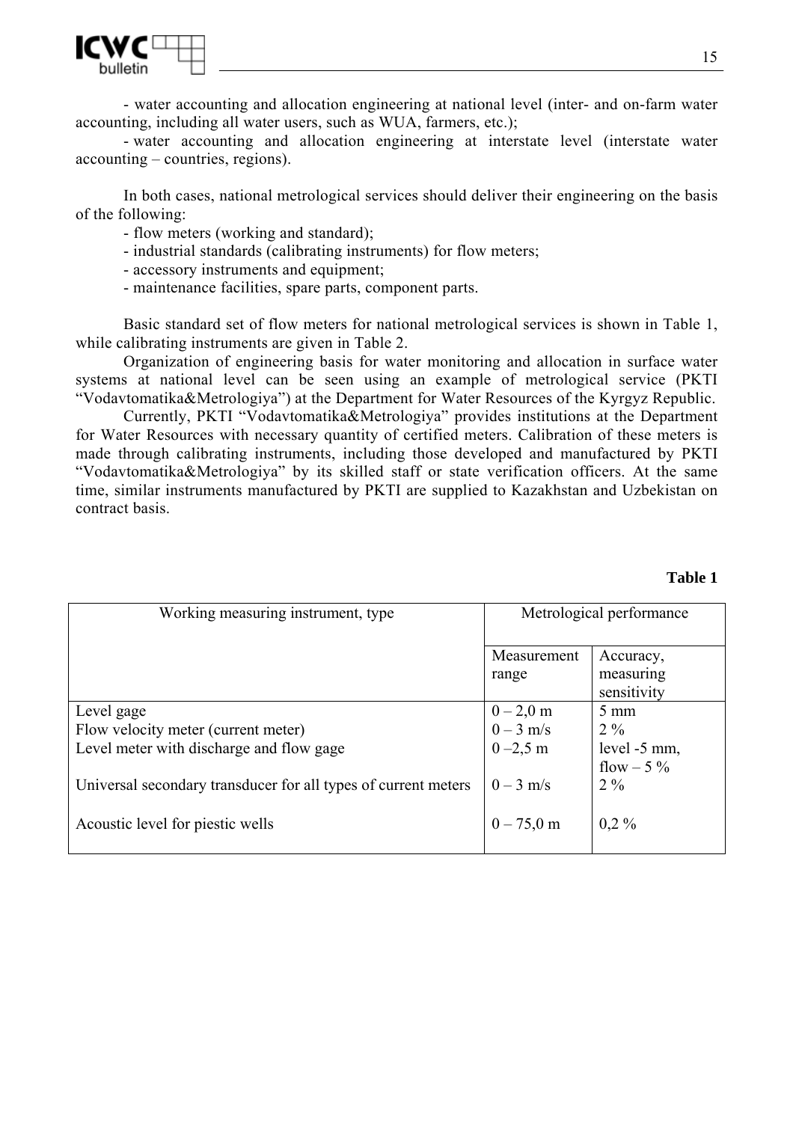

- water accounting and allocation engineering at national level (inter- and on-farm water accounting, including all water users, such as WUA, farmers, etc.);

- water accounting and allocation engineering at interstate level (interstate water accounting – countries, regions).

In both cases, national metrological services should deliver their engineering on the basis of the following:

- flow meters (working and standard);
- industrial standards (calibrating instruments) for flow meters;
- accessory instruments and equipment;
- maintenance facilities, spare parts, component parts.

Basic standard set of flow meters for national metrological services is shown in Table 1, while calibrating instruments are given in Table 2.

Organization of engineering basis for water monitoring and allocation in surface water systems at national level can be seen using an example of metrological service (PKTI "Vodavtomatika&Metrologiya") at the Department for Water Resources of the Kyrgyz Republic.

Currently, PKTI "Vodavtomatika&Metrologiya" provides institutions at the Department for Water Resources with necessary quantity of certified meters. Calibration of these meters is made through calibrating instruments, including those developed and manufactured by PKTI "Vodavtomatika&Metrologiya" by its skilled staff or state verification officers. At the same time, similar instruments manufactured by PKTI are supplied to Kazakhstan and Uzbekistan on contract basis.

| Working measuring instrument, type                             | Metrological performance |                |
|----------------------------------------------------------------|--------------------------|----------------|
|                                                                | Measurement              | Accuracy,      |
|                                                                | range                    | measuring      |
|                                                                |                          | sensitivity    |
| Level gage                                                     | $0 - 2, 0$ m             | $5 \text{ mm}$ |
| Flow velocity meter (current meter)                            | $0 - 3$ m/s              | $2\%$          |
| Level meter with discharge and flow gage                       | $0 - 2.5$ m              | level -5 mm,   |
|                                                                |                          | flow $-5\%$    |
| Universal secondary transducer for all types of current meters | $0 - 3$ m/s              | $2\%$          |
|                                                                |                          |                |
| Acoustic level for piestic wells                               | $0 - 75,0 \text{ m}$     | $0,2\%$        |
|                                                                |                          |                |

#### **Table 1**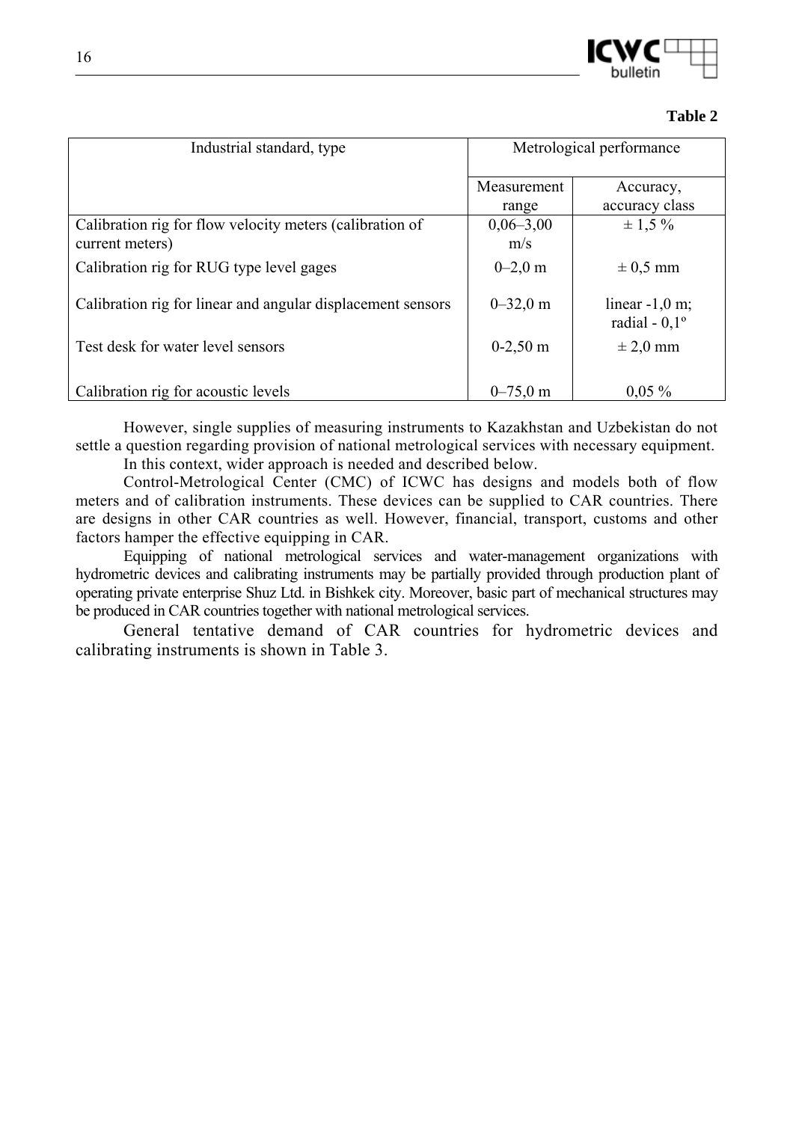

| Industrial standard, type                                   | Metrological performance |                                            |
|-------------------------------------------------------------|--------------------------|--------------------------------------------|
|                                                             | Measurement              | Accuracy,                                  |
|                                                             | range                    | accuracy class                             |
| Calibration rig for flow velocity meters (calibration of    | $0,06-3,00$              | $\pm$ 1.5 %                                |
| current meters)                                             | m/s                      |                                            |
| Calibration rig for RUG type level gages                    | $0 - 2.0$ m              | $\pm$ 0.5 mm                               |
| Calibration rig for linear and angular displacement sensors | $0 - 32.0$ m             | linear $-1,0$ m;<br>radial - $0,1^{\circ}$ |
| Test desk for water level sensors                           | $0-2,50 \text{ m}$       | $\pm 2.0$ mm                               |
| Calibration rig for acoustic levels                         | $0 - 75.0$ m             | $0.05\%$                                   |

However, single supplies of measuring instruments to Kazakhstan and Uzbekistan do not settle a question regarding provision of national metrological services with necessary equipment.

In this context, wider approach is needed and described below.

Control-Metrological Center (CMC) of ICWC has designs and models both of flow meters and of calibration instruments. These devices can be supplied to CAR countries. There are designs in other CAR countries as well. However, financial, transport, customs and other factors hamper the effective equipping in CAR.

Equipping of national metrological services and water-management organizations with hydrometric devices and calibrating instruments may be partially provided through production plant of operating private enterprise Shuz Ltd. in Bishkek city. Moreover, basic part of mechanical structures may be produced in CAR countries together with national metrological services.

General tentative demand of CAR countries for hydrometric devices and calibrating instruments is shown in Table 3.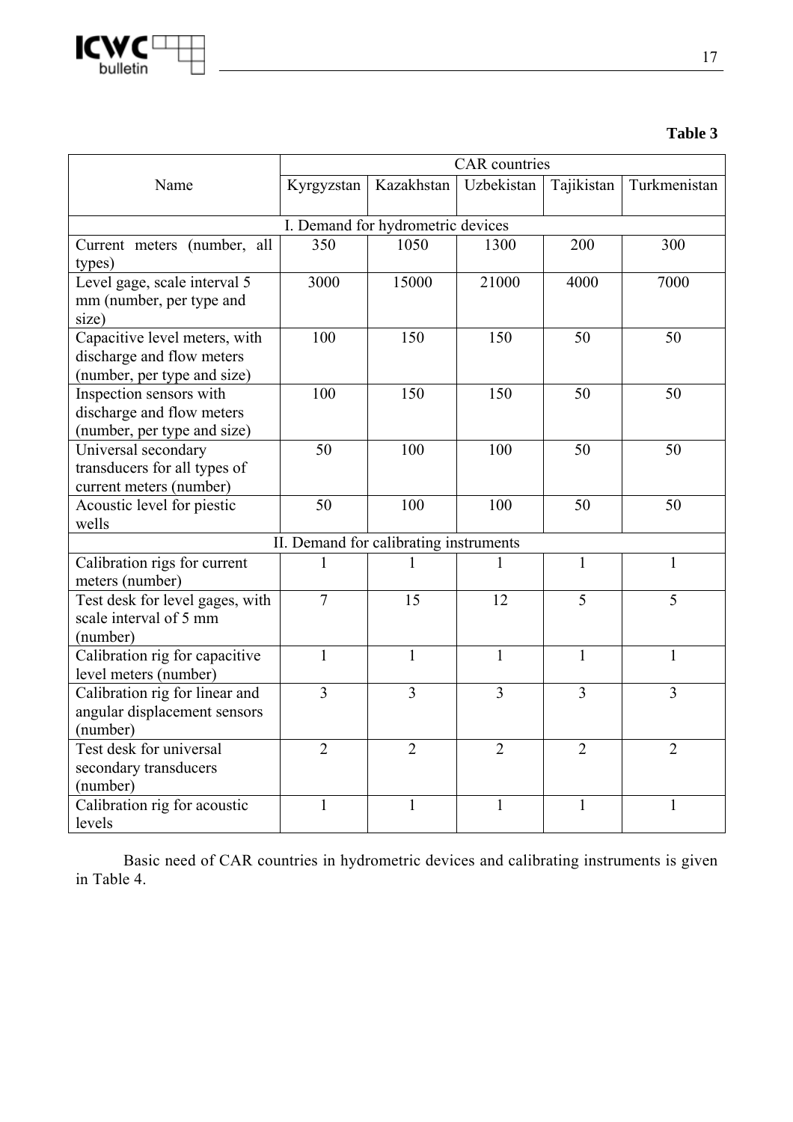

# **Table 3**

|                                 | <b>CAR</b> countries |                                        |                |                |                |  |
|---------------------------------|----------------------|----------------------------------------|----------------|----------------|----------------|--|
| Name                            | Kyrgyzstan           | Kazakhstan                             | Uzbekistan     | Tajikistan     | Turkmenistan   |  |
|                                 |                      |                                        |                |                |                |  |
|                                 |                      | I. Demand for hydrometric devices      |                |                |                |  |
| Current meters (number, all     | 350                  | 1050                                   | 1300           | 200            | 300            |  |
| types)                          |                      |                                        |                |                |                |  |
| Level gage, scale interval 5    | 3000                 | 15000                                  | 21000          | 4000           | 7000           |  |
| mm (number, per type and        |                      |                                        |                |                |                |  |
| size)                           |                      |                                        |                |                |                |  |
| Capacitive level meters, with   | 100                  | 150                                    | 150            | 50             | 50             |  |
| discharge and flow meters       |                      |                                        |                |                |                |  |
| (number, per type and size)     |                      |                                        |                |                |                |  |
| Inspection sensors with         | 100                  | 150                                    | 150            | 50             | 50             |  |
| discharge and flow meters       |                      |                                        |                |                |                |  |
| (number, per type and size)     |                      |                                        |                |                |                |  |
| Universal secondary             | 50                   | 100                                    | 100            | 50             | 50             |  |
| transducers for all types of    |                      |                                        |                |                |                |  |
| current meters (number)         |                      |                                        |                |                |                |  |
| Acoustic level for piestic      | 50                   | 100                                    | 100            | 50             | 50             |  |
| wells                           |                      |                                        |                |                |                |  |
|                                 |                      | II. Demand for calibrating instruments |                |                |                |  |
| Calibration rigs for current    | 1                    |                                        | 1              | 1              | $\mathbf{1}$   |  |
| meters (number)                 |                      |                                        |                |                |                |  |
| Test desk for level gages, with | $\overline{7}$       | 15                                     | 12             | 5              | 5              |  |
| scale interval of 5 mm          |                      |                                        |                |                |                |  |
| (number)                        |                      |                                        |                |                |                |  |
| Calibration rig for capacitive  | 1                    | 1                                      | 1              | $\mathbf{1}$   | 1              |  |
| level meters (number)           |                      |                                        |                |                |                |  |
| Calibration rig for linear and  | $\overline{3}$       | $\overline{3}$                         | $\overline{3}$ | $\overline{3}$ | $\overline{3}$ |  |
| angular displacement sensors    |                      |                                        |                |                |                |  |
| (number)                        |                      |                                        |                |                |                |  |
| Test desk for universal         | $\overline{2}$       | $\overline{2}$                         | $\overline{2}$ | $\overline{2}$ | $\overline{2}$ |  |
| secondary transducers           |                      |                                        |                |                |                |  |
| (number)                        |                      |                                        |                |                |                |  |
| Calibration rig for acoustic    | $\mathbf{1}$         | $\mathbf{1}$                           | $\mathbf{1}$   | 1              | $\mathbf{1}$   |  |
| levels                          |                      |                                        |                |                |                |  |

Basic need of CAR countries in hydrometric devices and calibrating instruments is given in Table 4.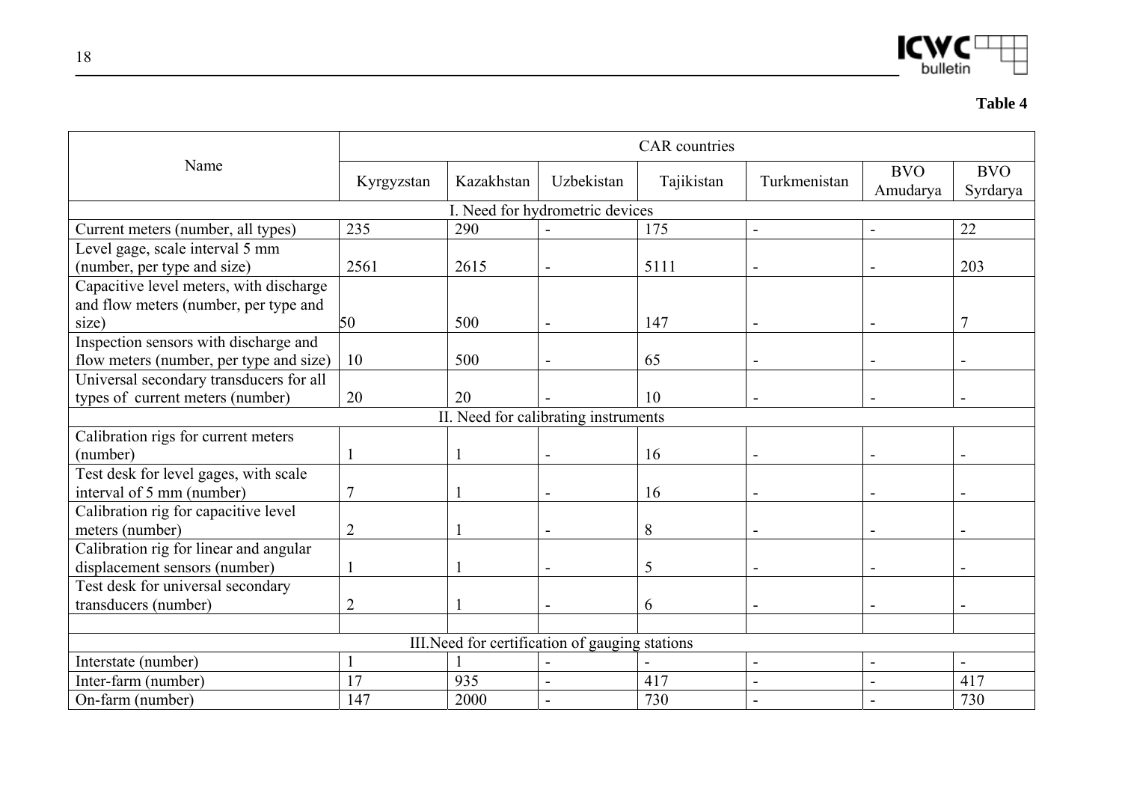$ICMC^{\text{L}}$ 

|                                         | <b>CAR</b> countries |            |                                                 |            |                |                        |                        |  |  |
|-----------------------------------------|----------------------|------------|-------------------------------------------------|------------|----------------|------------------------|------------------------|--|--|
| Name                                    | Kyrgyzstan           | Kazakhstan | Uzbekistan                                      | Tajikistan | Turkmenistan   | <b>BVO</b><br>Amudarya | <b>BVO</b><br>Syrdarya |  |  |
|                                         |                      |            | I. Need for hydrometric devices                 |            |                |                        |                        |  |  |
| Current meters (number, all types)      | 235                  | 290        |                                                 | 175        |                |                        | 22                     |  |  |
| Level gage, scale interval 5 mm         |                      |            |                                                 |            |                |                        |                        |  |  |
| (number, per type and size)             | 2561                 | 2615       |                                                 | 5111       |                |                        | 203                    |  |  |
| Capacitive level meters, with discharge |                      |            |                                                 |            |                |                        |                        |  |  |
| and flow meters (number, per type and   |                      |            |                                                 |            |                |                        |                        |  |  |
| size)                                   | 50                   | 500        |                                                 | 147        |                |                        |                        |  |  |
| Inspection sensors with discharge and   |                      |            |                                                 |            |                |                        |                        |  |  |
| flow meters (number, per type and size) | 10                   | 500        |                                                 | 65         |                |                        |                        |  |  |
| Universal secondary transducers for all |                      |            |                                                 |            |                |                        |                        |  |  |
| types of current meters (number)        | 20                   | 20         |                                                 | 10         |                |                        |                        |  |  |
|                                         |                      |            | II. Need for calibrating instruments            |            |                |                        |                        |  |  |
| Calibration rigs for current meters     |                      |            |                                                 |            |                |                        |                        |  |  |
| (number)                                |                      |            |                                                 | 16         |                |                        |                        |  |  |
| Test desk for level gages, with scale   |                      |            |                                                 |            |                |                        |                        |  |  |
| interval of 5 mm (number)               | $\overline{7}$       |            |                                                 | 16         |                |                        |                        |  |  |
| Calibration rig for capacitive level    |                      |            |                                                 |            |                |                        |                        |  |  |
| meters (number)                         | $\overline{2}$       |            |                                                 | 8          |                |                        |                        |  |  |
| Calibration rig for linear and angular  |                      |            |                                                 |            |                |                        |                        |  |  |
| displacement sensors (number)           |                      |            |                                                 | 5          |                |                        |                        |  |  |
| Test desk for universal secondary       |                      |            |                                                 |            |                |                        |                        |  |  |
| transducers (number)                    | $\overline{2}$       |            |                                                 | 6          |                |                        |                        |  |  |
|                                         |                      |            |                                                 |            |                |                        |                        |  |  |
|                                         |                      |            | III. Need for certification of gauging stations |            |                |                        |                        |  |  |
| Interstate (number)                     |                      |            |                                                 |            | $\blacksquare$ |                        |                        |  |  |
| Inter-farm (number)                     | 17                   | 935        |                                                 | 417        |                |                        | 417                    |  |  |
| On-farm (number)                        | 147                  | 2000       |                                                 | 730        |                |                        | 730                    |  |  |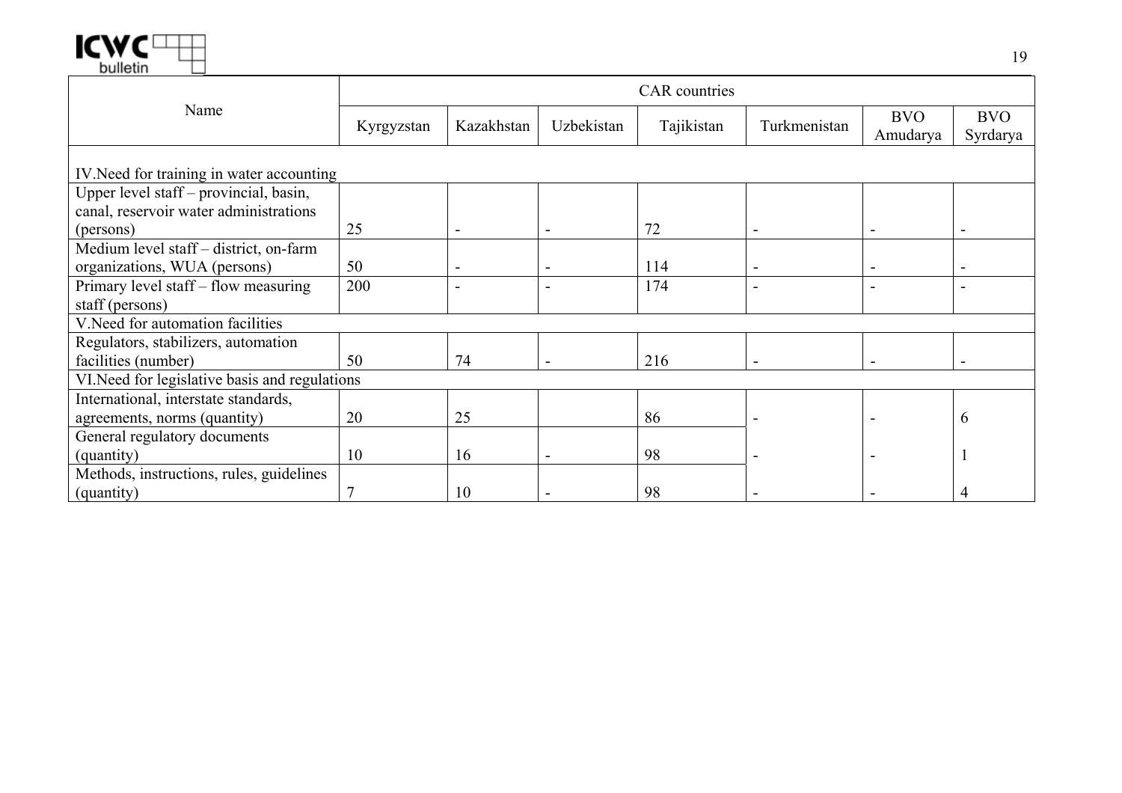

|                                                | <b>CAR</b> countries |            |            |            |              |                        |                        |  |  |
|------------------------------------------------|----------------------|------------|------------|------------|--------------|------------------------|------------------------|--|--|
| Name                                           | Kyrgyzstan           | Kazakhstan | Uzbekistan | Tajikistan | Turkmenistan | <b>BVO</b><br>Amudarya | <b>BVO</b><br>Syrdarya |  |  |
|                                                |                      |            |            |            |              |                        |                        |  |  |
| IV. Need for training in water accounting      |                      |            |            |            |              |                        |                        |  |  |
| Upper level staff – provincial, basin,         |                      |            |            |            |              |                        |                        |  |  |
| canal, reservoir water administrations         |                      |            |            |            |              |                        |                        |  |  |
| (persons)                                      | 25                   |            |            | 72         |              |                        |                        |  |  |
| Medium level staff - district, on-farm         |                      |            |            |            |              |                        |                        |  |  |
| organizations, WUA (persons)                   | 50                   |            |            | 114        |              | -                      |                        |  |  |
| Primary level staff - flow measuring           | 200                  |            |            | 174        |              |                        |                        |  |  |
| staff (persons)                                |                      |            |            |            |              |                        |                        |  |  |
| V. Need for automation facilities              |                      |            |            |            |              |                        |                        |  |  |
| Regulators, stabilizers, automation            |                      |            |            |            |              |                        |                        |  |  |
| facilities (number)                            | 50                   | 74         |            | 216        |              | -                      |                        |  |  |
| VI. Need for legislative basis and regulations |                      |            |            |            |              |                        |                        |  |  |
| International, interstate standards,           |                      |            |            |            |              |                        |                        |  |  |
| agreements, norms (quantity)                   | 20                   | 25         |            | 86         |              |                        | b                      |  |  |
| General regulatory documents                   |                      |            |            |            |              |                        |                        |  |  |
| (quantity)                                     | 10                   | 16         |            | 98         |              |                        |                        |  |  |
| Methods, instructions, rules, guidelines       |                      |            |            |            |              |                        |                        |  |  |
| (quantity)                                     | $\overline{7}$       | 10         |            | 98         |              |                        |                        |  |  |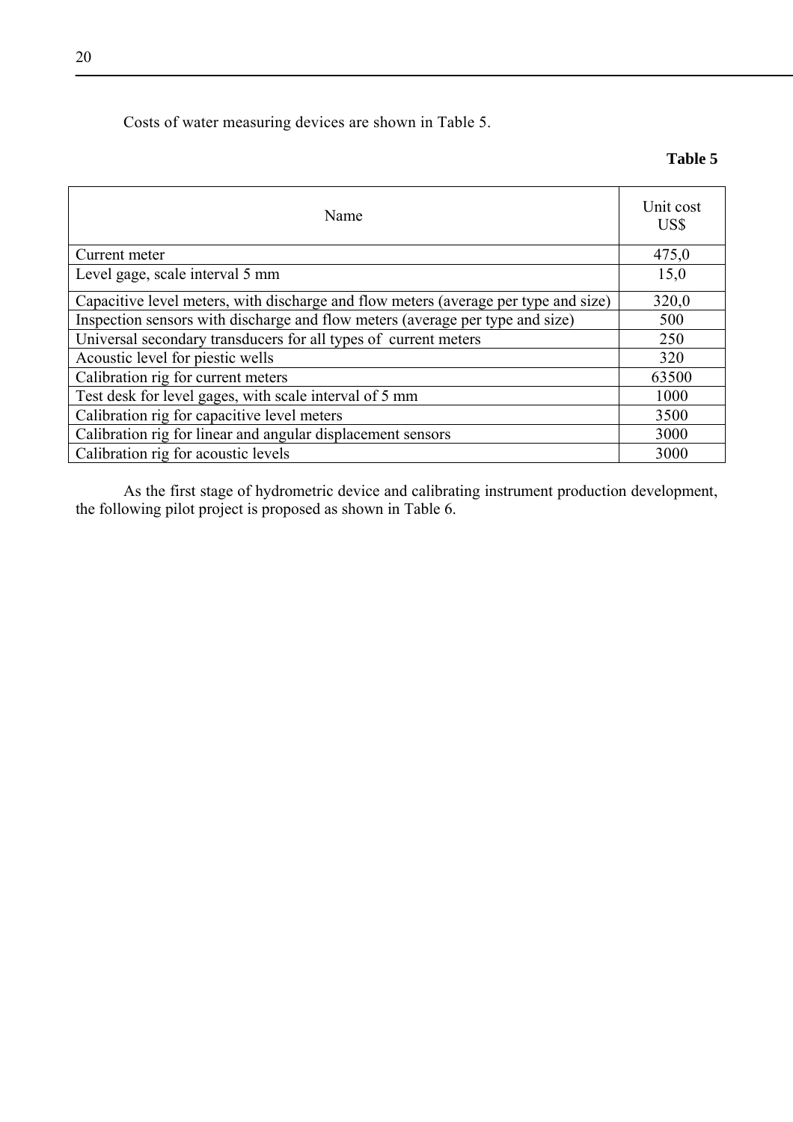# Costs of water measuring devices are shown in Table 5.

### **Table 5**

| Name                                                                                | Unit cost<br>US\$ |
|-------------------------------------------------------------------------------------|-------------------|
| Current meter                                                                       | 475,0             |
| Level gage, scale interval 5 mm                                                     | 15,0              |
| Capacitive level meters, with discharge and flow meters (average per type and size) | 320,0             |
| Inspection sensors with discharge and flow meters (average per type and size)       | 500               |
| Universal secondary transducers for all types of current meters                     | 250               |
| Acoustic level for piestic wells                                                    | 320               |
| Calibration rig for current meters                                                  | 63500             |
| Test desk for level gages, with scale interval of 5 mm                              | 1000              |
| Calibration rig for capacitive level meters                                         | 3500              |
| Calibration rig for linear and angular displacement sensors                         | 3000              |
| Calibration rig for acoustic levels                                                 | 3000              |

As the first stage of hydrometric device and calibrating instrument production development, the following pilot project is proposed as shown in Table 6.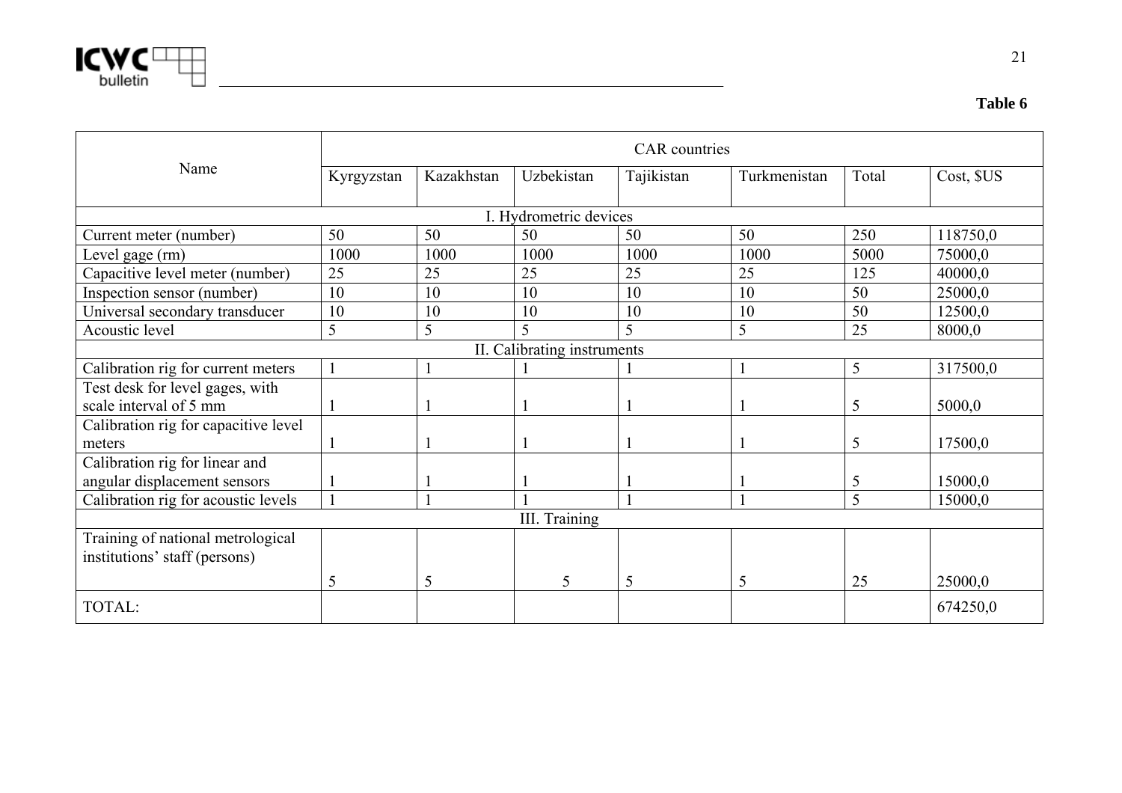

institutions' staff (persons)

|                                                                | <b>CAR</b> countries |            |                             |            |              |       |            |  |  |  |
|----------------------------------------------------------------|----------------------|------------|-----------------------------|------------|--------------|-------|------------|--|--|--|
| Name                                                           | Kyrgyzstan           | Kazakhstan | Uzbekistan                  | Tajikistan | Turkmenistan | Total | Cost, \$US |  |  |  |
|                                                                |                      |            | I. Hydrometric devices      |            |              |       |            |  |  |  |
| Current meter (number)                                         | 50                   | 50         | 50                          | 50         | 50           | 250   | 118750,0   |  |  |  |
| Level gage (rm)                                                | 1000                 | 1000       | 1000                        | 1000       | 1000         | 5000  | 75000,0    |  |  |  |
| Capacitive level meter (number)                                | 25                   | 25         | 25                          | 25         | 25           | 125   | 40000,0    |  |  |  |
| Inspection sensor (number)                                     | 10                   | 10         | 10                          | 10         | 10           | 50    | 25000,0    |  |  |  |
| Universal secondary transducer                                 | 10                   | 10         | 10                          | 10         | 10           | 50    | 12500,0    |  |  |  |
| Acoustic level                                                 | 5                    | 5          | 5                           | 5          | 5            | 25    | 8000,0     |  |  |  |
|                                                                |                      |            | II. Calibrating instruments |            |              |       |            |  |  |  |
| Calibration rig for current meters                             |                      |            |                             |            |              | 5     | 317500,0   |  |  |  |
| Test desk for level gages, with<br>scale interval of 5 mm      |                      |            |                             |            |              | 5     | 5000,0     |  |  |  |
| Calibration rig for capacitive level                           |                      |            |                             |            |              |       |            |  |  |  |
| meters                                                         |                      |            |                             |            |              | 5     | 17500,0    |  |  |  |
| Calibration rig for linear and<br>angular displacement sensors |                      |            |                             |            |              | 5     | 15000,0    |  |  |  |
| Calibration rig for acoustic levels                            |                      |            |                             |            |              | 5     | 15000,0    |  |  |  |
|                                                                |                      |            | III. Training               |            |              |       |            |  |  |  |
| Training of national metrological                              |                      |            |                             |            |              |       |            |  |  |  |

5 5 5 5 5 25 25000,0

TOTAL: 674250,0

**Table 6**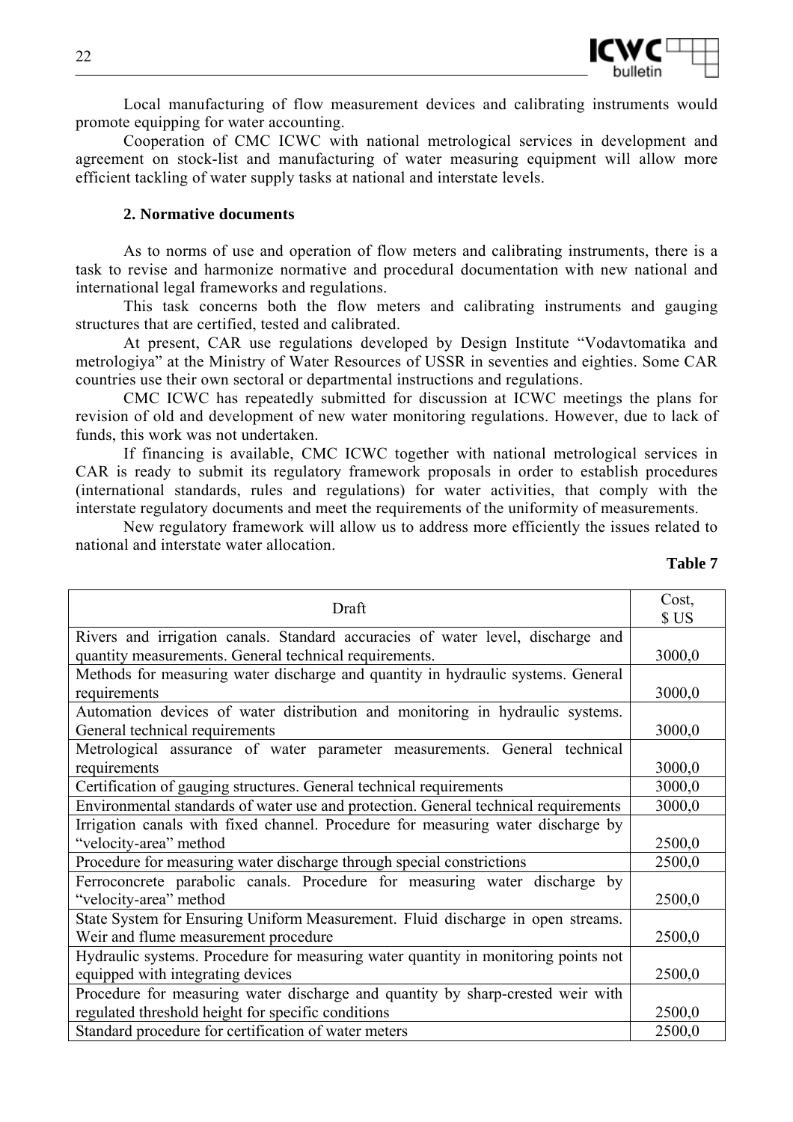

Local manufacturing of flow measurement devices and calibrating instruments would promote equipping for water accounting.

Cooperation of CMC ICWC with national metrological services in development and agreement on stock-list and manufacturing of water measuring equipment will allow more efficient tackling of water supply tasks at national and interstate levels.

# **2. Normative documents**

As to norms of use and operation of flow meters and calibrating instruments, there is a task to revise and harmonize normative and procedural documentation with new national and international legal frameworks and regulations.

This task concerns both the flow meters and calibrating instruments and gauging structures that are certified, tested and calibrated.

At present, CAR use regulations developed by Design Institute "Vodavtomatika and metrologiya" at the Ministry of Water Resources of USSR in seventies and eighties. Some CAR countries use their own sectoral or departmental instructions and regulations.

CMC ICWC has repeatedly submitted for discussion at ICWC meetings the plans for revision of old and development of new water monitoring regulations. However, due to lack of funds, this work was not undertaken.

If financing is available, CMC ICWC together with national metrological services in CAR is ready to submit its regulatory framework proposals in order to establish procedures (international standards, rules and regulations) for water activities, that comply with the interstate regulatory documents and meet the requirements of the uniformity of measurements.

New regulatory framework will allow us to address more efficiently the issues related to national and interstate water allocation.

| וח<br>Ш<br>I<br>Н |  |
|-------------------|--|
|-------------------|--|

| Draft                                                                               | Cost,<br>\$US |  |  |  |  |  |
|-------------------------------------------------------------------------------------|---------------|--|--|--|--|--|
| Rivers and irrigation canals. Standard accuracies of water level, discharge and     |               |  |  |  |  |  |
| quantity measurements. General technical requirements.                              | 3000,0        |  |  |  |  |  |
| Methods for measuring water discharge and quantity in hydraulic systems. General    |               |  |  |  |  |  |
| requirements                                                                        | 3000,0        |  |  |  |  |  |
| Automation devices of water distribution and monitoring in hydraulic systems.       |               |  |  |  |  |  |
| General technical requirements                                                      | 3000,0        |  |  |  |  |  |
| Metrological assurance of water parameter measurements. General technical           |               |  |  |  |  |  |
| requirements                                                                        | 3000,0        |  |  |  |  |  |
| Certification of gauging structures. General technical requirements                 | 3000,0        |  |  |  |  |  |
| Environmental standards of water use and protection. General technical requirements |               |  |  |  |  |  |
| Irrigation canals with fixed channel. Procedure for measuring water discharge by    |               |  |  |  |  |  |
| "velocity-area" method                                                              |               |  |  |  |  |  |
| Procedure for measuring water discharge through special constrictions               |               |  |  |  |  |  |
| Ferroconcrete parabolic canals. Procedure for measuring water discharge by          |               |  |  |  |  |  |
| "velocity-area" method                                                              | 2500,0        |  |  |  |  |  |
| State System for Ensuring Uniform Measurement. Fluid discharge in open streams.     |               |  |  |  |  |  |
| Weir and flume measurement procedure                                                | 2500,0        |  |  |  |  |  |
| Hydraulic systems. Procedure for measuring water quantity in monitoring points not  |               |  |  |  |  |  |
| equipped with integrating devices                                                   | 2500,0        |  |  |  |  |  |
| Procedure for measuring water discharge and quantity by sharp-crested weir with     |               |  |  |  |  |  |
| regulated threshold height for specific conditions                                  | 2500,0        |  |  |  |  |  |
| Standard procedure for certification of water meters                                | 2500,0        |  |  |  |  |  |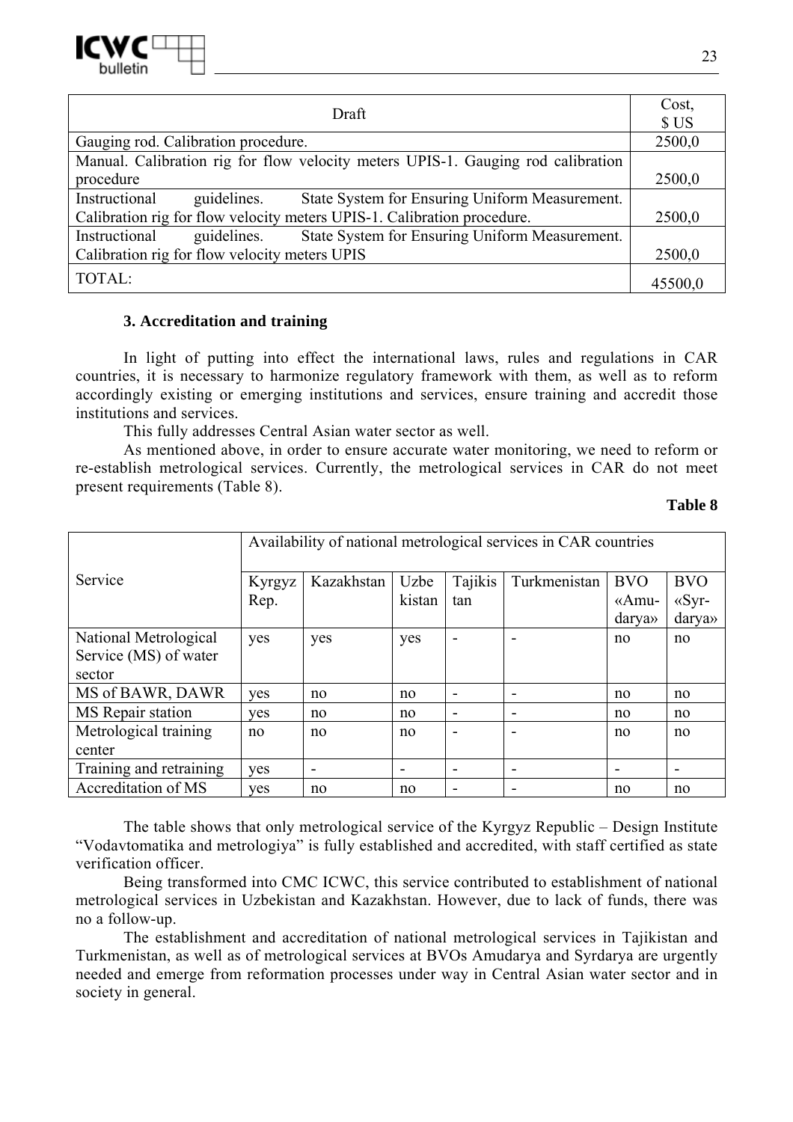

|                                                                                  | Cost,   |  |  |  |  |  |
|----------------------------------------------------------------------------------|---------|--|--|--|--|--|
| Draft                                                                            |         |  |  |  |  |  |
| Gauging rod. Calibration procedure.                                              |         |  |  |  |  |  |
| Manual. Calibration rig for flow velocity meters UPIS-1. Gauging rod calibration |         |  |  |  |  |  |
| procedure                                                                        |         |  |  |  |  |  |
| Instructional<br>State System for Ensuring Uniform Measurement.<br>guidelines.   |         |  |  |  |  |  |
| Calibration rig for flow velocity meters UPIS-1. Calibration procedure.          |         |  |  |  |  |  |
| State System for Ensuring Uniform Measurement.<br>Instructional<br>guidelines.   |         |  |  |  |  |  |
| Calibration rig for flow velocity meters UPIS                                    |         |  |  |  |  |  |
| TOTAL:                                                                           | 45500,0 |  |  |  |  |  |

### **3. Accreditation and training**

In light of putting into effect the international laws, rules and regulations in CAR countries, it is necessary to harmonize regulatory framework with them, as well as to reform accordingly existing or emerging institutions and services, ensure training and accredit those institutions and services.

This fully addresses Central Asian water sector as well.

As mentioned above, in order to ensure accurate water monitoring, we need to reform or re-establish metrological services. Currently, the metrological services in CAR do not meet present requirements (Table 8).

**Table 8** 

|                         | Availability of national metrological services in CAR countries |            |        |         |              |            |                |
|-------------------------|-----------------------------------------------------------------|------------|--------|---------|--------------|------------|----------------|
| Service                 | Kyrgyz                                                          | Kazakhstan | Uzbe   | Tajikis | Turkmenistan | <b>BVO</b> | <b>BVO</b>     |
|                         | Rep.                                                            |            | kistan | tan     |              | «Amu-      | $\langle$ Syr- |
|                         |                                                                 |            |        |         |              | darya»     | darya»         |
| National Metrological   | yes                                                             | yes        | yes    |         |              | no         | no             |
| Service (MS) of water   |                                                                 |            |        |         |              |            |                |
| sector                  |                                                                 |            |        |         |              |            |                |
| MS of BAWR, DAWR        | <b>ves</b>                                                      | no         | no     |         |              | no         | no             |
| MS Repair station       | <b>ves</b>                                                      | no         | no     | -       | -            | no         | no             |
| Metrological training   | no                                                              | no         | no     |         |              | no         | no             |
| center                  |                                                                 |            |        |         |              |            |                |
| Training and retraining | <b>ves</b>                                                      |            | -      |         |              | -          |                |
| Accreditation of MS     | yes                                                             | no         | no     |         |              | no         | no             |

The table shows that only metrological service of the Kyrgyz Republic – Design Institute "Vodavtomatika and metrologiya" is fully established and accredited, with staff certified as state verification officer.

Being transformed into CMC ICWC, this service contributed to establishment of national metrological services in Uzbekistan and Kazakhstan. However, due to lack of funds, there was no a follow-up.

The establishment and accreditation of national metrological services in Tajikistan and Turkmenistan, as well as of metrological services at BVOs Amudarya and Syrdarya are urgently needed and emerge from reformation processes under way in Central Asian water sector and in society in general.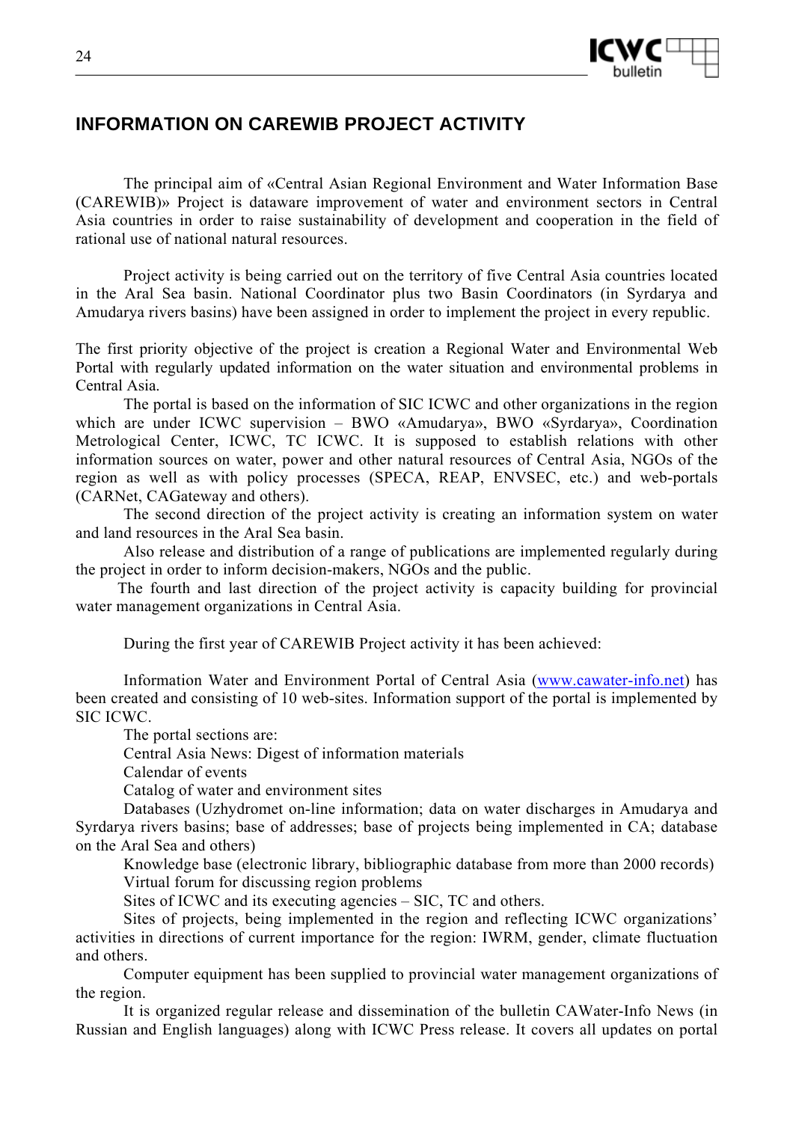

# **INFORMATION ON CAREWIB PROJECT ACTIVITY**

The principal aim of «Central Asian Regional Environment and Water Information Base (CAREWIB)» Project is dataware improvement of water and environment sectors in Central Asia countries in order to raise sustainability of development and cooperation in the field of rational use of national natural resources.

Project activity is being carried out on the territory of five Central Asia countries located in the Aral Sea basin. National Coordinator plus two Basin Coordinators (in Syrdarya and Amudarya rivers basins) have been assigned in order to implement the project in every republic.

The first priority objective of the project is creation a Regional Water and Environmental Web Portal with regularly updated information on the water situation and environmental problems in Central Asia.

The portal is based on the information of SIC ICWC and other organizations in the region which are under ICWC supervision – BWO «Amudarya», BWO «Syrdarya», Coordination Metrological Center, ICWC, TC ICWC. It is supposed to establish relations with other information sources on water, power and other natural resources of Central Asia, NGOs of the region as well as with policy processes (SPECA, REAP, ENVSEC, etc.) and web-portals (CARNet, CAGateway and others).

The second direction of the project activity is creating an information system on water and land resources in the Aral Sea basin.

Also release and distribution of a range of publications are implemented regularly during the project in order to inform decision-makers, NGOs and the public.

 The fourth and last direction of the project activity is capacity building for provincial water management organizations in Central Asia.

During the first year of CAREWIB Project activity it has been achieved:

Information Water and Environment Portal of Central Asia (www.cawater-info.net) has been created and consisting of 10 web-sites. Information support of the portal is implemented by SIC ICWC.

The portal sections are:

Central Asia News: Digest of information materials

Calendar of events

Catalog of water and environment sites

Databases (Uzhydromet on-line information; data on water discharges in Amudarya and Syrdarya rivers basins; base of addresses; base of projects being implemented in CA; database on the Aral Sea and others)

Knowledge base (electronic library, bibliographic database from more than 2000 records) Virtual forum for discussing region problems

Sites of ICWC and its executing agencies – SIC, TC and others.

Sites of projects, being implemented in the region and reflecting ICWC organizations' activities in directions of current importance for the region: IWRM, gender, climate fluctuation and others.

Computer equipment has been supplied to provincial water management organizations of the region.

It is organized regular release and dissemination of the bulletin CAWater-Info News (in Russian and English languages) along with ICWC Press release. It covers all updates on portal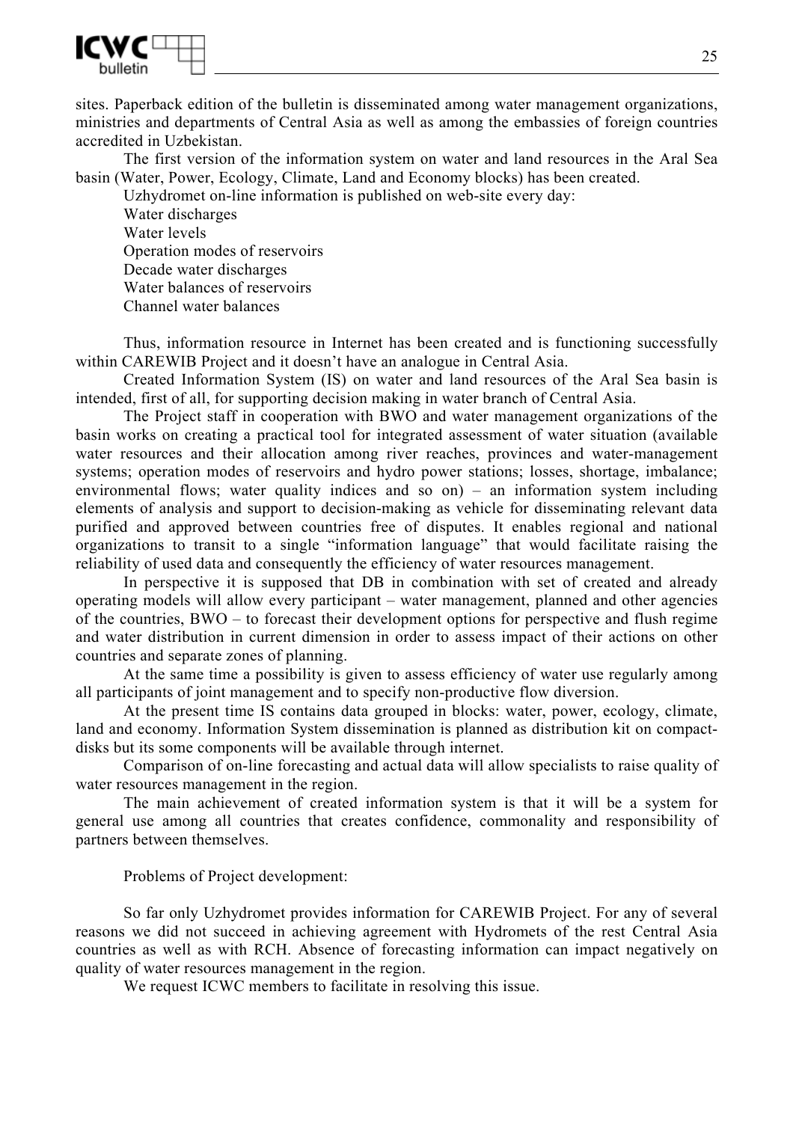

sites. Paperback edition of the bulletin is disseminated among water management organizations, ministries and departments of Central Asia as well as among the embassies of foreign countries accredited in Uzbekistan.

The first version of the information system on water and land resources in the Aral Sea basin (Water, Power, Ecology, Climate, Land and Economy blocks) has been created.

Uzhydromet on-line information is published on web-site every day:

Water discharges Water levels Operation modes of reservoirs Decade water discharges Water balances of reservoirs Channel water balances

Thus, information resource in Internet has been created and is functioning successfully within CAREWIB Project and it doesn't have an analogue in Central Asia.

Created Information System (IS) on water and land resources of the Aral Sea basin is intended, first of all, for supporting decision making in water branch of Central Asia.

The Project staff in cooperation with BWO and water management organizations of the basin works on creating a practical tool for integrated assessment of water situation (available water resources and their allocation among river reaches, provinces and water-management systems; operation modes of reservoirs and hydro power stations; losses, shortage, imbalance; environmental flows; water quality indices and so on) – an information system including elements of analysis and support to decision-making as vehicle for disseminating relevant data purified and approved between countries free of disputes. It enables regional and national organizations to transit to a single "information language" that would facilitate raising the reliability of used data and consequently the efficiency of water resources management.

In perspective it is supposed that DB in combination with set of created and already operating models will allow every participant – water management, planned and other agencies of the countries, BWO – to forecast their development options for perspective and flush regime and water distribution in current dimension in order to assess impact of their actions on other countries and separate zones of planning.

At the same time a possibility is given to assess efficiency of water use regularly among all participants of joint management and to specify non-productive flow diversion.

At the present time IS contains data grouped in blocks: water, power, ecology, climate, land and economy. Information System dissemination is planned as distribution kit on compactdisks but its some components will be available through internet.

Comparison of on-line forecasting and actual data will allow specialists to raise quality of water resources management in the region.

The main achievement of created information system is that it will be a system for general use among all countries that creates confidence, commonality and responsibility of partners between themselves.

# Problems of Project development:

So far only Uzhydromet provides information for CAREWIB Project. For any of several reasons we did not succeed in achieving agreement with Hydromets of the rest Central Asia countries as well as with RCH. Absence of forecasting information can impact negatively on quality of water resources management in the region.

We request ICWC members to facilitate in resolving this issue.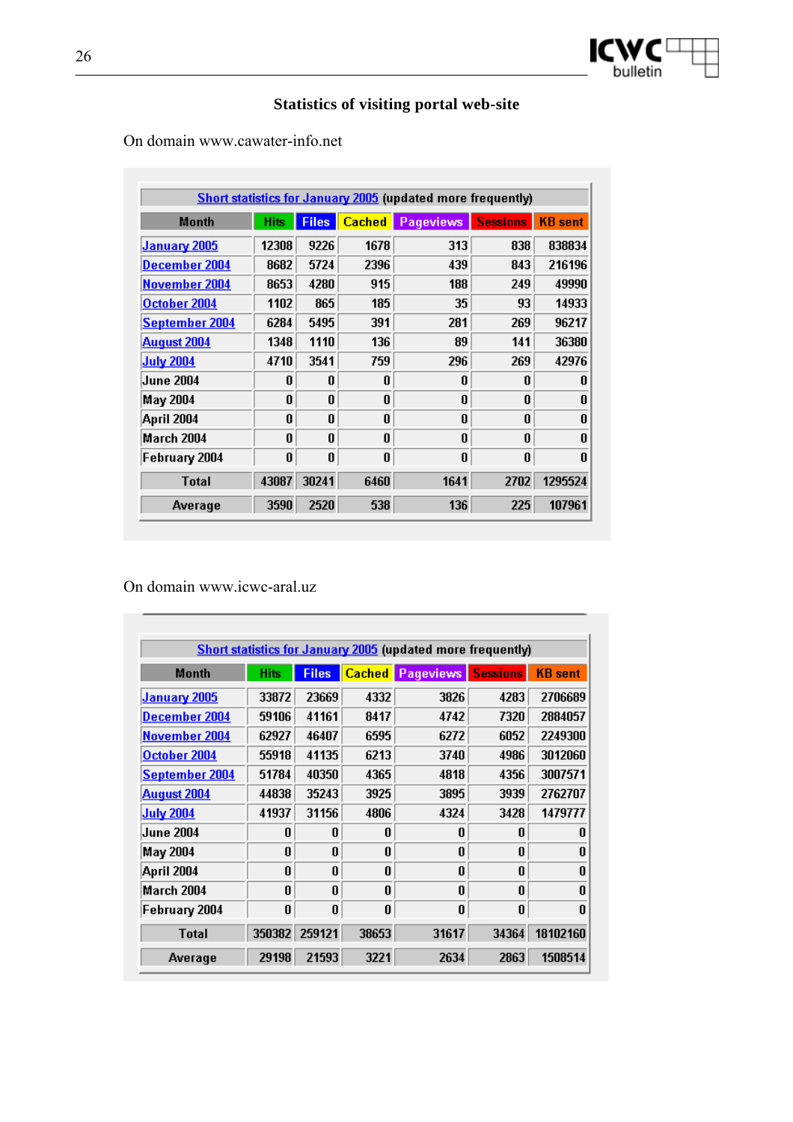

# **Statistics of visiting portal web-site**

On domain www.cawater-info.net

| <b>Short statistics for January 2005</b> (updated more frequently) |             |              |      |                              |                 |                |
|--------------------------------------------------------------------|-------------|--------------|------|------------------------------|-----------------|----------------|
| Month                                                              | <b>Hits</b> | <b>Files</b> |      | <b>Cached</b> Pageviews<br>♦ | <b>Sessions</b> | <b>KB</b> sent |
| <b>January 2005</b>                                                | 12308       | 9226         | 1678 | 313                          | 838             | 838834         |
| December 2004                                                      | 8682        | 5724         | 2396 | 439                          | 843             | 216196         |
| November 2004                                                      | 8653        | 4280         | 915  | 188                          | 249             | 49990          |
| October 2004                                                       | 1102        | 865          | 185  | 35                           | 93              | 14933          |
| September 2004                                                     | 6284        | 5495         | 391  | 281                          | 269             | 96217          |
| <b>August 2004</b>                                                 | 1348        | 1110         | 136  | 89                           | 141             | 36380          |
| <b>July 2004</b>                                                   | 4710        | 3541         | 759  | 296                          | 269             | 42976          |
| <b>June 2004</b>                                                   | 0           | 0            | 0    | 0                            | 0               | 0              |
| May 2004                                                           | 0           | 0            | 0    | 0                            | 0               | 0              |
| April 2004                                                         | 0           | U            | U    | U                            | U               | 0              |
| March 2004                                                         | 0           | 0            | 0    | 0                            | 0               | 0              |
| February 2004                                                      | 0           | 0            | 0    | 0                            | 0               | 0              |
| <b>Total</b>                                                       | 43087       | 30241        | 6460 | 1641                         | 2702            | 1295524        |
| Average                                                            | 3590        | 2520         | 538  | 136                          | 225             | 107961         |

On domain www.icwc-aral.uz

| <b>Short statistics for January 2005</b> (updated more frequently) |              |              |              |                              |                 |                |
|--------------------------------------------------------------------|--------------|--------------|--------------|------------------------------|-----------------|----------------|
| Month                                                              | <b>Hits</b>  | <b>Files</b> |              | <b>Cached</b> Pageviews<br>п | <b>Sessions</b> | <b>KB</b> sent |
| <b>January 2005</b>                                                | 33872        | 23669        | 4332         | 3826                         | 4283            | 2706689        |
| December 2004                                                      | 59106        | 41161        | 8417         | 4742                         | 7320            | 2884057        |
| November 2004                                                      | 62927        | 46407        | 6595         | 6272                         | 6052            | 2249300        |
| October 2004                                                       | 55918        | 41135        | 6213         | 3740                         | 4986            | 3012060        |
| September 2004                                                     | 51784        | 40350        | 4365         | 4818                         | 4356            | 3007571        |
| <b>August 2004</b>                                                 | 44838        | 35243        | 3925         | 3895                         | 3939            | 2762707        |
| <b>July 2004</b>                                                   | 41937        | 31156        | 4806         | 4324                         | 3428            | 1479777        |
| <b>June 2004</b>                                                   | Ū            | n            | n            | n                            | n               | n              |
| <b>May 2004</b>                                                    | U            | n            | n            | n                            | n               | 0              |
| April 2004                                                         | $\mathbf{u}$ | U            | n            | U                            | n               | n              |
| March 2004                                                         | $\mathbf{0}$ | 0            | $\mathbf{0}$ | n                            | $\mathbf{0}$    | O              |
| February 2004                                                      | 0            | 0            | 0            | 0                            | 0               | 0              |
| <b>Total</b>                                                       | 350382       | 259121       | 38653        | 31617                        | 34364           | 18102160       |
| Average                                                            | 29198        | 21593        | 3221         | 2634                         | 2863            | 1508514        |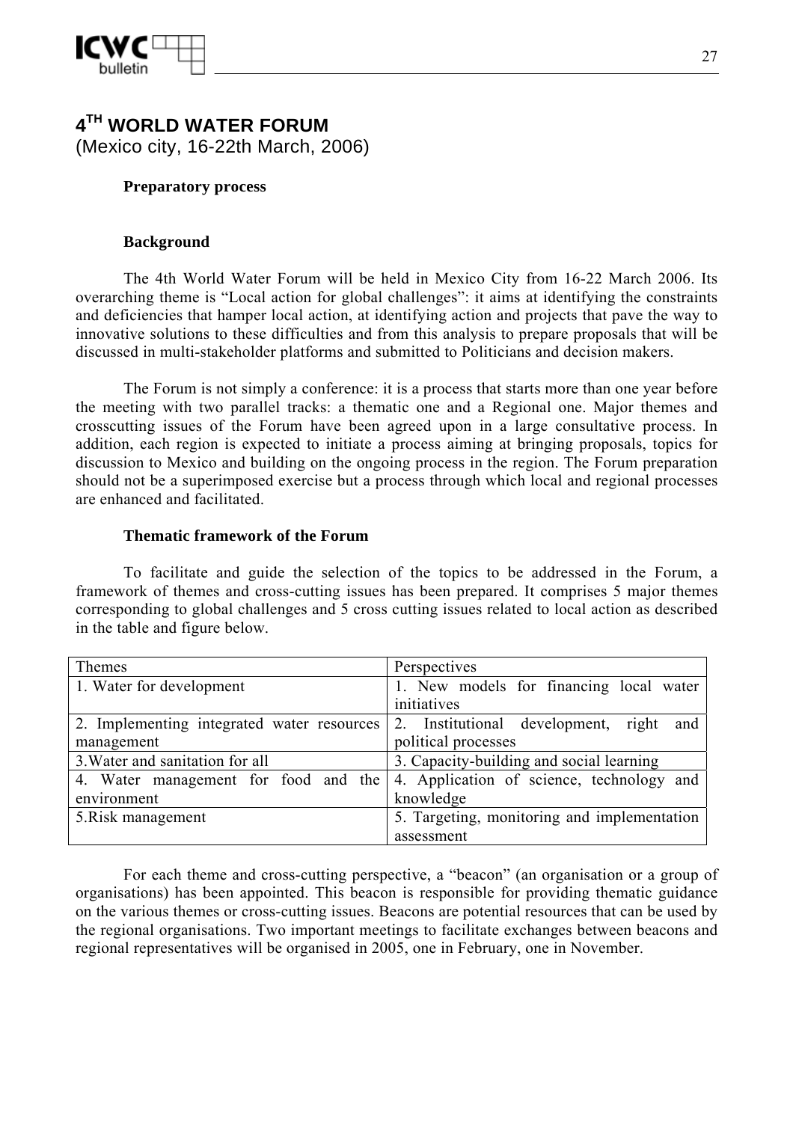

# **4TH WORLD WATER FORUM**  (Mexico city, 16-22th March, 2006)

### **Preparatory process**

### **Background**

The 4th World Water Forum will be held in Mexico City from 16-22 March 2006. Its overarching theme is "Local action for global challenges": it aims at identifying the constraints and deficiencies that hamper local action, at identifying action and projects that pave the way to innovative solutions to these difficulties and from this analysis to prepare proposals that will be discussed in multi-stakeholder platforms and submitted to Politicians and decision makers.

The Forum is not simply a conference: it is a process that starts more than one year before the meeting with two parallel tracks: a thematic one and a Regional one. Major themes and crosscutting issues of the Forum have been agreed upon in a large consultative process. In addition, each region is expected to initiate a process aiming at bringing proposals, topics for discussion to Mexico and building on the ongoing process in the region. The Forum preparation should not be a superimposed exercise but a process through which local and regional processes are enhanced and facilitated.

### **Thematic framework of the Forum**

To facilitate and guide the selection of the topics to be addressed in the Forum, a framework of themes and cross-cutting issues has been prepared. It comprises 5 major themes corresponding to global challenges and 5 cross cutting issues related to local action as described in the table and figure below.

| Themes                                     | Perspectives                                |
|--------------------------------------------|---------------------------------------------|
| 1. Water for development                   | 1. New models for financing local water     |
|                                            | initiatives                                 |
| 2. Implementing integrated water resources | 2. Institutional development, right and     |
| management                                 | political processes                         |
| 3. Water and sanitation for all            | 3. Capacity-building and social learning    |
| 4. Water management for food and the       | 4. Application of science, technology and   |
| environment                                | knowledge                                   |
| 5. Risk management                         | 5. Targeting, monitoring and implementation |
|                                            | assessment                                  |

For each theme and cross-cutting perspective, a "beacon" (an organisation or a group of organisations) has been appointed. This beacon is responsible for providing thematic guidance on the various themes or cross-cutting issues. Beacons are potential resources that can be used by the regional organisations. Two important meetings to facilitate exchanges between beacons and regional representatives will be organised in 2005, one in February, one in November.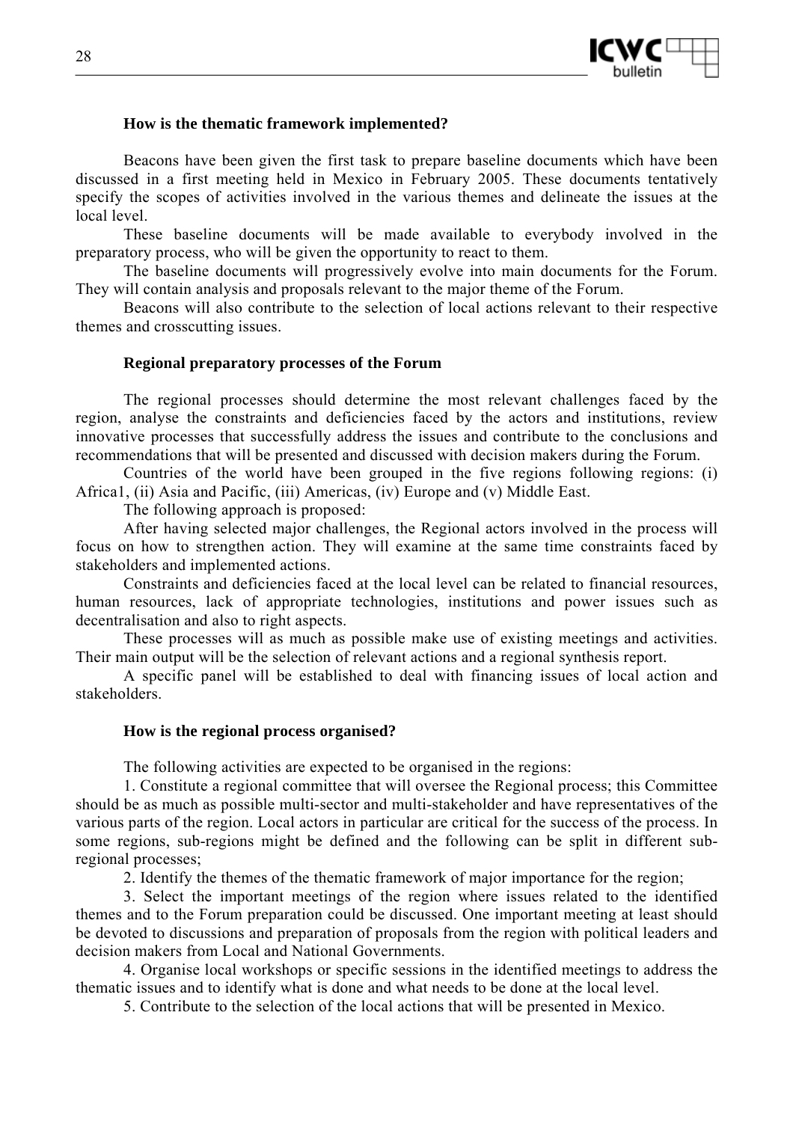

### **How is the thematic framework implemented?**

Beacons have been given the first task to prepare baseline documents which have been discussed in a first meeting held in Mexico in February 2005. These documents tentatively specify the scopes of activities involved in the various themes and delineate the issues at the local level.

These baseline documents will be made available to everybody involved in the preparatory process, who will be given the opportunity to react to them.

The baseline documents will progressively evolve into main documents for the Forum. They will contain analysis and proposals relevant to the major theme of the Forum.

Beacons will also contribute to the selection of local actions relevant to their respective themes and crosscutting issues.

#### **Regional preparatory processes of the Forum**

The regional processes should determine the most relevant challenges faced by the region, analyse the constraints and deficiencies faced by the actors and institutions, review innovative processes that successfully address the issues and contribute to the conclusions and recommendations that will be presented and discussed with decision makers during the Forum.

Countries of the world have been grouped in the five regions following regions: (i) Africa1, (ii) Asia and Pacific, (iii) Americas, (iv) Europe and (v) Middle East.

The following approach is proposed:

After having selected major challenges, the Regional actors involved in the process will focus on how to strengthen action. They will examine at the same time constraints faced by stakeholders and implemented actions.

Constraints and deficiencies faced at the local level can be related to financial resources, human resources, lack of appropriate technologies, institutions and power issues such as decentralisation and also to right aspects.

These processes will as much as possible make use of existing meetings and activities. Their main output will be the selection of relevant actions and a regional synthesis report.

A specific panel will be established to deal with financing issues of local action and stakeholders.

#### **How is the regional process organised?**

The following activities are expected to be organised in the regions:

1. Constitute a regional committee that will oversee the Regional process; this Committee should be as much as possible multi-sector and multi-stakeholder and have representatives of the various parts of the region. Local actors in particular are critical for the success of the process. In some regions, sub-regions might be defined and the following can be split in different subregional processes;

2. Identify the themes of the thematic framework of major importance for the region;

3. Select the important meetings of the region where issues related to the identified themes and to the Forum preparation could be discussed. One important meeting at least should be devoted to discussions and preparation of proposals from the region with political leaders and decision makers from Local and National Governments.

4. Organise local workshops or specific sessions in the identified meetings to address the thematic issues and to identify what is done and what needs to be done at the local level.

5. Contribute to the selection of the local actions that will be presented in Mexico.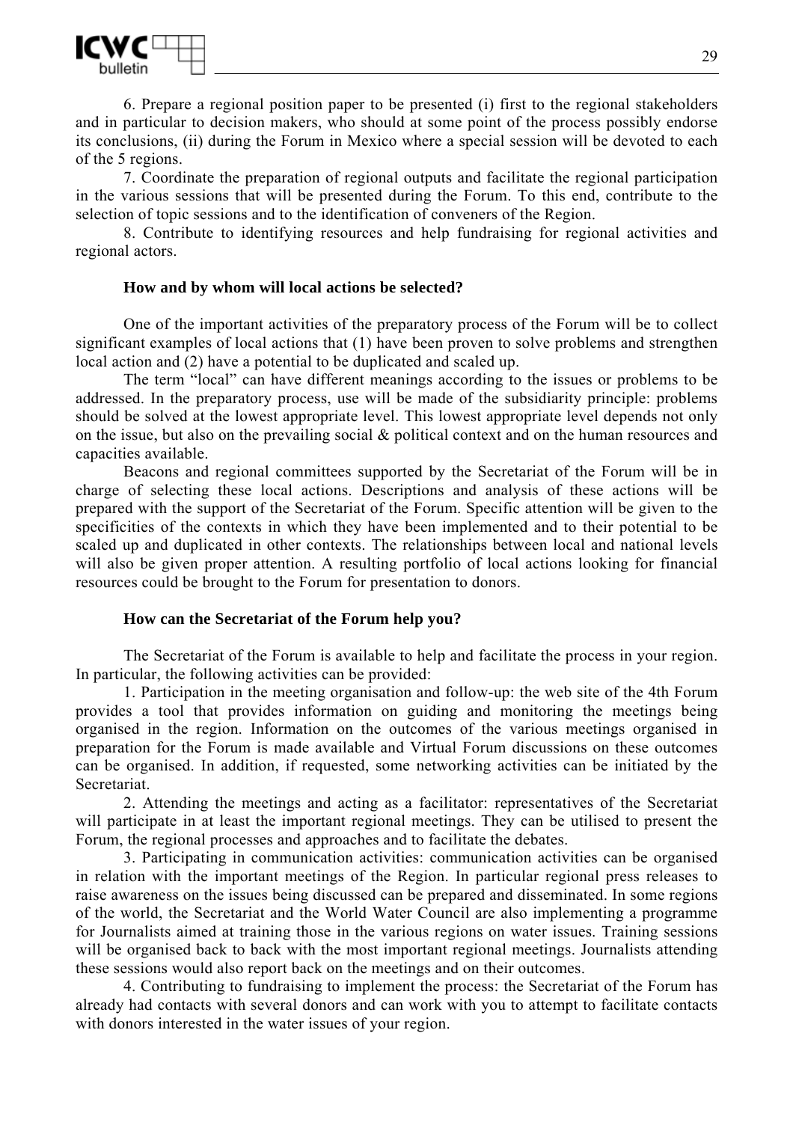

6. Prepare a regional position paper to be presented (i) first to the regional stakeholders and in particular to decision makers, who should at some point of the process possibly endorse its conclusions, (ii) during the Forum in Mexico where a special session will be devoted to each of the 5 regions.

7. Coordinate the preparation of regional outputs and facilitate the regional participation in the various sessions that will be presented during the Forum. To this end, contribute to the selection of topic sessions and to the identification of conveners of the Region.

8. Contribute to identifying resources and help fundraising for regional activities and regional actors.

#### **How and by whom will local actions be selected?**

One of the important activities of the preparatory process of the Forum will be to collect significant examples of local actions that (1) have been proven to solve problems and strengthen local action and (2) have a potential to be duplicated and scaled up.

The term "local" can have different meanings according to the issues or problems to be addressed. In the preparatory process, use will be made of the subsidiarity principle: problems should be solved at the lowest appropriate level. This lowest appropriate level depends not only on the issue, but also on the prevailing social & political context and on the human resources and capacities available.

Beacons and regional committees supported by the Secretariat of the Forum will be in charge of selecting these local actions. Descriptions and analysis of these actions will be prepared with the support of the Secretariat of the Forum. Specific attention will be given to the specificities of the contexts in which they have been implemented and to their potential to be scaled up and duplicated in other contexts. The relationships between local and national levels will also be given proper attention. A resulting portfolio of local actions looking for financial resources could be brought to the Forum for presentation to donors.

#### **How can the Secretariat of the Forum help you?**

The Secretariat of the Forum is available to help and facilitate the process in your region. In particular, the following activities can be provided:

1. Participation in the meeting organisation and follow-up: the web site of the 4th Forum provides a tool that provides information on guiding and monitoring the meetings being organised in the region. Information on the outcomes of the various meetings organised in preparation for the Forum is made available and Virtual Forum discussions on these outcomes can be organised. In addition, if requested, some networking activities can be initiated by the Secretariat.

2. Attending the meetings and acting as a facilitator: representatives of the Secretariat will participate in at least the important regional meetings. They can be utilised to present the Forum, the regional processes and approaches and to facilitate the debates.

3. Participating in communication activities: communication activities can be organised in relation with the important meetings of the Region. In particular regional press releases to raise awareness on the issues being discussed can be prepared and disseminated. In some regions of the world, the Secretariat and the World Water Council are also implementing a programme for Journalists aimed at training those in the various regions on water issues. Training sessions will be organised back to back with the most important regional meetings. Journalists attending these sessions would also report back on the meetings and on their outcomes.

4. Contributing to fundraising to implement the process: the Secretariat of the Forum has already had contacts with several donors and can work with you to attempt to facilitate contacts with donors interested in the water issues of your region.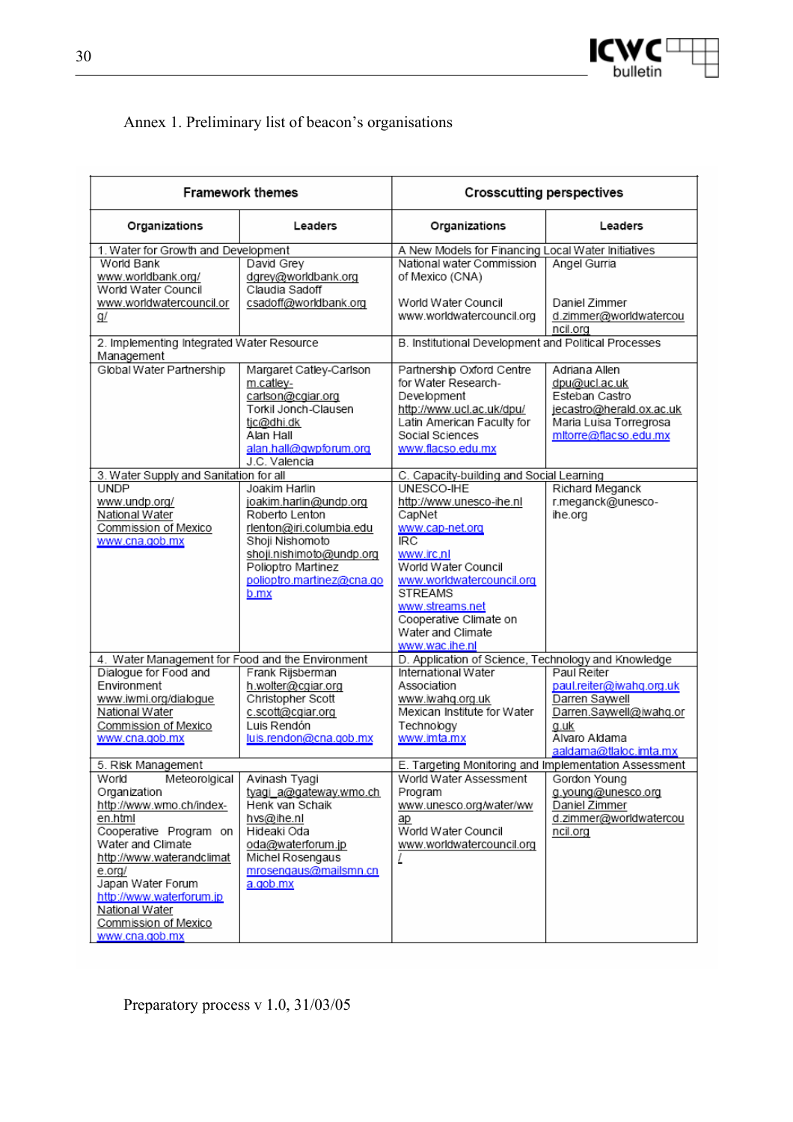

# Annex 1. Preliminary list of beacon's organisations

| <b>Framework themes</b>                                                                                                                                                                                                                                                          |                                                                                                                                                                                                 | <b>Crosscutting perspectives</b>                                                                                                                                                                                                                                                                         |                                                                                                                                         |  |
|----------------------------------------------------------------------------------------------------------------------------------------------------------------------------------------------------------------------------------------------------------------------------------|-------------------------------------------------------------------------------------------------------------------------------------------------------------------------------------------------|----------------------------------------------------------------------------------------------------------------------------------------------------------------------------------------------------------------------------------------------------------------------------------------------------------|-----------------------------------------------------------------------------------------------------------------------------------------|--|
| Organizations                                                                                                                                                                                                                                                                    | Leaders                                                                                                                                                                                         | Organizations                                                                                                                                                                                                                                                                                            | Leaders                                                                                                                                 |  |
| 1. Water for Growth and Development<br>World Bank<br>www.worldbank.org/<br>World Water Council                                                                                                                                                                                   | David Grey<br>dgrey@worldbank.org<br>Claudia Sadoff                                                                                                                                             | A New Models for Financing Local Water Initiatives<br>National water Commission<br>of Mexico (CNA)                                                                                                                                                                                                       | Angel Gurria                                                                                                                            |  |
| www.worldwatercouncil.or<br><u>g/</u>                                                                                                                                                                                                                                            | csadoff@worldbank.org                                                                                                                                                                           | World Water Council<br>www.worldwatercouncil.org                                                                                                                                                                                                                                                         | Daniel Zimmer<br>d.zimmer@worldwatercou<br>ncil.org                                                                                     |  |
| 2. Implementing Integrated Water Resource<br>Management                                                                                                                                                                                                                          |                                                                                                                                                                                                 | B. Institutional Development and Political Processes                                                                                                                                                                                                                                                     |                                                                                                                                         |  |
| Global Water Partnership                                                                                                                                                                                                                                                         | Margaret Catley-Carlson<br>m.catley-<br>carlson@cgiar.org<br>Torkil Jonch-Clausen<br>tjc@dhi.dk<br>Alan Hall<br>alan.hall@gwpforum.org<br>J.C. Valencia                                         | Partnership Oxford Centre<br>for Water Research-<br>Development<br>http://www.ucl.ac.uk/dpu/<br>Latin American Faculty for<br>Social Sciences<br>www.flacso.edu.mx                                                                                                                                       | Adriana Allen<br>dpu@ucl.ac.uk<br>Esteban Castro<br>jecastro@herald.ox.ac.uk<br>Maria Luisa Torregrosa<br>mitorre@flacso.edu.mx         |  |
| 3. Water Supply and Sanitation for all                                                                                                                                                                                                                                           |                                                                                                                                                                                                 | C. Capacity-building and Social Learning                                                                                                                                                                                                                                                                 |                                                                                                                                         |  |
| <b>UNDP</b><br>www.undp.org/<br>National Water<br>Commission of Mexico<br>www.cna.gob.mx<br>4. Water Management for Food and the Environment                                                                                                                                     | Joakim Harlin<br>joakim.harlin@undp.org<br>Roberto Lenton<br>rlenton@iri.columbia.edu<br>Shoji Nishomoto<br>shoji.nishimoto@undp.org<br>Polioptro Martinez<br>polioptro.martinez@cna.go<br>b.mx | UNESCO-IHE<br>http://www.unesco-ihe.nl<br>CapNet<br>www.cap-net.org<br>RC<br>www.irc.nl<br>World Water Council<br>www.worldwatercouncil.org<br><b>STREAMS</b><br>www.streams.net<br>Cooperative Climate on<br>Water and Climate<br>www.wac.ihe.nl<br>D. Application of Science, Technology and Knowledge | Richard Meganck<br>r.meganck@unesco-<br>ihe.org                                                                                         |  |
| Dialogue for Food and<br>Environment<br>www.iwmi.org/dialogue<br>National Water<br>Commission of Mexico<br>www.cna.gob.mx                                                                                                                                                        | Frank Rijsberman<br>h.wolter@cgiar.org<br>Christopher Scott<br>c.scott@cgiar.org<br>Luis Rendón<br>luis.rendon@cna.gob.mx                                                                       | International Water<br>Association<br>www.iwahq.org.uk<br>Mexican Institute for Water<br>Technology<br>www.imta.mx                                                                                                                                                                                       | Paul Reiter<br>paul.reiter@iwahq.org.uk<br>Darren Saywell<br>Darren.Saywell@iwahq.or<br>a.uk<br>Alvaro Aldama<br>aaldama@tlaloc.imta.mx |  |
| 5. Risk Management                                                                                                                                                                                                                                                               |                                                                                                                                                                                                 | E. Targeting Monitoring and Implementation Assessment                                                                                                                                                                                                                                                    |                                                                                                                                         |  |
| World<br>Meteorolgical<br>Organization<br>http://www.wmo.ch/index-<br>en.html<br>Cooperative Program on<br>Water and Climate<br>http://www.waterandclimat<br>e.org/<br>Japan Water Forum<br>http://www.waterforum.jp<br>National Water<br>Commission of Mexico<br>www.cna.gob.mx | Avinash Tyagi<br>tyagi a@gateway.wmo.ch<br>Henk van Schaik<br>hvs@ihe.nl<br>Hideaki Oda<br>oda@waterforum.jp<br>Michel Rosengaus<br>mrosengaus@mailsmn.cn<br>a.gob.mx                           | World Water Assessment<br>Program<br>www.unesco.org/water/ww<br>аp<br>World Water Council<br>www.worldwatercouncil.org<br>L                                                                                                                                                                              | Gordon Young<br>g.young@unesco.org<br>Daniel Zimmer<br>d.zimmer@worldwatercou<br>ncil.org                                               |  |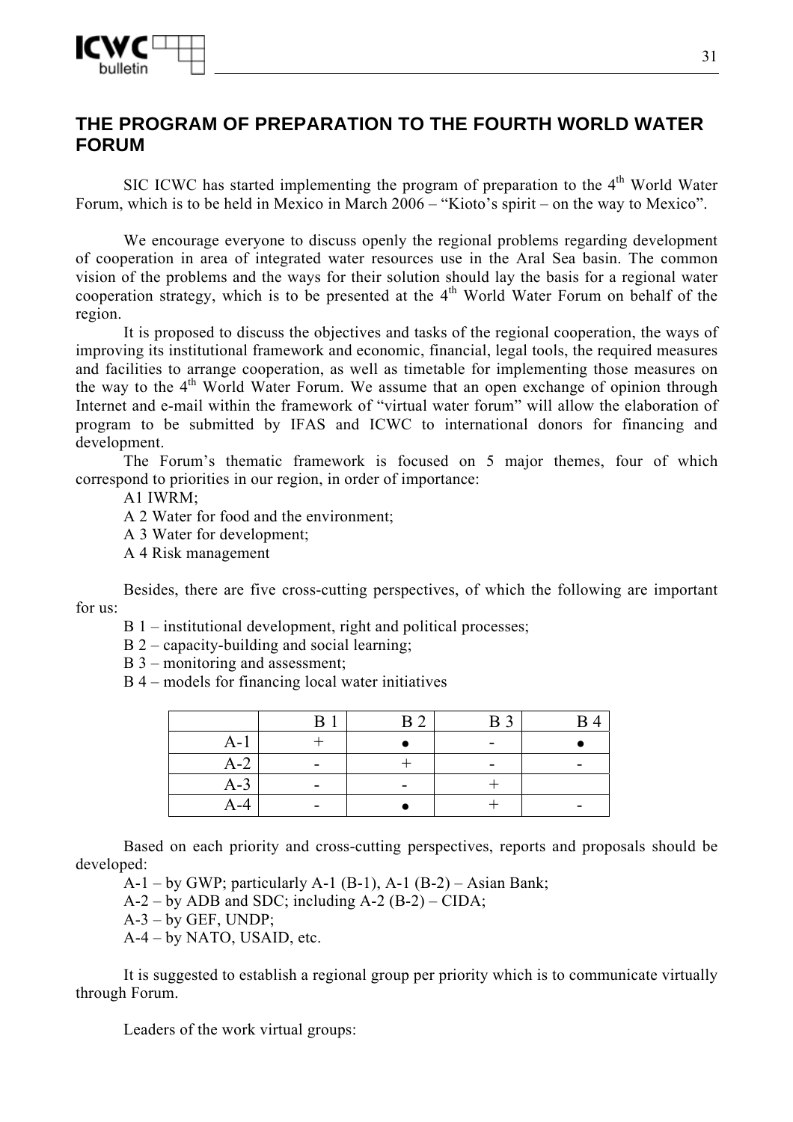

# **THE PROGRAM OF PREPARATION TO THE FOURTH WORLD WATER FORUM**

SIC ICWC has started implementing the program of preparation to the  $4<sup>th</sup>$  World Water Forum, which is to be held in Mexico in March 2006 – "Kioto's spirit – on the way to Mexico".

We encourage everyone to discuss openly the regional problems regarding development of cooperation in area of integrated water resources use in the Aral Sea basin. The common vision of the problems and the ways for their solution should lay the basis for a regional water cooperation strategy, which is to be presented at the  $4<sup>th</sup>$  World Water Forum on behalf of the region.

It is proposed to discuss the objectives and tasks of the regional cooperation, the ways of improving its institutional framework and economic, financial, legal tools, the required measures and facilities to arrange cooperation, as well as timetable for implementing those measures on the way to the  $4<sup>th</sup>$  World Water Forum. We assume that an open exchange of opinion through Internet and e-mail within the framework of "virtual water forum" will allow the elaboration of program to be submitted by IFAS and ICWC to international donors for financing and development.

The Forum's thematic framework is focused on 5 major themes, four of which correspond to priorities in our region, in order of importance:

А1 IWRM;

А 2 Water for food and the environment;

- А 3 Water for development;
- А 4 Risk management

Besides, there are five cross-cutting perspectives, of which the following are important for us:

- В 1 institutional development, right and political processes;
- В 2 capacity-building and social learning;
- B 3 monitoring and assessment;
- В 4 models for financing local water initiatives

|       | B                        | $\sim$<br>R | B <sub>3</sub> |  |
|-------|--------------------------|-------------|----------------|--|
| $A-J$ |                          |             | -              |  |
| $A-2$ |                          |             | -              |  |
| $A-3$ | $\overline{\phantom{0}}$ |             |                |  |
| A-4   |                          |             |                |  |

Based on each priority and cross-cutting perspectives, reports and proposals should be developed:

 $A-1$  – by GWP; particularly  $A-1$  (B-1),  $A-1$  (B-2) – Asian Bank;

 $A-2$  – by ADB and SDC; including  $A-2$  (B-2) – CIDA;

 $A-3$  – by GEF, UNDP;

А-4 – by NATO, USAID, etc.

It is suggested to establish a regional group per priority which is to communicate virtually through Forum.

Leaders of the work virtual groups: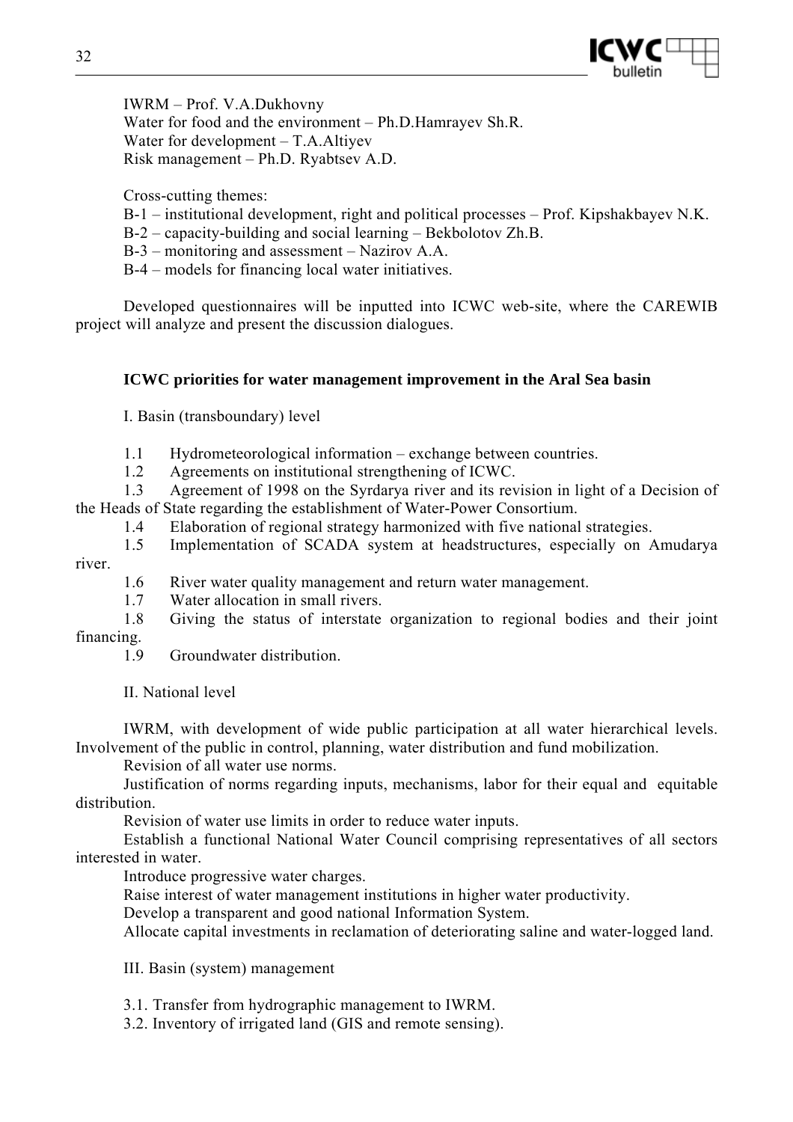

IWRM – Prof. V.A.Dukhovny Water for food and the environment – Ph.D.Hamrayev Sh.R. Water for development – T.A.Altiyev Risk management – Ph.D. Ryabtsev A.D.

Cross-cutting themes:

- В-1 institutional development, right and political processes Prof. Kipshakbayev N.K.
- В-2 capacity-building and social learning Bekbolotov Zh.B.
- В-3 monitoring and assessment Nazirov A.A.
- В-4 models for financing local water initiatives.

Developed questionnaires will be inputted into ICWC web-site, where the CAREWIB project will analyze and present the discussion dialogues.

# **ICWC priorities for water management improvement in the Aral Sea basin**

I. Basin (transboundary) level

1.1 Hydrometeorological information – exchange between countries.

1.2 Agreements on institutional strengthening of ICWC.

1.3 Agreement of 1998 on the Syrdarya river and its revision in light of a Decision of the Heads of State regarding the establishment of Water-Power Consortium.

- 1.4 Elaboration of regional strategy harmonized with five national strategies.
- 1.5 Implementation of SCADA system at headstructures, especially on Amudarya

river.

1.6 River water quality management and return water management.

1.7 Water allocation in small rivers.

1.8 Giving the status of interstate organization to regional bodies and their joint financing.

1.9 Groundwater distribution.

II. National level

IWRM, with development of wide public participation at all water hierarchical levels. Involvement of the public in control, planning, water distribution and fund mobilization.

Revision of all water use norms.

Justification of norms regarding inputs, mechanisms, labor for their equal and equitable distribution.

Revision of water use limits in order to reduce water inputs.

Establish a functional National Water Council comprising representatives of all sectors interested in water.

Introduce progressive water charges.

Raise interest of water management institutions in higher water productivity.

Develop a transparent and good national Information System.

Allocate capital investments in reclamation of deteriorating saline and water-logged land.

III. Basin (system) management

3.1. Transfer from hydrographic management to IWRM.

3.2. Inventory of irrigated land (GIS and remote sensing).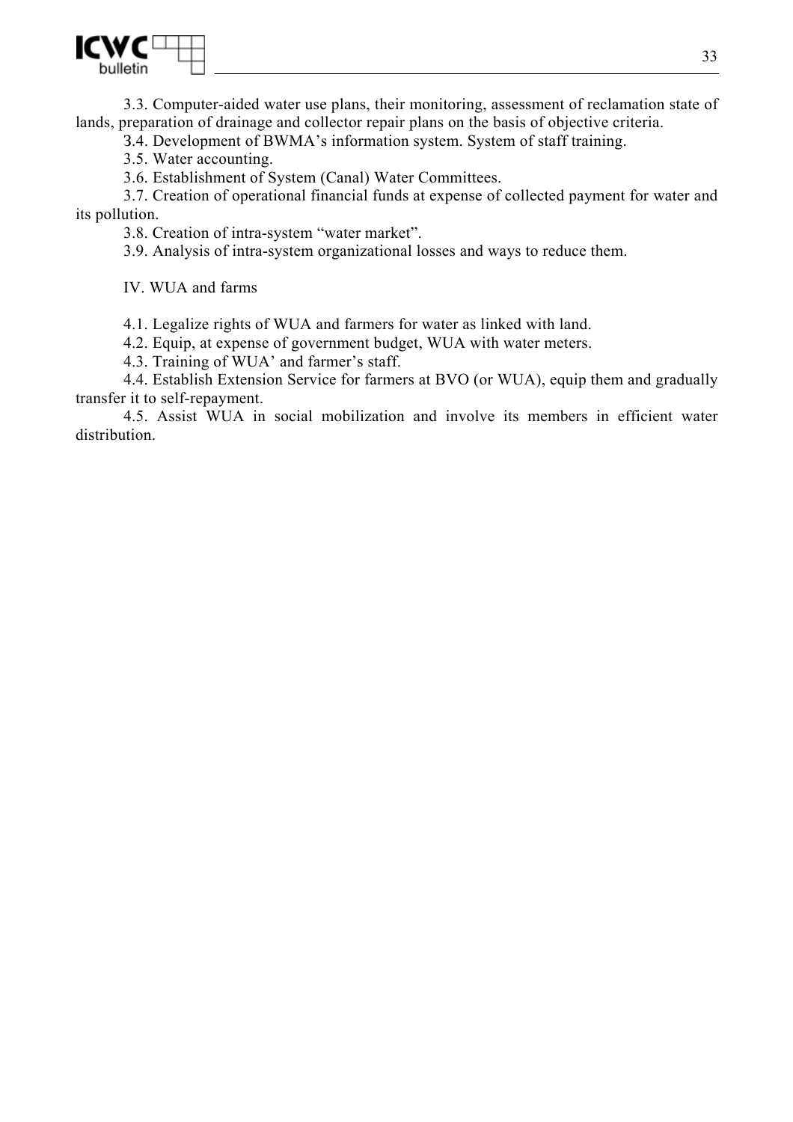

3.3. Computer-aided water use plans, their monitoring, assessment of reclamation state of lands, preparation of drainage and collector repair plans on the basis of objective criteria.

З.4. Development of BWMA's information system. System of staff training.

3.5. Water accounting.

3.6. Establishment of System (Canal) Water Committees.

3.7. Creation of operational financial funds at expense of collected payment for water and its pollution.

3.8. Creation of intra-system "water market".

3.9. Analysis of intra-system organizational losses and ways to reduce them.

IV. WUA and farms

4.1. Legalize rights of WUA and farmers for water as linked with land.

4.2. Equip, at expense of government budget, WUA with water meters.

4.3. Training of WUA' and farmer's staff.

4.4. Establish Extension Service for farmers at BVO (or WUA), equip them and gradually transfer it to self-repayment.

4.5. Assist WUA in social mobilization and involve its members in efficient water distribution.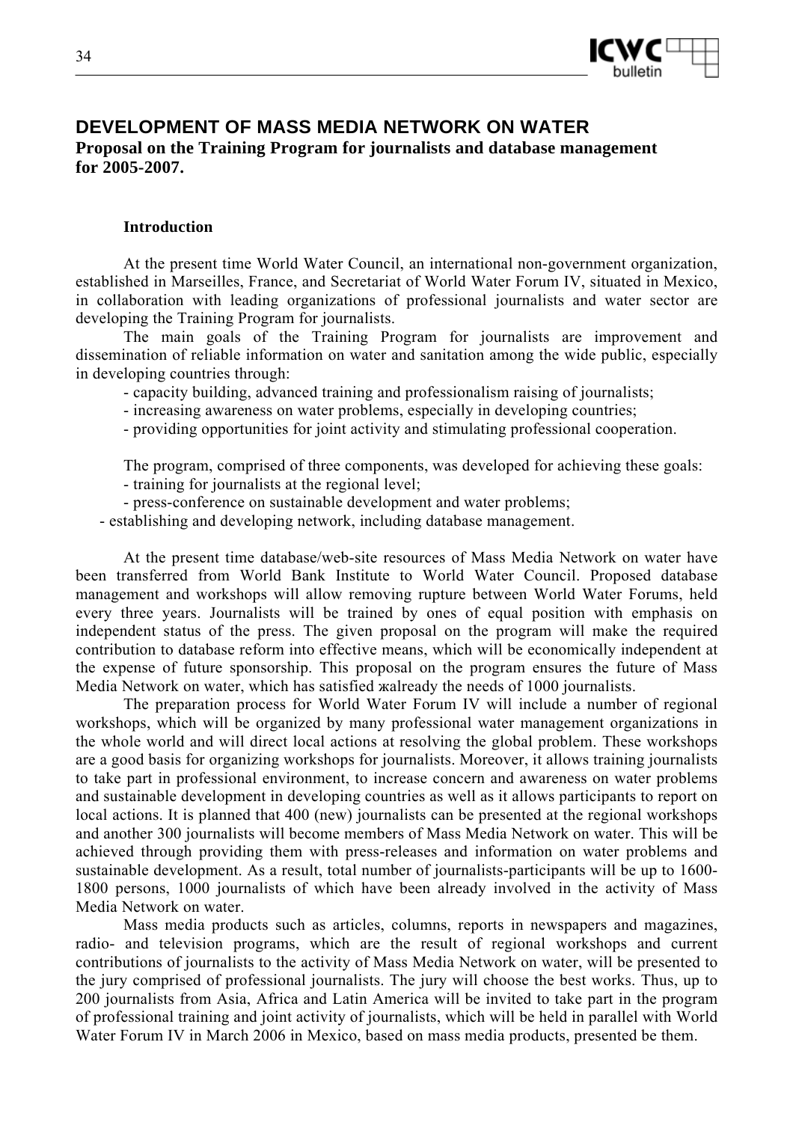

# **DEVELOPMENT OF MASS MEDIA NETWORK ON WATER Proposal on the Training Program for journalists and database management for 2005-2007.**

#### **Introduction**

At the present time World Water Council, an international non-government organization, established in Marseilles, France, and Secretariat of World Water Forum IV, situated in Mexico, in collaboration with leading organizations of professional journalists and water sector are developing the Training Program for journalists.

The main goals of the Training Program for journalists are improvement and dissemination of reliable information on water and sanitation among the wide public, especially in developing countries through:

- capacity building, advanced training and professionalism raising of journalists;

- increasing awareness on water problems, especially in developing countries;

- providing opportunities for joint activity and stimulating professional cooperation.

The program, comprised of three components, was developed for achieving these goals:

- training for journalists at the regional level;

- press-conference on sustainable development and water problems;

- establishing and developing network, including database management.

At the present time database/web-site resources of Mass Media Network on water have been transferred from World Bank Institute to World Water Council. Proposed database management and workshops will allow removing rupture between World Water Forums, held every three years. Journalists will be trained by ones of equal position with emphasis on independent status of the press. The given proposal on the program will make the required contribution to database reform into effective means, which will be economically independent at the expense of future sponsorship. This proposal on the program ensures the future of Mass Media Network on water, which has satisfied жalready the needs of 1000 journalists.

The preparation process for World Water Forum IV will include a number of regional workshops, which will be organized by many professional water management organizations in the whole world and will direct local actions at resolving the global problem. These workshops are a good basis for organizing workshops for journalists. Moreover, it allows training journalists to take part in professional environment, to increase concern and awareness on water problems and sustainable development in developing countries as well as it allows participants to report on local actions. It is planned that 400 (new) journalists can be presented at the regional workshops and another 300 journalists will become members of Mass Media Network on water. This will be achieved through providing them with press-releases and information on water problems and sustainable development. As a result, total number of journalists-participants will be up to 1600- 1800 persons, 1000 journalists of which have been already involved in the activity of Mass Media Network on water.

Mass media products such as articles, columns, reports in newspapers and magazines, radio- and television programs, which are the result of regional workshops and current contributions of journalists to the activity of Mass Media Network on water, will be presented to the jury comprised of professional journalists. The jury will choose the best works. Thus, up to 200 journalists from Asia, Africa and Latin America will be invited to take part in the program of professional training and joint activity of journalists, which will be held in parallel with World Water Forum IV in March 2006 in Mexico, based on mass media products, presented be them.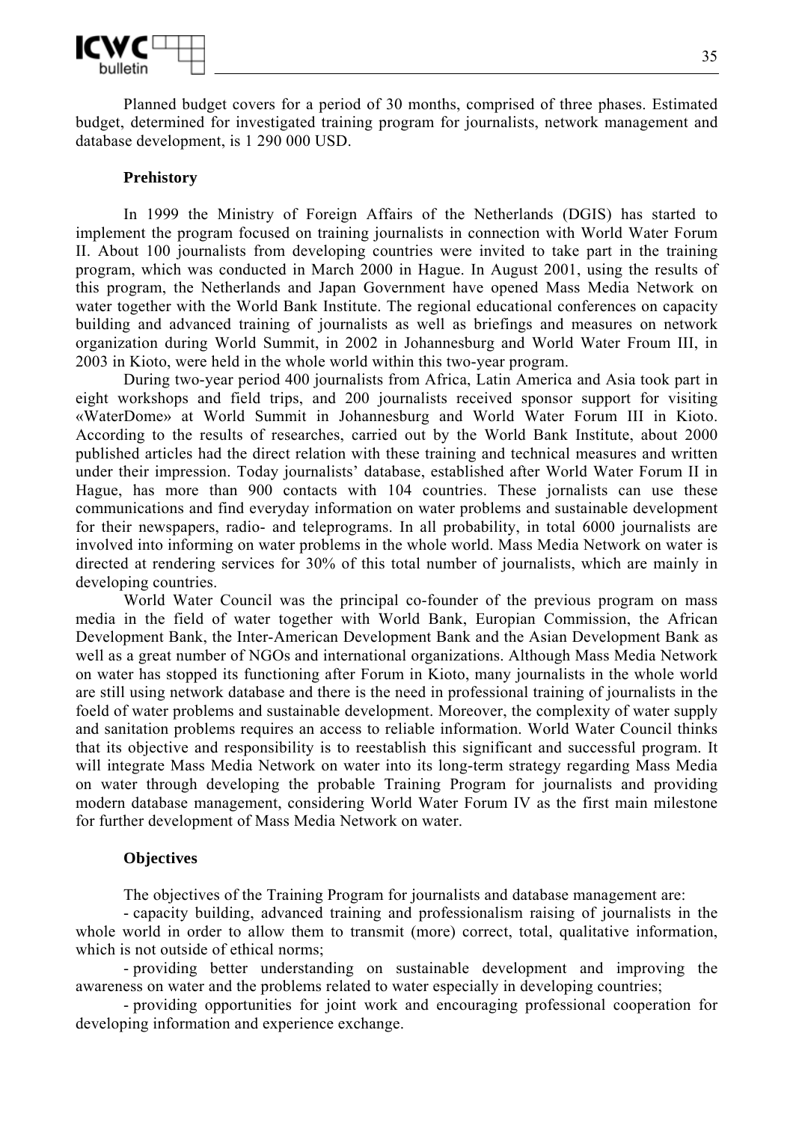

Planned budget covers for a period of 30 months, comprised of three phases. Estimated budget, determined for investigated training program for journalists, network management and database development, is 1 290 000 USD.

#### **Prehistory**

In 1999 the Ministry of Foreign Affairs of the Netherlands (DGIS) has started to implement the program focused on training journalists in connection with World Water Forum II. About 100 journalists from developing countries were invited to take part in the training program, which was conducted in March 2000 in Hague. In August 2001, using the results of this program, the Netherlands and Japan Government have opened Mass Media Network on water together with the World Bank Institute. The regional educational conferences on capacity building and advanced training of journalists as well as briefings and measures on network organization during World Summit, in 2002 in Johannesburg and World Water Froum III, in 2003 in Kioto, were held in the whole world within this two-year program.

During two-year period 400 journalists from Africa, Latin America and Asia took part in eight workshops and field trips, and 200 journalists received sponsor support for visiting «WaterDome» at World Summit in Johannesburg and World Water Forum III in Kioto. According to the results of researches, carried out by the World Bank Institute, about 2000 published articles had the direct relation with these training and technical measures and written under their impression. Today journalists' database, established after World Water Forum II in Hague, has more than 900 contacts with 104 countries. These jornalists can use these communications and find everyday information on water problems and sustainable development for their newspapers, radio- and teleprograms. In all probability, in total 6000 journalists are involved into informing on water problems in the whole world. Mass Media Network on water is directed at rendering services for 30% of this total number of journalists, which are mainly in developing countries.

World Water Council was the principal co-founder of the previous program on mass media in the field of water together with World Bank, Europian Commission, the African Development Bank, the Inter-American Development Bank and the Asian Development Bank as well as a great number of NGOs and international organizations. Although Mass Media Network on water has stopped its functioning after Forum in Kioto, many journalists in the whole world are still using network database and there is the need in professional training of journalists in the foeld of water problems and sustainable development. Moreover, the complexity of water supply and sanitation problems requires an access to reliable information. World Water Council thinks that its objective and responsibility is to reestablish this significant and successful program. It will integrate Mass Media Network on water into its long-term strategy regarding Mass Media on water through developing the probable Training Program for journalists and providing modern database management, considering World Water Forum IV as the first main milestone for further development of Mass Media Network on water.

#### **Objectives**

The objectives of the Training Program for journalists and database management are:

- capacity building, advanced training and professionalism raising of journalists in the whole world in order to allow them to transmit (more) correct, total, qualitative information, which is not outside of ethical norms;

- providing better understanding on sustainable development and improving the awareness on water and the problems related to water especially in developing countries;

- providing opportunities for joint work and encouraging professional cooperation for developing information and experience exchange.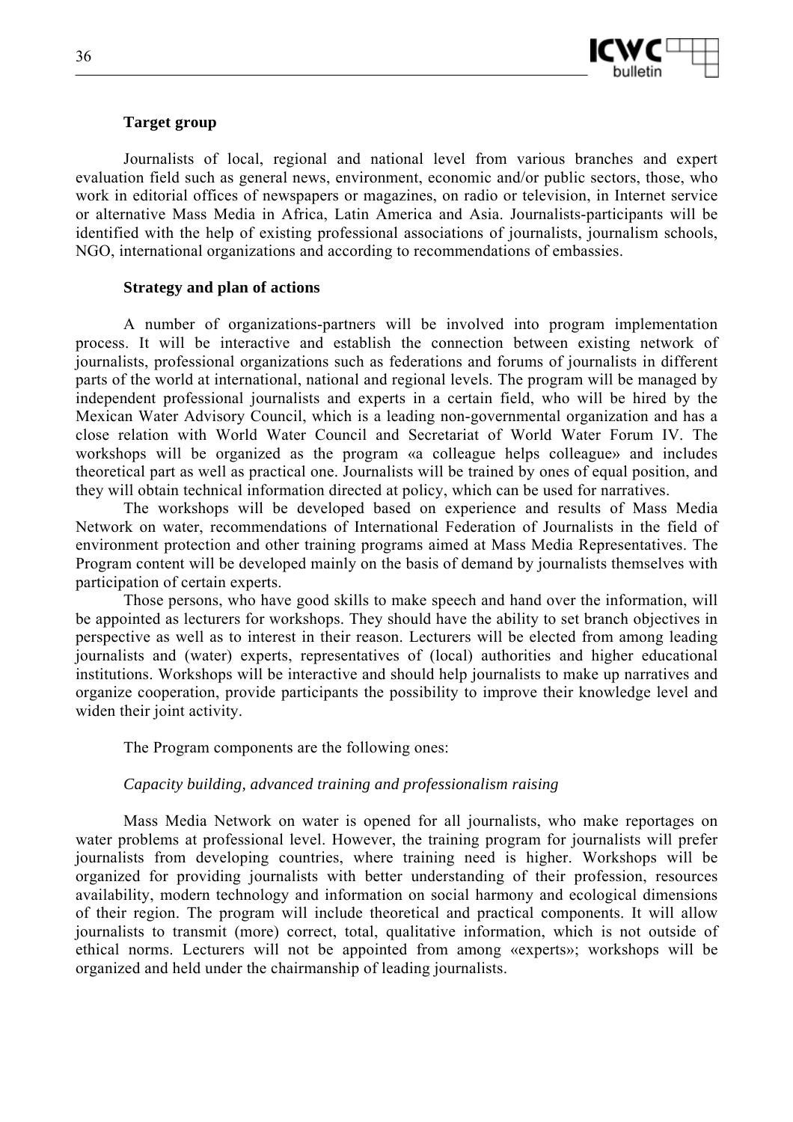

### **Target group**

Journalists of local, regional and national level from various branches and expert evaluation field such as general news, environment, economic and/or public sectors, those, who work in editorial offices of newspapers or magazines, on radio or television, in Internet service or alternative Mass Media in Africa, Latin America and Asia. Journalists-participants will be identified with the help of existing professional associations of journalists, journalism schools, NGO, international organizations and according to recommendations of embassies.

### **Strategy and plan of actions**

A number of organizations-partners will be involved into program implementation process. It will be interactive and establish the connection between existing network of journalists, professional organizations such as federations and forums of journalists in different parts of the world at international, national and regional levels. The program will be managed by independent professional journalists and experts in a certain field, who will be hired by the Mexican Water Advisory Council, which is a leading non-governmental organization and has a close relation with World Water Council and Secretariat of World Water Forum IV. The workshops will be organized as the program «a colleague helps colleague» and includes theoretical part as well as practical one. Journalists will be trained by ones of equal position, and they will obtain technical information directed at policy, which can be used for narratives.

The workshops will be developed based on experience and results of Mass Media Network on water, recommendations of International Federation of Journalists in the field of environment protection and other training programs aimed at Mass Media Representatives. The Program content will be developed mainly on the basis of demand by journalists themselves with participation of certain experts.

Those persons, who have good skills to make speech and hand over the information, will be appointed as lecturers for workshops. They should have the ability to set branch objectives in perspective as well as to interest in their reason. Lecturers will be elected from among leading journalists and (water) experts, representatives of (local) authorities and higher educational institutions. Workshops will be interactive and should help journalists to make up narratives and organize cooperation, provide participants the possibility to improve their knowledge level and widen their joint activity.

The Program components are the following ones:

### *Capacity building, advanced training and professionalism raising*

Mass Media Network on water is opened for all journalists, who make reportages on water problems at professional level. However, the training program for journalists will prefer journalists from developing countries, where training need is higher. Workshops will be organized for providing journalists with better understanding of their profession, resources availability, modern technology and information on social harmony and ecological dimensions of their region. The program will include theoretical and practical components. It will allow journalists to transmit (more) correct, total, qualitative information, which is not outside of ethical norms. Lecturers will not be appointed from among «experts»; workshops will be organized and held under the chairmanship of leading journalists.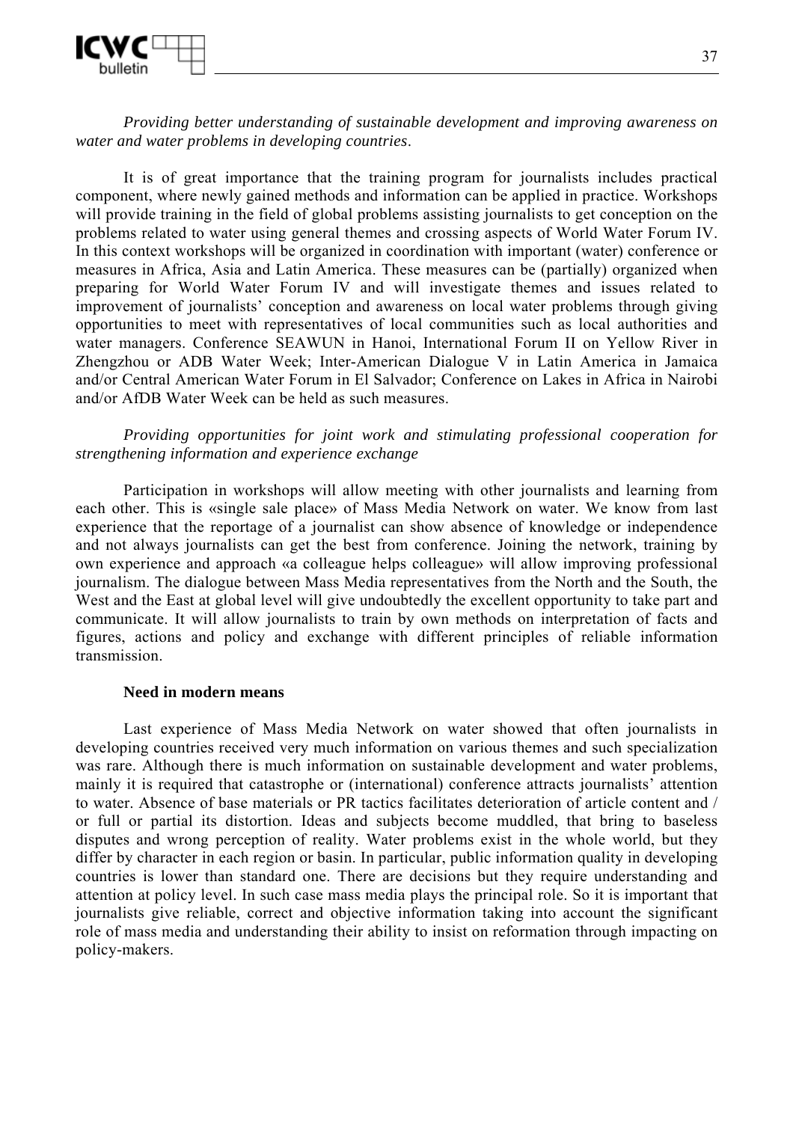

*Providing better understanding of sustainable development and improving awareness on water and water problems in developing countries*.

It is of great importance that the training program for journalists includes practical component, where newly gained methods and information can be applied in practice. Workshops will provide training in the field of global problems assisting journalists to get conception on the problems related to water using general themes and crossing aspects of World Water Forum IV. In this context workshops will be organized in coordination with important (water) conference or measures in Africa, Asia and Latin America. These measures can be (partially) organized when preparing for World Water Forum IV and will investigate themes and issues related to improvement of journalists' conception and awareness on local water problems through giving opportunities to meet with representatives of local communities such as local authorities and water managers. Conference SEAWUN in Hanoi, International Forum II on Yellow River in Zhengzhou or ADB Water Week; Inter-American Dialogue V in Latin America in Jamaica and/or Central American Water Forum in El Salvador; Conference on Lakes in Africa in Nairobi and/or AfDB Water Week can be held as such measures.

### *Providing opportunities for joint work and stimulating professional cooperation for strengthening information and experience exchange*

Participation in workshops will allow meeting with other journalists and learning from each other. This is «single sale place» of Mass Media Network on water. We know from last experience that the reportage of a journalist can show absence of knowledge or independence and not always journalists can get the best from conference. Joining the network, training by own experience and approach «a colleague helps colleague» will allow improving professional journalism. The dialogue between Mass Media representatives from the North and the South, the West and the East at global level will give undoubtedly the excellent opportunity to take part and communicate. It will allow journalists to train by own methods on interpretation of facts and figures, actions and policy and exchange with different principles of reliable information transmission.

#### **Need in modern means**

Last experience of Mass Media Network on water showed that often journalists in developing countries received very much information on various themes and such specialization was rare. Although there is much information on sustainable development and water problems, mainly it is required that catastrophe or (international) conference attracts journalists' attention to water. Absence of base materials or PR tactics facilitates deterioration of article content and / or full or partial its distortion. Ideas and subjects become muddled, that bring to baseless disputes and wrong perception of reality. Water problems exist in the whole world, but they differ by character in each region or basin. In particular, public information quality in developing countries is lower than standard one. There are decisions but they require understanding and attention at policy level. In such case mass media plays the principal role. So it is important that journalists give reliable, correct and objective information taking into account the significant role of mass media and understanding their ability to insist on reformation through impacting on policy-makers.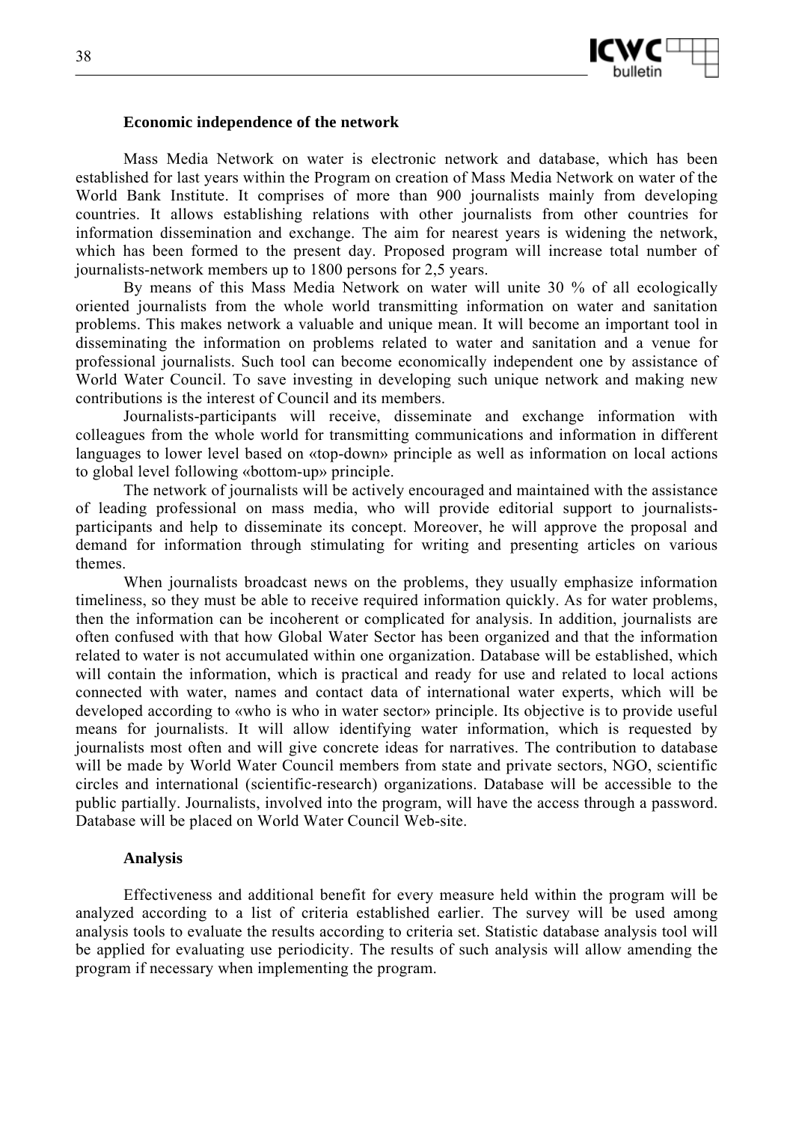

#### **Economic independence of the network**

Mass Media Network on water is electronic network and database, which has been established for last years within the Program on creation of Mass Media Network on water of the World Bank Institute. It comprises of more than 900 journalists mainly from developing countries. It allows establishing relations with other journalists from other countries for information dissemination and exchange. The aim for nearest years is widening the network, which has been formed to the present day. Proposed program will increase total number of journalists-network members up to 1800 persons for 2,5 years.

By means of this Mass Media Network on water will unite 30 % of all ecologically oriented journalists from the whole world transmitting information on water and sanitation problems. This makes network a valuable and unique mean. It will become an important tool in disseminating the information on problems related to water and sanitation and a venue for professional journalists. Such tool can become economically independent one by assistance of World Water Council. To save investing in developing such unique network and making new contributions is the interest of Council and its members.

Journalists-participants will receive, disseminate and exchange information with colleagues from the whole world for transmitting communications and information in different languages to lower level based on «top-down» principle as well as information on local actions to global level following «bottom-up» principle.

The network of journalists will be actively encouraged and maintained with the assistance of leading professional on mass media, who will provide editorial support to journalistsparticipants and help to disseminate its concept. Moreover, he will approve the proposal and demand for information through stimulating for writing and presenting articles on various themes.

When journalists broadcast news on the problems, they usually emphasize information timeliness, so they must be able to receive required information quickly. As for water problems, then the information can be incoherent or complicated for analysis. In addition, journalists are often confused with that how Global Water Sector has been organized and that the information related to water is not accumulated within one organization. Database will be established, which will contain the information, which is practical and ready for use and related to local actions connected with water, names and contact data of international water experts, which will be developed according to «who is who in water sector» principle. Its objective is to provide useful means for journalists. It will allow identifying water information, which is requested by journalists most often and will give concrete ideas for narratives. The contribution to database will be made by World Water Council members from state and private sectors, NGO, scientific circles and international (scientific-research) organizations. Database will be accessible to the public partially. Journalists, involved into the program, will have the access through a password. Database will be placed on World Water Council Web-site.

#### **Analysis**

Effectiveness and additional benefit for every measure held within the program will be analyzed according to a list of criteria established earlier. The survey will be used among analysis tools to evaluate the results according to criteria set. Statistic database analysis tool will be applied for evaluating use periodicity. The results of such analysis will allow amending the program if necessary when implementing the program.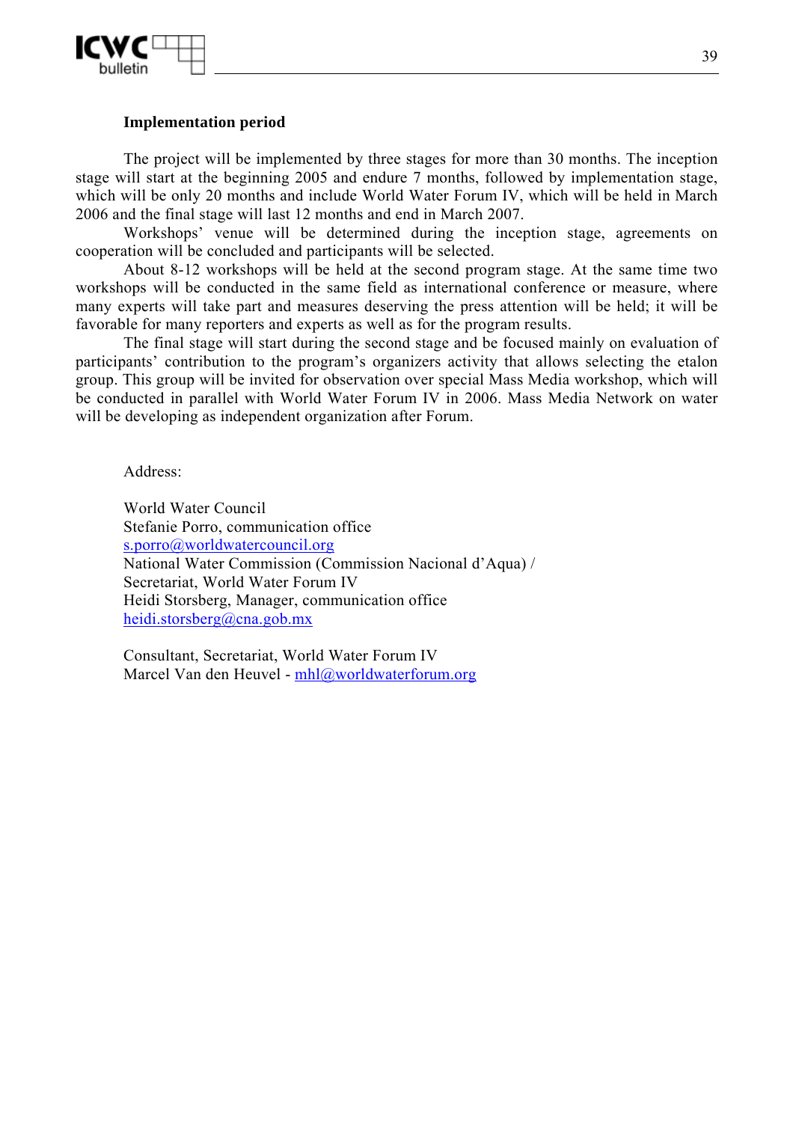

### **Implementation period**

The project will be implemented by three stages for more than 30 months. The inception stage will start at the beginning 2005 and endure 7 months, followed by implementation stage, which will be only 20 months and include World Water Forum IV, which will be held in March 2006 and the final stage will last 12 months and end in March 2007.

Workshops' venue will be determined during the inception stage, agreements on cooperation will be concluded and participants will be selected.

About 8-12 workshops will be held at the second program stage. At the same time two workshops will be conducted in the same field as international conference or measure, where many experts will take part and measures deserving the press attention will be held; it will be favorable for many reporters and experts as well as for the program results.

The final stage will start during the second stage and be focused mainly on evaluation of participants' contribution to the program's organizers activity that allows selecting the etalon group. This group will be invited for observation over special Mass Media workshop, which will be conducted in parallel with World Water Forum IV in 2006. Mass Media Network on water will be developing as independent organization after Forum.

Address:

World Water Council Stefanie Porro, communication office s.porro@worldwatercouncil.org National Water Commission (Commission Nacional d'Aqua) / Secretariat, World Water Forum IV Heidi Storsberg, Manager, communication office heidi.storsberg@cna.gob.mx

Consultant, Secretariat, World Water Forum IV Marcel Van den Heuvel - mhl@worldwaterforum.org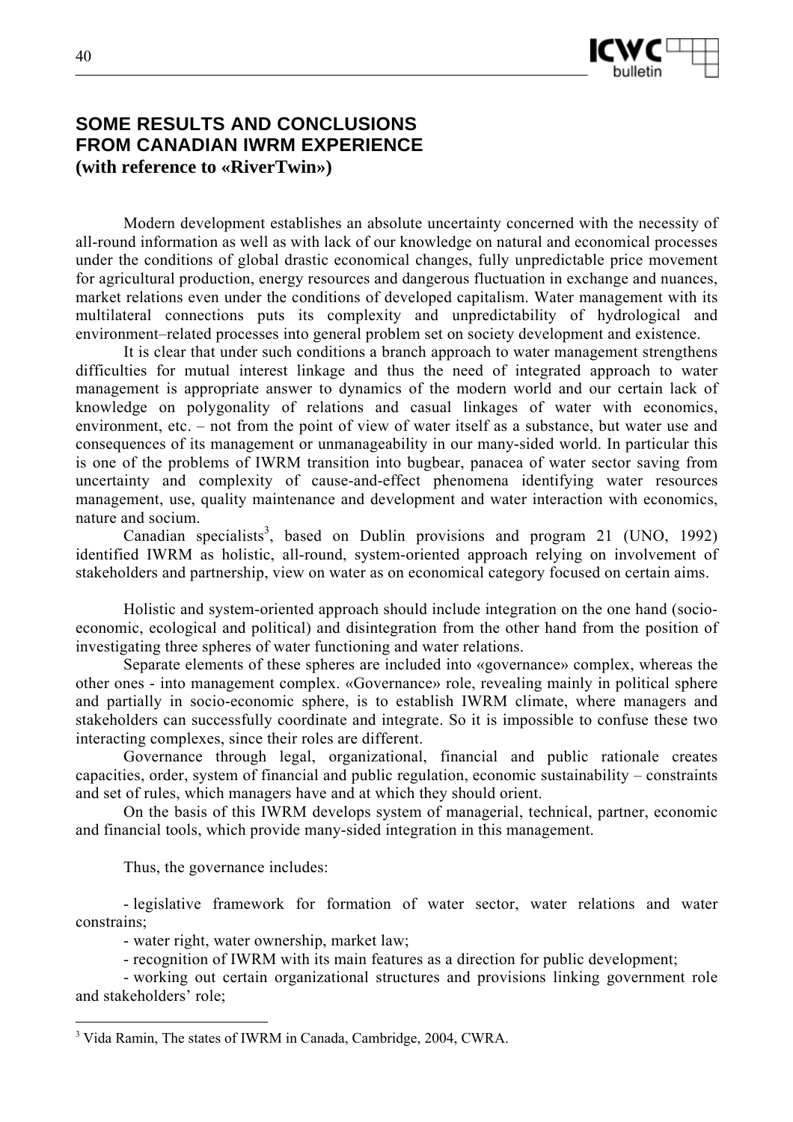

# **SOME RESULTS AND CONCLUSIONS FROM CANADIAN IWRM EXPERIENCE (with reference to «RiverTwin»)**

Modern development establishes an absolute uncertainty concerned with the necessity of all-round information as well as with lack of our knowledge on natural and economical processes under the conditions of global drastic economical changes, fully unpredictable price movement for agricultural production, energy resources and dangerous fluctuation in exchange and nuances, market relations even under the conditions of developed capitalism. Water management with its multilateral connections puts its complexity and unpredictability of hydrological and environment–related processes into general problem set on society development and existence.

It is clear that under such conditions a branch approach to water management strengthens difficulties for mutual interest linkage and thus the need of integrated approach to water management is appropriate answer to dynamics of the modern world and our certain lack of knowledge on polygonality of relations and casual linkages of water with economics, environment, etc. – not from the point of view of water itself as a substance, but water use and consequences of its management or unmanageability in our many-sided world. In particular this is one of the problems of IWRM transition into bugbear, panacea of water sector saving from uncertainty and complexity of cause-and-effect phenomena identifying water resources management, use, quality maintenance and development and water interaction with economics, nature and socium.

Canadian specialists<sup>3</sup>, based on Dublin provisions and program 21 (UNO, 1992) identified IWRM as holistic, all-round, system-oriented approach relying on involvement of stakeholders and partnership, view on water as on economical category focused on certain aims.

Holistic and system-oriented approach should include integration on the one hand (socioeconomic, ecological and political) and disintegration from the other hand from the position of investigating three spheres of water functioning and water relations.

Separate elements of these spheres are included into «governance» complex, whereas the other ones - into management complex. «Governance» role, revealing mainly in political sphere and partially in socio-economic sphere, is to establish IWRM climate, where managers and stakeholders can successfully coordinate and integrate. So it is impossible to confuse these two interacting complexes, since their roles are different.

Governance through legal, organizational, financial and public rationale creates capacities, order, system of financial and public regulation, economic sustainability – constraints and set of rules, which managers have and at which they should orient.

On the basis of this IWRM develops system of managerial, technical, partner, economic and financial tools, which provide many-sided integration in this management.

Thus, the governance includes:

 $\overline{a}$ 

- legislative framework for formation of water sector, water relations and water constrains;

- water right, water ownership, market law;

- recognition of IWRM with its main features as a direction for public development;

- working out certain organizational structures and provisions linking government role and stakeholders' role;

<sup>&</sup>lt;sup>3</sup> Vida Ramin, The states of IWRM in Canada, Cambridge, 2004, CWRA.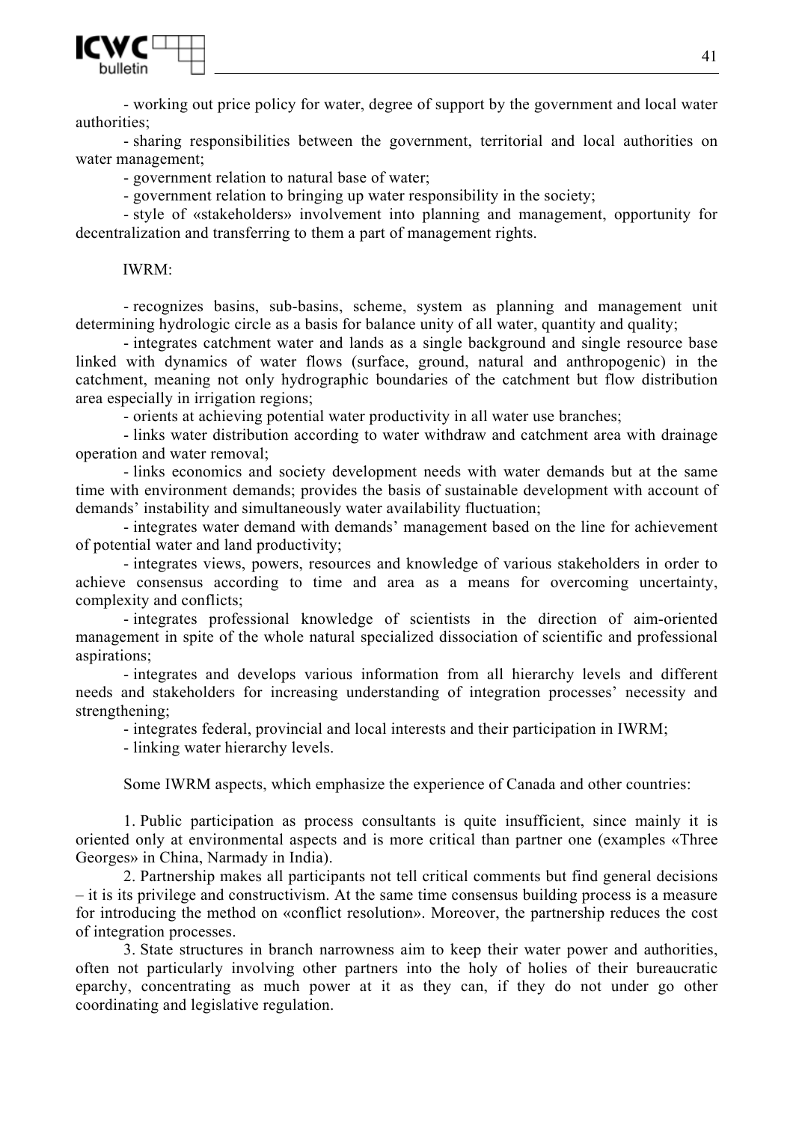

- working out price policy for water, degree of support by the government and local water authorities;

- sharing responsibilities between the government, territorial and local authorities on water management;

- government relation to natural base of water;

- government relation to bringing up water responsibility in the society;

- style of «stakeholders» involvement into planning and management, opportunity for decentralization and transferring to them a part of management rights.

### IWRM:

- recognizes basins, sub-basins, scheme, system as planning and management unit determining hydrologic circle as a basis for balance unity of all water, quantity and quality;

- integrates catchment water and lands as a single background and single resource base linked with dynamics of water flows (surface, ground, natural and anthropogenic) in the catchment, meaning not only hydrographic boundaries of the catchment but flow distribution area especially in irrigation regions;

- orients at achieving potential water productivity in all water use branches;

- links water distribution according to water withdraw and catchment area with drainage operation and water removal;

- links economics and society development needs with water demands but at the same time with environment demands; provides the basis of sustainable development with account of demands' instability and simultaneously water availability fluctuation;

- integrates water demand with demands' management based on the line for achievement of potential water and land productivity;

- integrates views, powers, resources and knowledge of various stakeholders in order to achieve consensus according to time and area as a means for overcoming uncertainty, complexity and conflicts;

- integrates professional knowledge of scientists in the direction of aim-oriented management in spite of the whole natural specialized dissociation of scientific and professional aspirations;

- integrates and develops various information from all hierarchy levels and different needs and stakeholders for increasing understanding of integration processes' necessity and strengthening;

- integrates federal, provincial and local interests and their participation in IWRM;

- linking water hierarchy levels.

Some IWRM aspects, which emphasize the experience of Canada and other countries:

1. Public participation as process consultants is quite insufficient, since mainly it is oriented only at environmental aspects and is more critical than partner one (examples «Three Georges» in China, Narmady in India).

2. Partnership makes all participants not tell critical comments but find general decisions – it is its privilege and constructivism. At the same time consensus building process is a measure for introducing the method on «conflict resolution». Moreover, the partnership reduces the cost of integration processes.

3. State structures in branch narrowness aim to keep their water power and authorities, often not particularly involving other partners into the holy of holies of their bureaucratic eparchy, concentrating as much power at it as they can, if they do not under go other coordinating and legislative regulation.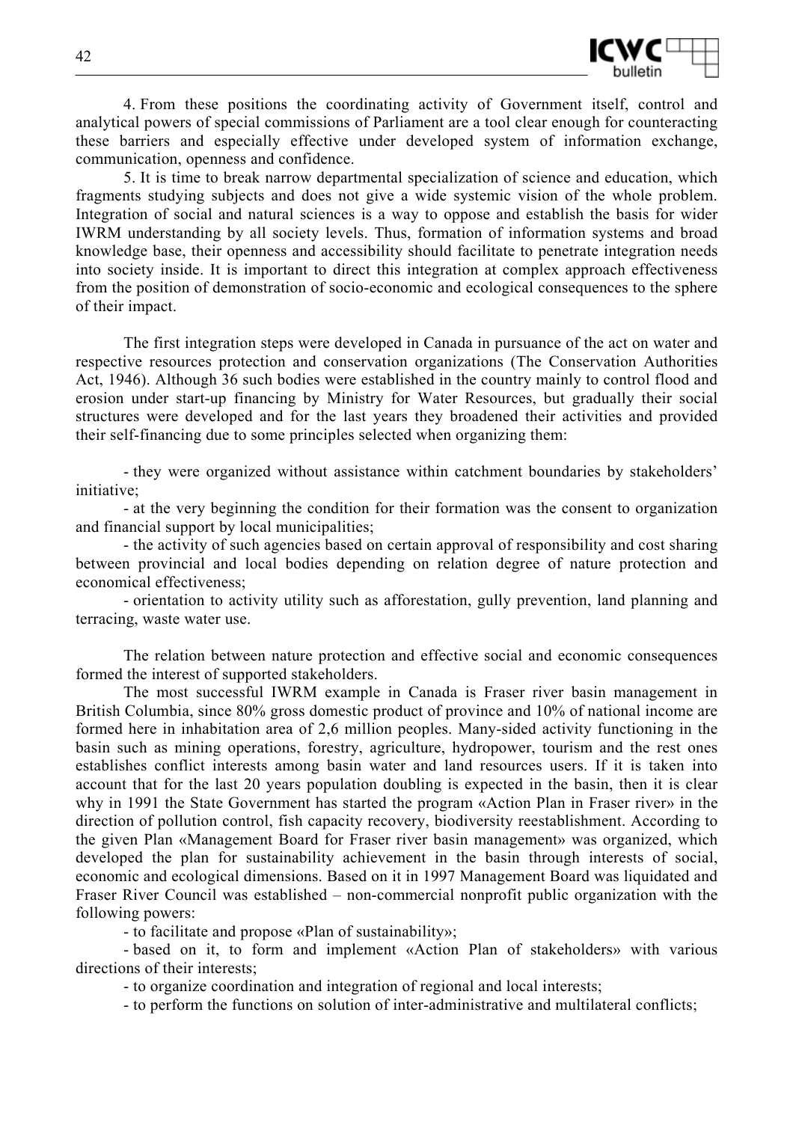

4. From these positions the coordinating activity of Government itself, control and analytical powers of special commissions of Parliament are a tool clear enough for counteracting these barriers and especially effective under developed system of information exchange, communication, openness and confidence.

5. It is time to break narrow departmental specialization of science and education, which fragments studying subjects and does not give a wide systemic vision of the whole problem. Integration of social and natural sciences is a way to oppose and establish the basis for wider IWRM understanding by all society levels. Thus, formation of information systems and broad knowledge base, their openness and accessibility should facilitate to penetrate integration needs into society inside. It is important to direct this integration at complex approach effectiveness from the position of demonstration of socio-economic and ecological consequences to the sphere of their impact.

The first integration steps were developed in Canada in pursuance of the act on water and respective resources protection and conservation organizations (The Conservation Authorities Act, 1946). Although 36 such bodies were established in the country mainly to control flood and erosion under start-up financing by Ministry for Water Resources, but gradually their social structures were developed and for the last years they broadened their activities and provided their self-financing due to some principles selected when organizing them:

- they were organized without assistance within catchment boundaries by stakeholders' initiative;

- at the very beginning the condition for their formation was the consent to organization and financial support by local municipalities;

- the activity of such agencies based on certain approval of responsibility and cost sharing between provincial and local bodies depending on relation degree of nature protection and economical effectiveness;

- orientation to activity utility such as afforestation, gully prevention, land planning and terracing, waste water use.

The relation between nature protection and effective social and economic consequences formed the interest of supported stakeholders.

The most successful IWRM example in Canada is Fraser river basin management in British Columbia, since 80% gross domestic product of province and 10% of national income are formed here in inhabitation area of 2,6 million peoples. Many-sided activity functioning in the basin such as mining operations, forestry, agriculture, hydropower, tourism and the rest ones establishes conflict interests among basin water and land resources users. If it is taken into account that for the last 20 years population doubling is expected in the basin, then it is clear why in 1991 the State Government has started the program «Action Plan in Fraser river» in the direction of pollution control, fish capacity recovery, biodiversity reestablishment. According to the given Plan «Management Board for Fraser river basin management» was organized, which developed the plan for sustainability achievement in the basin through interests of social, economic and ecological dimensions. Based on it in 1997 Management Board was liquidated and Fraser River Council was established – non-commercial nonprofit public organization with the following powers:

- to facilitate and propose «Plan of sustainability»;

- based on it, to form and implement «Action Plan of stakeholders» with various directions of their interests;

- to organize coordination and integration of regional and local interests;

- to perform the functions on solution of inter-administrative and multilateral conflicts;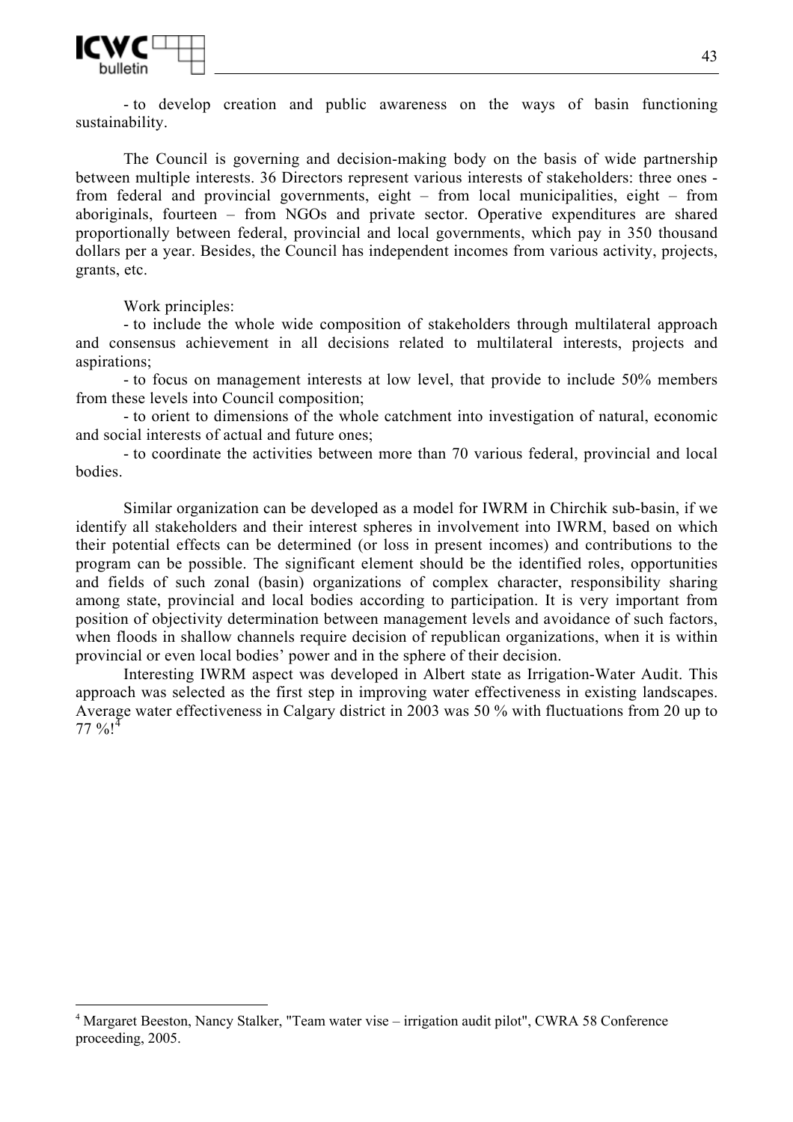

- to develop creation and public awareness on the ways of basin functioning sustainability.

The Council is governing and decision-making body on the basis of wide partnership between multiple interests. 36 Directors represent various interests of stakeholders: three ones from federal and provincial governments, eight – from local municipalities, eight – from aboriginals, fourteen – from NGOs and private sector. Operative expenditures are shared proportionally between federal, provincial and local governments, which pay in 350 thousand dollars per a year. Besides, the Council has independent incomes from various activity, projects, grants, etc.

Work principles:

 $\overline{a}$ 

- to include the whole wide composition of stakeholders through multilateral approach and consensus achievement in all decisions related to multilateral interests, projects and aspirations;

- to focus on management interests at low level, that provide to include 50% members from these levels into Council composition;

- to orient to dimensions of the whole catchment into investigation of natural, economic and social interests of actual and future ones;

- to coordinate the activities between more than 70 various federal, provincial and local bodies.

Similar organization can be developed as a model for IWRM in Chirchik sub-basin, if we identify all stakeholders and their interest spheres in involvement into IWRM, based on which their potential effects can be determined (or loss in present incomes) and contributions to the program can be possible. The significant element should be the identified roles, opportunities and fields of such zonal (basin) organizations of complex character, responsibility sharing among state, provincial and local bodies according to participation. It is very important from position of objectivity determination between management levels and avoidance of such factors, when floods in shallow channels require decision of republican organizations, when it is within provincial or even local bodies' power and in the sphere of their decision.

Interesting IWRM aspect was developed in Albert state as Irrigation-Water Audit. This approach was selected as the first step in improving water effectiveness in existing landscapes. Average water effectiveness in Calgary district in 2003 was 50 % with fluctuations from 20 up to  $77 \%$ !<sup>4</sup>

<sup>4</sup> Margaret Beeston, Nancy Stalker, "Team water vise – irrigation audit pilot", CWRA 58 Conference proceeding, 2005.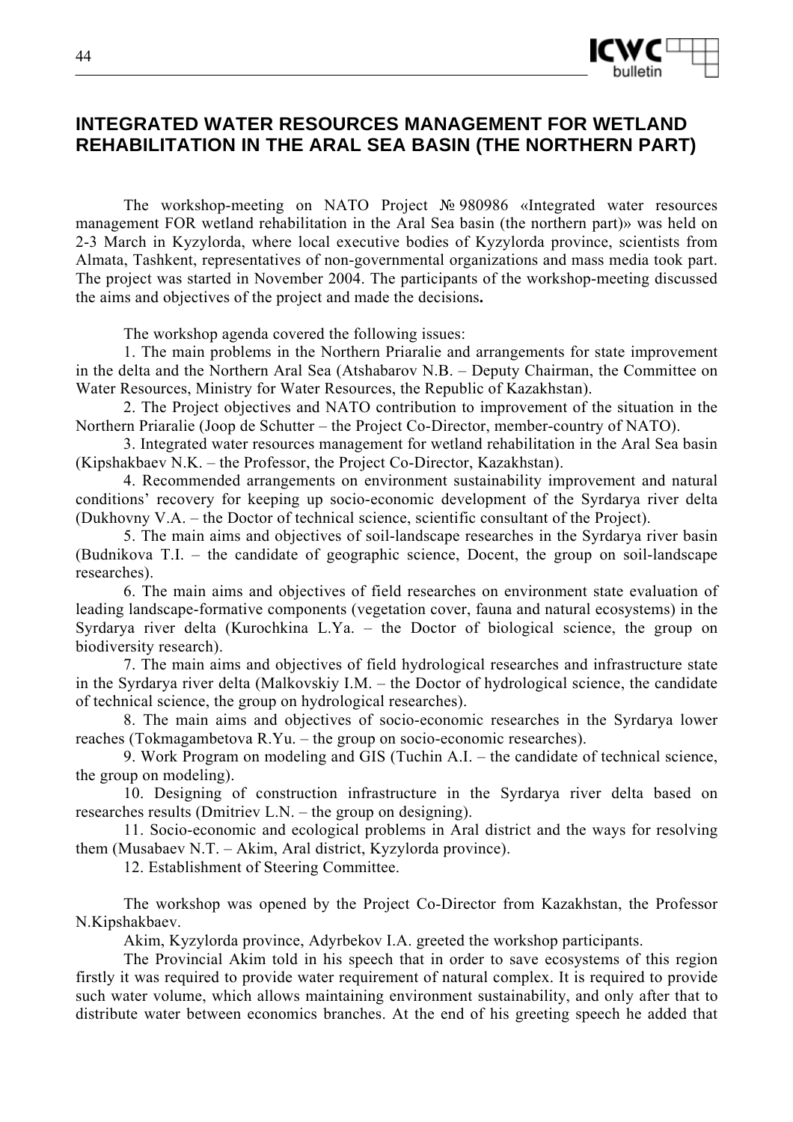

# **INTEGRATED WATER RESOURCES MANAGEMENT FOR WETLAND REHABILITATION IN THE ARAL SEA BASIN (THE NORTHERN PART)**

The workshop-meeting on NATO Project № 980986 «Integrated water resources management FOR wetland rehabilitation in the Aral Sea basin (the northern part)» was held on 2-3 March in Kyzylorda, where local executive bodies of Kyzylorda province, scientists from Almata, Tashkent, representatives of non-governmental organizations and mass media took part. The project was started in November 2004. The participants of the workshop-meeting discussed the aims and objectives of the project and made the decisions**.** 

The workshop agenda covered the following issues:

1. The main problems in the Northern Priaralie and arrangements for state improvement in the delta and the Northern Aral Sea (Atshabarov N.B. – Deputy Chairman, the Committee on Water Resources, Ministry for Water Resources, the Republic of Kazakhstan).

2. The Project objectives and NATO contribution to improvement of the situation in the Northern Priaralie (Joop de Schutter – the Project Co-Director, member-country of NATO).

3. Integrated water resources management for wetland rehabilitation in the Aral Sea basin (Kipshakbaev N.K. – the Professor, the Project Co-Director, Kazakhstan).

4. Recommended arrangements on environment sustainability improvement and natural conditions' recovery for keeping up socio-economic development of the Syrdarya river delta (Dukhovny V.A. – the Doctor of technical science, scientific consultant of the Project).

5. The main aims and objectives of soil-landscape researches in the Syrdarya river basin (Budnikova T.I. – the candidate of geographic science, Docent, the group on soil-landscape researches).

6. The main aims and objectives of field researches on environment state evaluation of leading landscape-formative components (vegetation cover, fauna and natural ecosystems) in the Syrdarya river delta (Kurochkina L.Ya. – the Doctor of biological science, the group on biodiversity research).

7. The main aims and objectives of field hydrological researches and infrastructure state in the Syrdarya river delta (Malkovskiy I.M. – the Doctor of hydrological science, the candidate of technical science, the group on hydrological researches).

8. The main aims and objectives of socio-economic researches in the Syrdarya lower reaches (Tokmagambetova R.Yu. – the group on socio-economic researches).

9. Work Program on modeling and GIS (Tuchin A.I. – the candidate of technical science, the group on modeling).

10. Designing of construction infrastructure in the Syrdarya river delta based on researches results (Dmitriev L.N. – the group on designing).

11. Socio-economic and ecological problems in Aral district and the ways for resolving them (Musabaev N.T. – Akim, Aral district, Kyzylorda province).

12. Establishment of Steering Committee.

The workshop was opened by the Project Co-Director from Kazakhstan, the Professor N.Kipshakbaev.

Akim, Kyzylorda province, Adyrbekov I.A. greeted the workshop participants.

The Provincial Akim told in his speech that in order to save ecosystems of this region firstly it was required to provide water requirement of natural complex. It is required to provide such water volume, which allows maintaining environment sustainability, and only after that to distribute water between economics branches. At the end of his greeting speech he added that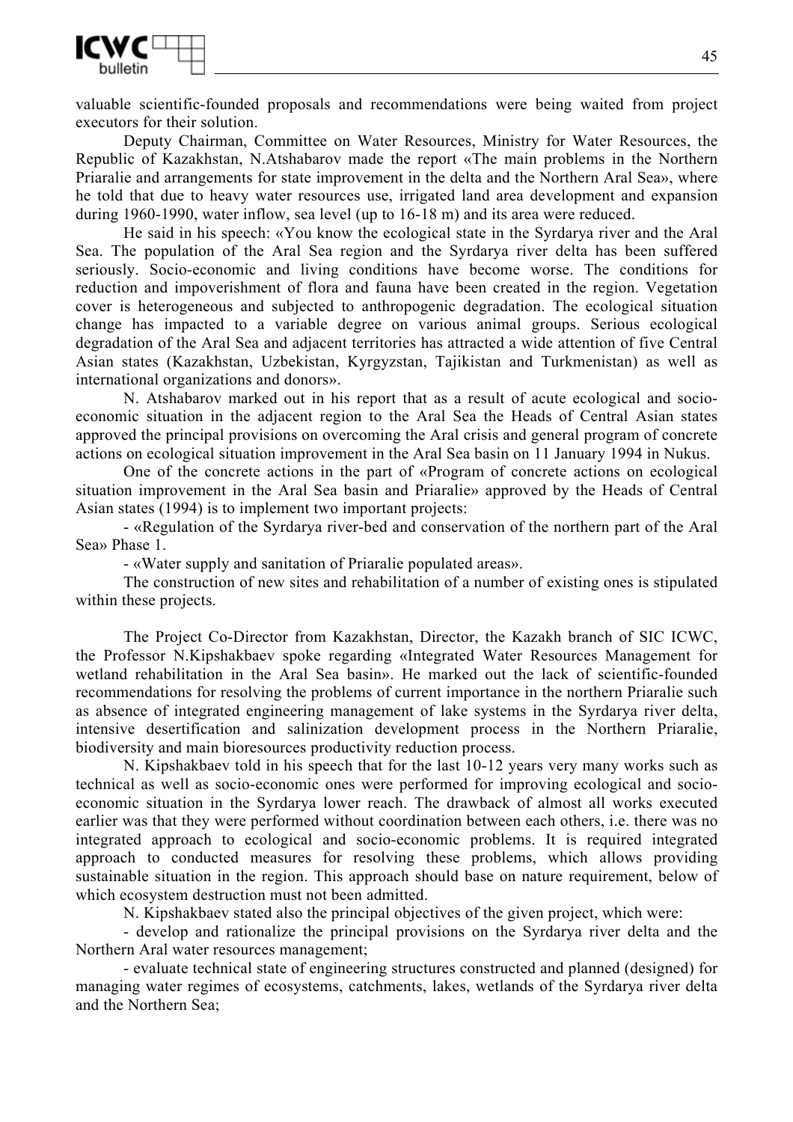

valuable scientific-founded proposals and recommendations were being waited from project executors for their solution.

Deputy Chairman, Committee on Water Resources, Ministry for Water Resources, the Republic of Kazakhstan, N.Atshabarov made the report «The main problems in the Northern Priaralie and arrangements for state improvement in the delta and the Northern Aral Sea», where he told that due to heavy water resources use, irrigated land area development and expansion during 1960-1990, water inflow, sea level (up to 16-18 m) and its area were reduced.

He said in his speech: «You know the ecological state in the Syrdarya river and the Aral Sea. The population of the Aral Sea region and the Syrdarya river delta has been suffered seriously. Socio-economic and living conditions have become worse. The conditions for reduction and impoverishment of flora and fauna have been created in the region. Vegetation cover is heterogeneous and subjected to anthropogenic degradation. The ecological situation change has impacted to a variable degree on various animal groups. Serious ecological degradation of the Aral Sea and adjacent territories has attracted a wide attention of five Central Asian states (Kazakhstan, Uzbekistan, Kyrgyzstan, Tajikistan and Turkmenistan) as well as international organizations and donors».

N. Atshabarov marked out in his report that as a result of acute ecological and socioeconomic situation in the adjacent region to the Aral Sea the Heads of Central Asian states approved the principal provisions on overcoming the Aral crisis and general program of concrete actions on ecological situation improvement in the Aral Sea basin on 11 January 1994 in Nukus.

One of the concrete actions in the part of «Program of concrete actions on ecological situation improvement in the Aral Sea basin and Priaralie» approved by the Heads of Central Asian states (1994) is to implement two important projects:

- «Regulation of the Syrdarya river-bed and conservation of the northern part of the Aral Sea» Phase 1.

- «Water supply and sanitation of Priaralie populated areas».

The construction of new sites and rehabilitation of a number of existing ones is stipulated within these projects.

The Project Co-Director from Kazakhstan, Director, the Kazakh branch of SIC ICWC, the Professor N.Kipshakbaev spoke regarding «Integrated Water Resources Management for wetland rehabilitation in the Aral Sea basin». He marked out the lack of scientific-founded recommendations for resolving the problems of current importance in the northern Priaralie such as absence of integrated engineering management of lake systems in the Syrdarya river delta, intensive desertification and salinization development process in the Northern Priaralie, biodiversity and main bioresources productivity reduction process.

N. Kipshakbaev told in his speech that for the last 10-12 years very many works such as technical as well as socio-economic ones were performed for improving ecological and socioeconomic situation in the Syrdarya lower reach. The drawback of almost all works executed earlier was that they were performed without coordination between each others, i.e. there was no integrated approach to ecological and socio-economic problems. It is required integrated approach to conducted measures for resolving these problems, which allows providing sustainable situation in the region. This approach should base on nature requirement, below of which ecosystem destruction must not been admitted.

N. Kipshakbaev stated also the principal objectives of the given project, which were:

- develop and rationalize the principal provisions on the Syrdarya river delta and the Northern Aral water resources management;

- evaluate technical state of engineering structures constructed and planned (designed) for managing water regimes of ecosystems, catchments, lakes, wetlands of the Syrdarya river delta and the Northern Sea;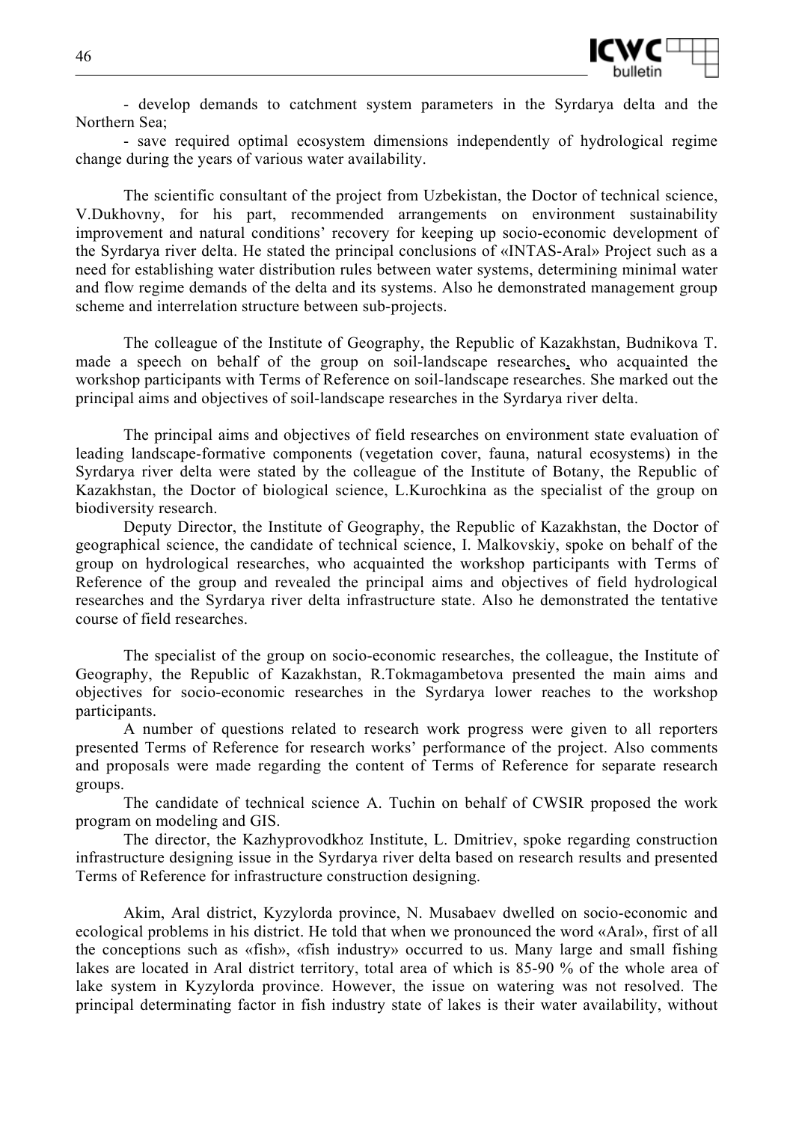

- develop demands to catchment system parameters in the Syrdarya delta and the Northern Sea;

- save required optimal ecosystem dimensions independently of hydrological regime change during the years of various water availability.

The scientific consultant of the project from Uzbekistan, the Doctor of technical science, V.Dukhovny, for his part, recommended arrangements on environment sustainability improvement and natural conditions' recovery for keeping up socio-economic development of the Syrdarya river delta. He stated the principal conclusions of «INTAS-Aral» Project such as a need for establishing water distribution rules between water systems, determining minimal water and flow regime demands of the delta and its systems. Also he demonstrated management group scheme and interrelation structure between sub-projects.

The colleague of the Institute of Geography, the Republic of Kazakhstan, Budnikova T. made a speech on behalf of the group on soil-landscape researches, who acquainted the workshop participants with Terms of Reference on soil-landscape researches. She marked out the principal aims and objectives of soil-landscape researches in the Syrdarya river delta.

The principal aims and objectives of field researches on environment state evaluation of leading landscape-formative components (vegetation cover, fauna, natural ecosystems) in the Syrdarya river delta were stated by the colleague of the Institute of Botany, the Republic of Kazakhstan, the Doctor of biological science, L.Kurochkina as the specialist of the group on biodiversity research.

Deputy Director, the Institute of Geography, the Republic of Kazakhstan, the Doctor of geographical science, the candidate of technical science, I. Malkovskiy, spoke on behalf of the group on hydrological researches, who acquainted the workshop participants with Terms of Reference of the group and revealed the principal aims and objectives of field hydrological researches and the Syrdarya river delta infrastructure state. Also he demonstrated the tentative course of field researches.

The specialist of the group on socio-economic researches, the colleague, the Institute of Geography, the Republic of Kazakhstan, R.Tokmagambetova presented the main aims and objectives for socio-economic researches in the Syrdarya lower reaches to the workshop participants.

A number of questions related to research work progress were given to all reporters presented Terms of Reference for research works' performance of the project. Also comments and proposals were made regarding the content of Terms of Reference for separate research groups.

The candidate of technical science A. Tuchin on behalf of CWSIR proposed the work program on modeling and GIS.

The director, the Kazhyprovodkhoz Institute, L. Dmitriev, spoke regarding construction infrastructure designing issue in the Syrdarya river delta based on research results and presented Terms of Reference for infrastructure construction designing.

Akim, Aral district, Kyzylorda province, N. Musabaev dwelled on socio-economic and ecological problems in his district. He told that when we pronounced the word «Aral», first of all the conceptions such as «fish», «fish industry» occurred to us. Many large and small fishing lakes are located in Aral district territory, total area of which is 85-90 % of the whole area of lake system in Kyzylorda province. However, the issue on watering was not resolved. The principal determinating factor in fish industry state of lakes is their water availability, without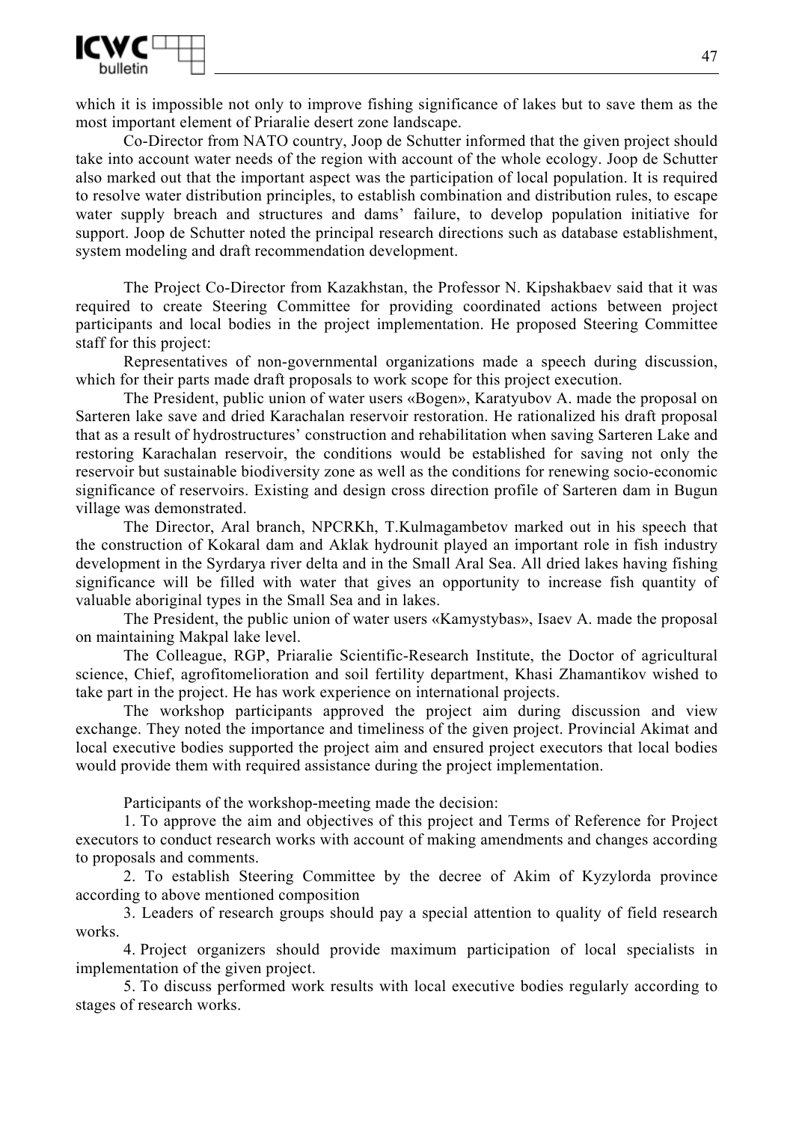

which it is impossible not only to improve fishing significance of lakes but to save them as the most important element of Priaralie desert zone landscape.

Co-Director from NATO country, Joop de Schutter informed that the given project should take into account water needs of the region with account of the whole ecology. Joop de Schutter also marked out that the important aspect was the participation of local population. It is required to resolve water distribution principles, to establish combination and distribution rules, to escape water supply breach and structures and dams' failure, to develop population initiative for support. Joop de Schutter noted the principal research directions such as database establishment, system modeling and draft recommendation development.

The Project Co-Director from Kazakhstan, the Professor N. Kipshakbaev said that it was required to create Steering Committee for providing coordinated actions between project participants and local bodies in the project implementation. He proposed Steering Committee staff for this project:

Representatives of non-governmental organizations made a speech during discussion, which for their parts made draft proposals to work scope for this project execution.

The President, public union of water users «Bogen», Karatyubov A. made the proposal on Sarteren lake save and dried Karachalan reservoir restoration. He rationalized his draft proposal that as a result of hydrostructures' construction and rehabilitation when saving Sarteren Lake and restoring Karachalan reservoir, the conditions would be established for saving not only the reservoir but sustainable biodiversity zone as well as the conditions for renewing socio-economic significance of reservoirs. Existing and design cross direction profile of Sarteren dam in Bugun village was demonstrated.

The Director, Aral branch, NPCRKh, T.Kulmagambetov marked out in his speech that the construction of Kokaral dam and Aklak hydrounit played an important role in fish industry development in the Syrdarya river delta and in the Small Aral Sea. All dried lakes having fishing significance will be filled with water that gives an opportunity to increase fish quantity of valuable aboriginal types in the Small Sea and in lakes.

The President, the public union of water users «Kamystybas», Isaev A. made the proposal on maintaining Makpal lake level.

The Colleague, RGP, Priaralie Scientific-Research Institute, the Doctor of agricultural science, Chief, agrofitomelioration and soil fertility department, Khasi Zhamantikov wished to take part in the project. He has work experience on international projects.

The workshop participants approved the project aim during discussion and view exchange. They noted the importance and timeliness of the given project. Provincial Akimat and local executive bodies supported the project aim and ensured project executors that local bodies would provide them with required assistance during the project implementation.

Participants of the workshop-meeting made the decision:

1. To approve the aim and objectives of this project and Terms of Reference for Project executors to conduct research works with account of making amendments and changes according to proposals and comments.

2. To establish Steering Committee by the decree of Akim of Kyzylorda province according to above mentioned composition

3. Leaders of research groups should pay a special attention to quality of field research works.

4. Project organizers should provide maximum participation of local specialists in implementation of the given project.

5. To discuss performed work results with local executive bodies regularly according to stages of research works.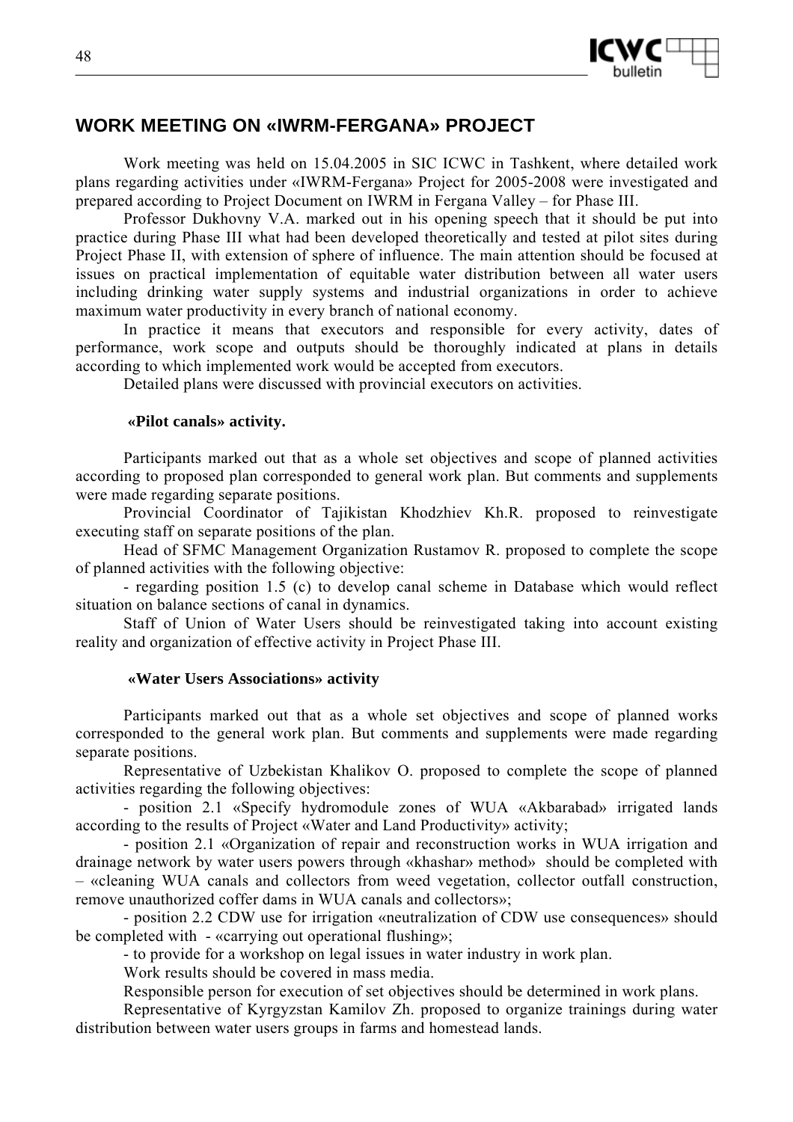

# **WORK MEETING ON «IWRM-FERGANA» PROJECT**

Work meeting was held on 15.04.2005 in SIC ICWC in Tashkent, where detailed work plans regarding activities under «IWRM-Fergana» Project for 2005-2008 were investigated and prepared according to Project Document on IWRM in Fergana Valley – for Phase III.

Professor Dukhovny V.A. marked out in his opening speech that it should be put into practice during Phase III what had been developed theoretically and tested at pilot sites during Project Phase II, with extension of sphere of influence. The main attention should be focused at issues on practical implementation of equitable water distribution between all water users including drinking water supply systems and industrial organizations in order to achieve maximum water productivity in every branch of national economy.

In practice it means that executors and responsible for every activity, dates of performance, work scope and outputs should be thoroughly indicated at plans in details according to which implemented work would be accepted from executors.

Detailed plans were discussed with provincial executors on activities.

### **«Pilot canals» activity.**

Participants marked out that as a whole set objectives and scope of planned activities according to proposed plan corresponded to general work plan. But comments and supplements were made regarding separate positions.

Provincial Coordinator of Tajikistan Khodzhiev Kh.R. proposed to reinvestigate executing staff on separate positions of the plan.

Head of SFMC Management Organization Rustamov R. proposed to complete the scope of planned activities with the following objective:

- regarding position 1.5 (с) to develop canal scheme in Database which would reflect situation on balance sections of canal in dynamics.

Staff of Union of Water Users should be reinvestigated taking into account existing reality and organization of effective activity in Project Phase III.

### **«Water Users Associations» activity**

Participants marked out that as a whole set objectives and scope of planned works corresponded to the general work plan. But comments and supplements were made regarding separate positions.

Representative of Uzbekistan Khalikov O. proposed to complete the scope of planned activities regarding the following objectives:

- position 2.1 «Specify hydromodule zones of WUA «Akbarabad» irrigated lands according to the results of Project «Water and Land Productivity» activity;

- position 2.1 «Organization of repair and reconstruction works in WUA irrigation and drainage network by water users powers through «khashar» method» should be completed with – «cleaning WUA canals and collectors from weed vegetation, collector outfall construction, remove unauthorized coffer dams in WUA canals and collectors»;

- position 2.2 CDW use for irrigation «neutralization of CDW use consequences» should be completed with - «carrying out operational flushing»;

- to provide for a workshop on legal issues in water industry in work plan.

Work results should be covered in mass media.

Responsible person for execution of set objectives should be determined in work plans.

Representative of Kyrgyzstan Kamilov Zh. proposed to organize trainings during water distribution between water users groups in farms and homestead lands.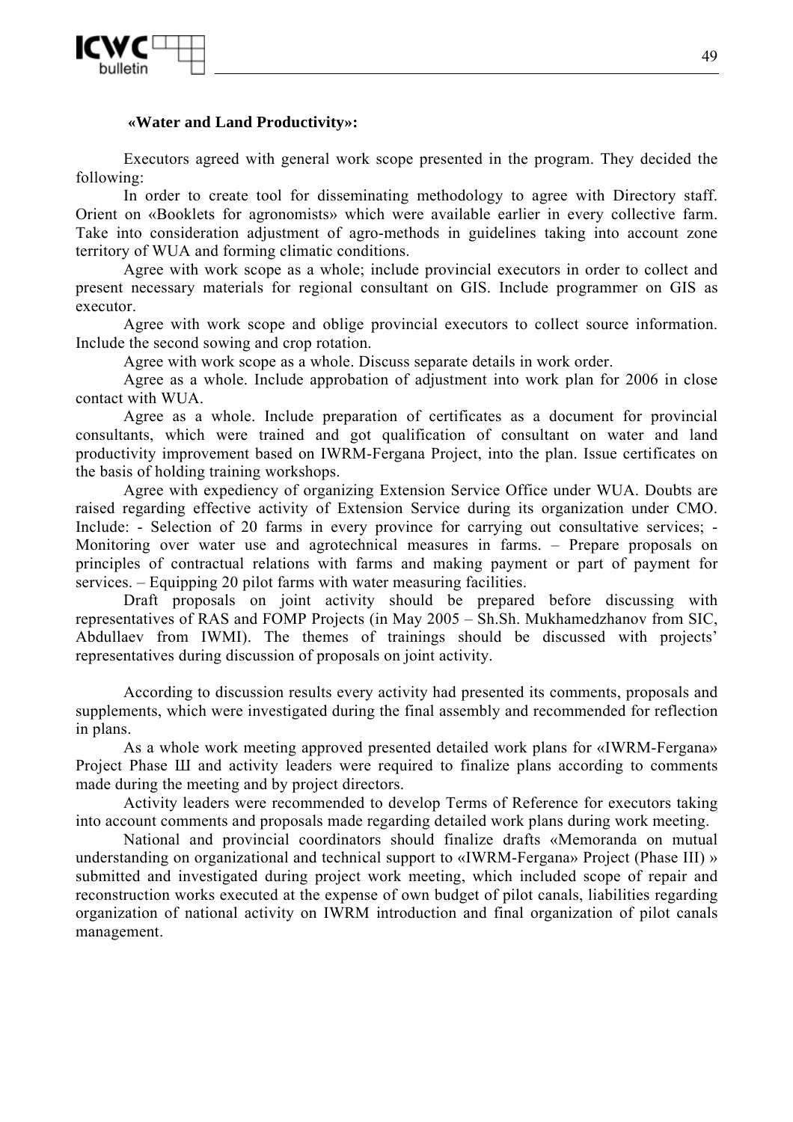

### **«Water and Land Productivity»:**

Executors agreed with general work scope presented in the program. They decided the following:

In order to create tool for disseminating methodology to agree with Directory staff. Orient on «Booklets for agronomists» which were available earlier in every collective farm. Take into consideration adjustment of agro-methods in guidelines taking into account zone territory of WUA and forming climatic conditions.

Agree with work scope as a whole; include provincial executors in order to collect and present necessary materials for regional consultant on GIS. Include programmer on GIS as executor.

Agree with work scope and oblige provincial executors to collect source information. Include the second sowing and crop rotation.

Agree with work scope as a whole. Discuss separate details in work order.

Agree as a whole. Include approbation of adjustment into work plan for 2006 in close contact with WUA.

Agree as a whole. Include preparation of certificates as a document for provincial consultants, which were trained and got qualification of consultant on water and land productivity improvement based on IWRM-Fergana Project, into the plan. Issue certificates on the basis of holding training workshops.

Agree with expediency of organizing Extension Service Office under WUA. Doubts are raised regarding effective activity of Extension Service during its organization under CMO. Include: - Selection of 20 farms in every province for carrying out consultative services; - Monitoring over water use and agrotechnical measures in farms. – Prepare proposals on principles of contractual relations with farms and making payment or part of payment for services. – Equipping 20 pilot farms with water measuring facilities.

Draft proposals on joint activity should be prepared before discussing with representatives of RAS and FOMP Projects (in May 2005 – Sh.Sh. Mukhamedzhanov from SIC, Abdullaev from IWMI). The themes of trainings should be discussed with projects' representatives during discussion of proposals on joint activity.

According to discussion results every activity had presented its comments, proposals and supplements, which were investigated during the final assembly and recommended for reflection in plans.

As a whole work meeting approved presented detailed work plans for «IWRM-Fergana» Project Phase Ш and activity leaders were required to finalize plans according to comments made during the meeting and by project directors.

Activity leaders were recommended to develop Terms of Reference for executors taking into account comments and proposals made regarding detailed work plans during work meeting.

National and provincial coordinators should finalize drafts «Memoranda on mutual understanding on organizational and technical support to «IWRM-Fergana» Project (Phase III) » submitted and investigated during project work meeting, which included scope of repair and reconstruction works executed at the expense of own budget of pilot canals, liabilities regarding organization of national activity on IWRM introduction and final organization of pilot canals management.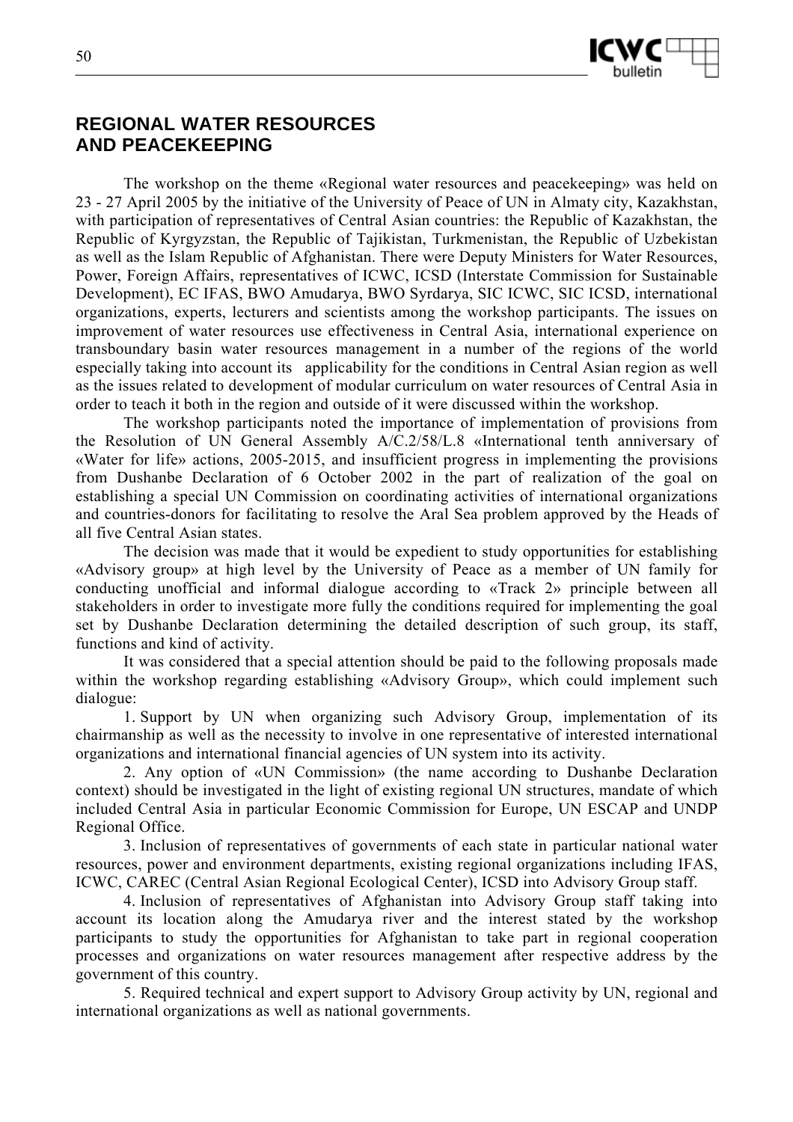

# **REGIONAL WATER RESOURCES AND PEACEKEEPING**

The workshop on the theme «Regional water resources and peacekeeping» was held on 23 - 27 April 2005 by the initiative of the University of Peace of UN in Almaty city, Kazakhstan, with participation of representatives of Central Asian countries: the Republic of Kazakhstan, the Republic of Kyrgyzstan, the Republic of Tajikistan, Turkmenistan, the Republic of Uzbekistan as well as the Islam Republic of Afghanistan. There were Deputy Ministers for Water Resources, Power, Foreign Affairs, representatives of ICWC, ICSD (Interstate Commission for Sustainable Development), EC IFAS, BWO Amudarya, BWO Syrdarya, SIC ICWC, SIC ICSD, international organizations, experts, lecturers and scientists among the workshop participants. The issues on improvement of water resources use effectiveness in Central Asia, international experience on transboundary basin water resources management in a number of the regions of the world especially taking into account its applicability for the conditions in Central Asian region as well as the issues related to development of modular curriculum on water resources of Central Asia in order to teach it both in the region and outside of it were discussed within the workshop.

The workshop participants noted the importance of implementation of provisions from the Resolution of UN General Assembly A/C.2/58/L.8 «International tenth anniversary of «Water for life» actions, 2005-2015, and insufficient progress in implementing the provisions from Dushanbe Declaration of 6 October 2002 in the part of realization of the goal on establishing a special UN Commission on coordinating activities of international organizations and countries-donors for facilitating to resolve the Aral Sea problem approved by the Heads of all five Central Asian states.

The decision was made that it would be expedient to study opportunities for establishing «Advisory group» at high level by the University of Peace as a member of UN family for conducting unofficial and informal dialogue according to «Track 2» principle between all stakeholders in order to investigate more fully the conditions required for implementing the goal set by Dushanbe Declaration determining the detailed description of such group, its staff, functions and kind of activity.

It was considered that a special attention should be paid to the following proposals made within the workshop regarding establishing «Advisory Group», which could implement such dialogue:

1. Support by UN when organizing such Advisory Group, implementation of its chairmanship as well as the necessity to involve in one representative of interested international organizations and international financial agencies of UN system into its activity.

2. Any option of «UN Commission» (the name according to Dushanbe Declaration context) should be investigated in the light of existing regional UN structures, mandate of which included Central Asia in particular Economic Commission for Europe, UN ESCAP and UNDP Regional Office.

3. Inclusion of representatives of governments of each state in particular national water resources, power and environment departments, existing regional organizations including IFAS, ICWC, CAREC (Central Asian Regional Ecological Center), ICSD into Advisory Group staff.

4. Inclusion of representatives of Afghanistan into Advisory Group staff taking into account its location along the Amudarya river and the interest stated by the workshop participants to study the opportunities for Afghanistan to take part in regional cooperation processes and organizations on water resources management after respective address by the government of this country.

5. Required technical and expert support to Advisory Group activity by UN, regional and international organizations as well as national governments.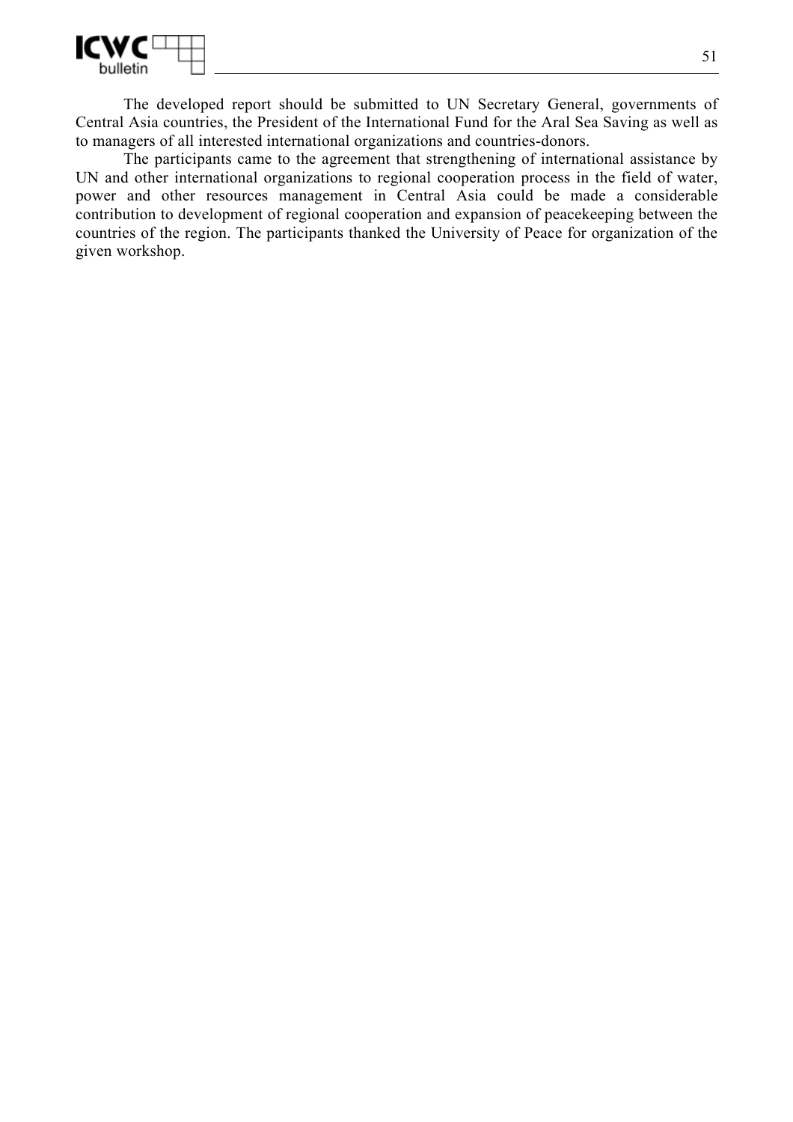

The developed report should be submitted to UN Secretary General, governments of Central Asia countries, the President of the International Fund for the Aral Sea Saving as well as to managers of all interested international organizations and countries-donors.

The participants came to the agreement that strengthening of international assistance by UN and other international organizations to regional cooperation process in the field of water, power and other resources management in Central Asia could be made a considerable contribution to development of regional cooperation and expansion of peacekeeping between the countries of the region. The participants thanked the University of Peace for organization of the given workshop.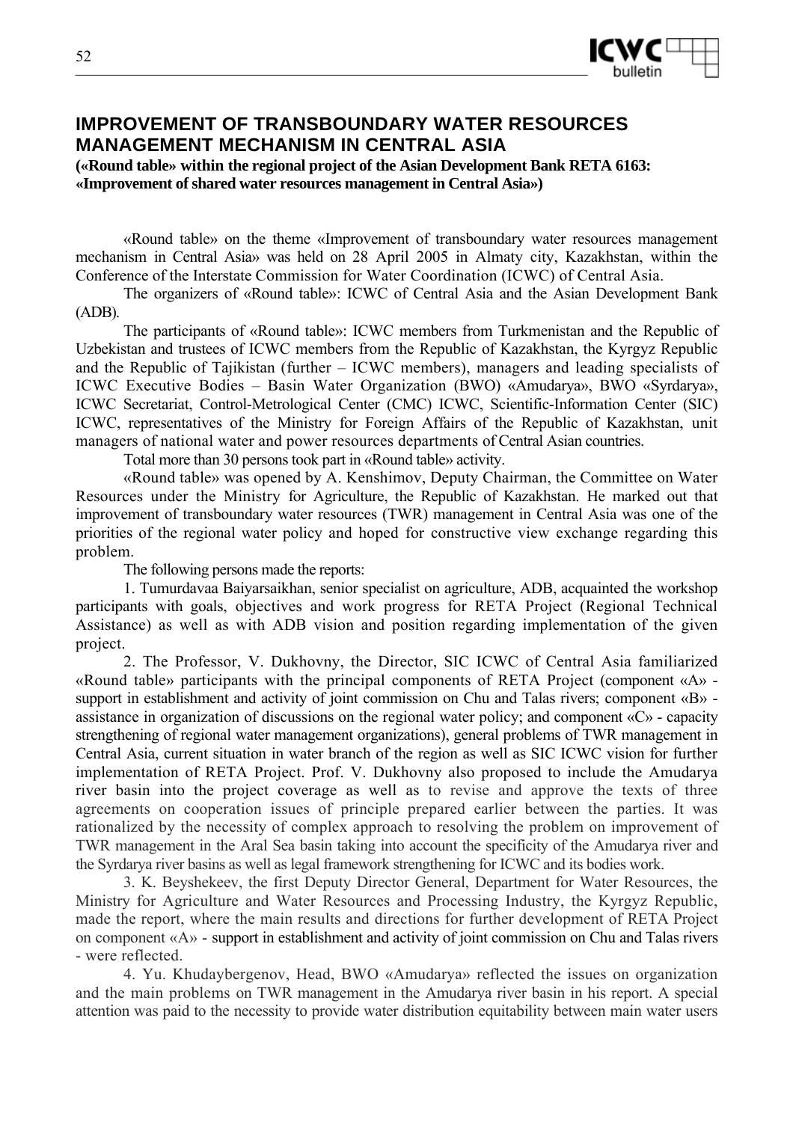

# **IMPROVEMENT OF TRANSBOUNDARY WATER RESOURCES MANAGEMENT MECHANISM IN CENTRAL ASIA**

**(«Round table» within the regional project of the Asian Development Bank RETA 6163: «Improvement of shared water resources management in Central Asia»)** 

«Round table» on the theme «Improvement of transboundary water resources management mechanism in Central Asia» was held on 28 April 2005 in Almaty city, Kazakhstan, within the Conference of the Interstate Commission for Water Coordination (ICWC) of Central Asia.

The organizers of «Round table»: ICWC of Central Asia and the Asian Development Bank (ADB).

The participants of «Round table»: ICWC members from Turkmenistan and the Republic of Uzbekistan and trustees of ICWC members from the Republic of Kazakhstan, the Kyrgyz Republic and the Republic of Tajikistan (further – ICWC members), managers and leading specialists of ICWC Executive Bodies – Basin Water Organization (BWO) «Amudarya», BWO «Syrdarya», ICWC Secretariat, Control-Metrological Center (CMC) ICWC, Scientific-Information Center (SIC) ICWC, representatives of the Ministry for Foreign Affairs of the Republic of Kazakhstan, unit managers of national water and power resources departments of Central Asian countries.

Total more than 30 persons took part in «Round table» activity.

«Round table» was opened by A. Kenshimov, Deputy Chairman, the Committee on Water Resources under the Ministry for Agriculture, the Republic of Kazakhstan. He marked out that improvement of transboundary water resources (TWR) management in Central Asia was one of the priorities of the regional water policy and hoped for constructive view exchange regarding this problem.

The following persons made the reports:

1. Tumurdavaa Baiyarsaikhan, senior specialist on agriculture, ADB, acquainted the workshop participants with goals, objectives and work progress for RETA Project (Regional Technical Assistance) as well as with ADB vision and position regarding implementation of the given project.

2. The Professor, V. Dukhovny, the Director, SIC ICWC of Central Asia familiarized «Round table» participants with the principal components of RETA Project (component «А» support in establishment and activity of joint commission on Chu and Talas rivers; component «B» assistance in organization of discussions on the regional water policy; and component «C» - capacity strengthening of regional water management organizations), general problems of TWR management in Central Asia, current situation in water branch of the region as well as SIC ICWC vision for further implementation of RETA Project. Prof. V. Dukhovny also proposed to include the Amudarya river basin into the project coverage as well as to revise and approve the texts of three agreements on cooperation issues of principle prepared earlier between the parties. It was rationalized by the necessity of complex approach to resolving the problem on improvement of TWR management in the Aral Sea basin taking into account the specificity of the Amudarya river and the Syrdarya river basins as well as legal framework strengthening for ICWC and its bodies work.

3. K. Beyshekeev, the first Deputy Director General, Department for Water Resources, the Ministry for Agriculture and Water Resources and Processing Industry, the Kyrgyz Republic, made the report, where the main results and directions for further development of RETA Project on component «A» - support in establishment and activity of joint commission on Chu and Talas rivers - were reflected.

4. Yu. Khudaybergenov, Head, BWO «Amudarya» reflected the issues on organization and the main problems on TWR management in the Amudarya river basin in his report. A special attention was paid to the necessity to provide water distribution equitability between main water users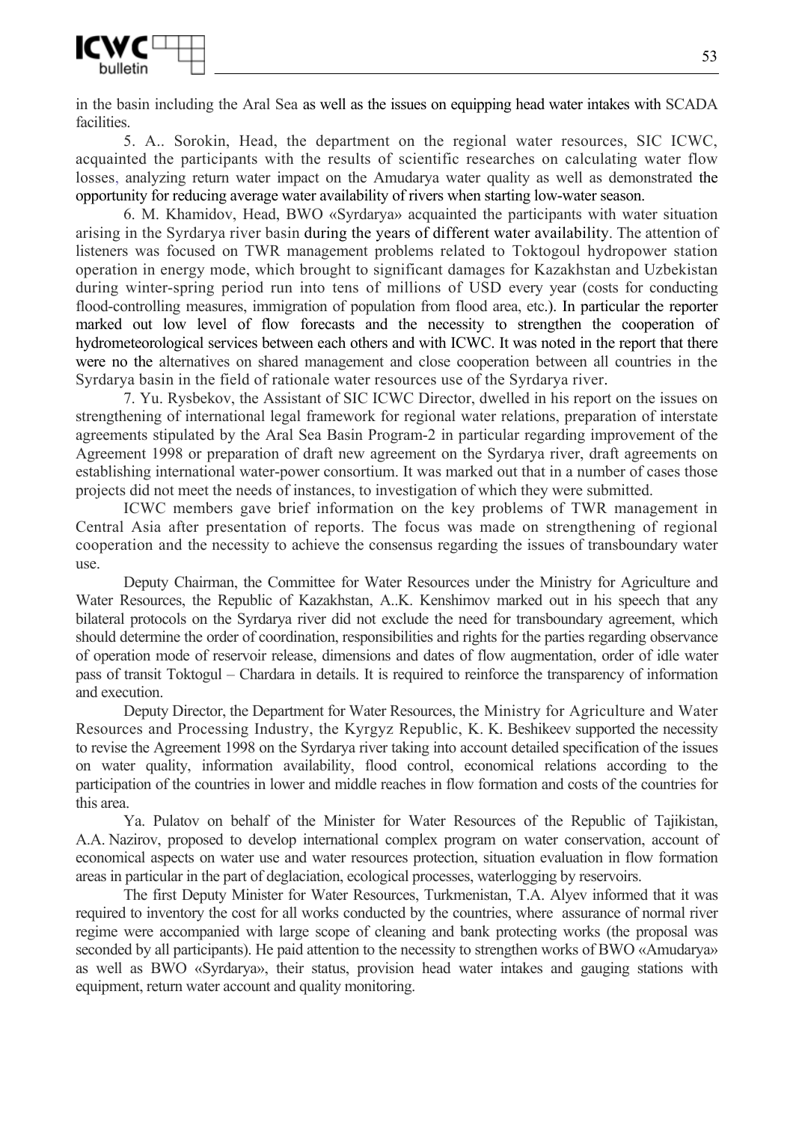

in the basin including the Aral Sea as well as the issues on equipping head water intakes with SCADA facilities.

5. A.. Sorokin, Head, the department on the regional water resources, SIC ICWC, acquainted the participants with the results of scientific researches on calculating water flow losses, analyzing return water impact on the Amudarya water quality as well as demonstrated the opportunity for reducing average water availability of rivers when starting low-water season.

6. M. Khamidov, Head, BWO «Syrdarya» acquainted the participants with water situation arising in the Syrdarya river basin during the years of different water availability. The attention of listeners was focused on TWR management problems related to Toktogoul hydropower station operation in energy mode, which brought to significant damages for Kazakhstan and Uzbekistan during winter-spring period run into tens of millions of USD every year (costs for conducting flood-controlling measures, immigration of population from flood area, etc.). In particular the reporter marked out low level of flow forecasts and the necessity to strengthen the cooperation of hydrometeorological services between each others and with ICWC. It was noted in the report that there were no the alternatives on shared management and close cooperation between all countries in the Syrdarya basin in the field of rationale water resources use of the Syrdarya river.

7. Yu. Rysbekov, the Assistant of SIC ICWC Director, dwelled in his report on the issues on strengthening of international legal framework for regional water relations, preparation of interstate agreements stipulated by the Aral Sea Basin Program-2 in particular regarding improvement of the Agreement 1998 or preparation of draft new agreement on the Syrdarya river, draft agreements on establishing international water-power consortium. It was marked out that in a number of cases those projects did not meet the needs of instances, to investigation of which they were submitted.

ICWC members gave brief information on the key problems of TWR management in Central Asia after presentation of reports. The focus was made on strengthening of regional cooperation and the necessity to achieve the consensus regarding the issues of transboundary water use.

Deputy Chairman, the Committee for Water Resources under the Ministry for Agriculture and Water Resources, the Republic of Kazakhstan, A..K. Kenshimov marked out in his speech that any bilateral protocols on the Syrdarya river did not exclude the need for transboundary agreement, which should determine the order of coordination, responsibilities and rights for the parties regarding observance of operation mode of reservoir release, dimensions and dates of flow augmentation, order of idle water pass of transit Toktogul – Chardara in details. It is required to reinforce the transparency of information and execution.

Deputy Director, the Department for Water Resources, the Ministry for Agriculture and Water Resources and Processing Industry, the Kyrgyz Republic, K. K. Beshikeev supported the necessity to revise the Agreement 1998 on the Syrdarya river taking into account detailed specification of the issues on water quality, information availability, flood control, economical relations according to the participation of the countries in lower and middle reaches in flow formation and costs of the countries for this area.

Ya. Pulatov on behalf of the Minister for Water Resources of the Republic of Tajikistan, A.A. Nazirov, proposed to develop international complex program on water conservation, account of economical aspects on water use and water resources protection, situation evaluation in flow formation areas in particular in the part of deglaciation, ecological processes, waterlogging by reservoirs.

The first Deputy Minister for Water Resources, Turkmenistan, T.A. Alyev informed that it was required to inventory the cost for all works conducted by the countries, where assurance of normal river regime were accompanied with large scope of cleaning and bank protecting works (the proposal was seconded by all participants). He paid attention to the necessity to strengthen works of BWO «Amudarya» as well as BWO «Syrdarya», their status, provision head water intakes and gauging stations with equipment, return water account and quality monitoring.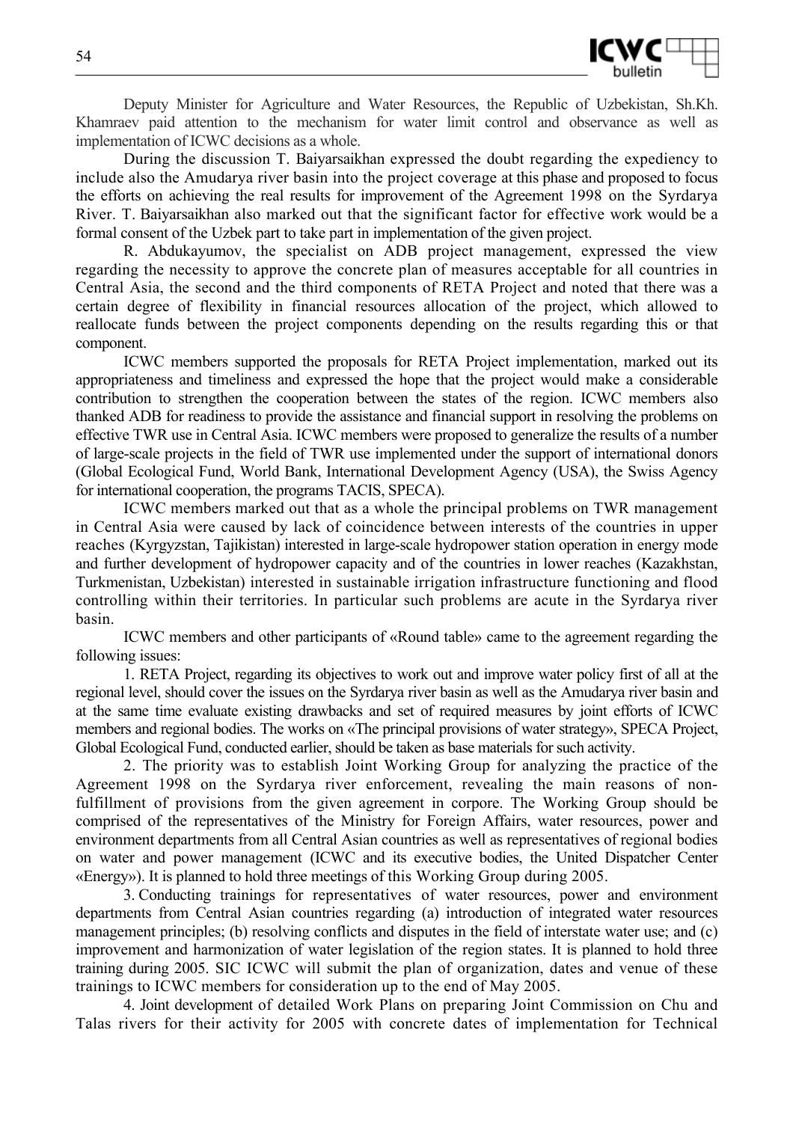

Deputy Minister for Agriculture and Water Resources, the Republic of Uzbekistan, Sh.Kh. Khamraev paid attention to the mechanism for water limit control and observance as well as implementation of ICWC decisions as a whole.

During the discussion T. Baiyarsaikhan expressed the doubt regarding the expediency to include also the Amudarya river basin into the project coverage at this phase and proposed to focus the efforts on achieving the real results for improvement of the Agreement 1998 on the Syrdarya River. T. Baiyarsaikhan also marked out that the significant factor for effective work would be a formal consent of the Uzbek part to take part in implementation of the given project.

R. Abdukayumov, the specialist on ADB project management, expressed the view regarding the necessity to approve the concrete plan of measures acceptable for all countries in Central Asia, the second and the third components of RETA Project and noted that there was a certain degree of flexibility in financial resources allocation of the project, which allowed to reallocate funds between the project components depending on the results regarding this or that component.

ICWC members supported the proposals for RETA Project implementation, marked out its appropriateness and timeliness and expressed the hope that the project would make a considerable contribution to strengthen the cooperation between the states of the region. ICWC members also thanked ADB for readiness to provide the assistance and financial support in resolving the problems on effective TWR use in Central Asia. ICWC members were proposed to generalize the results of a number of large-scale projects in the field of TWR use implemented under the support of international donors (Global Ecological Fund, World Bank, International Development Agency (USA), the Swiss Agency for international cooperation, the programs TACIS, SPECA).

ICWC members marked out that as a whole the principal problems on TWR management in Central Asia were caused by lack of coincidence between interests of the countries in upper reaches (Kyrgyzstan, Tajikistan) interested in large-scale hydropower station operation in energy mode and further development of hydropower capacity and of the countries in lower reaches (Kazakhstan, Turkmenistan, Uzbekistan) interested in sustainable irrigation infrastructure functioning and flood controlling within their territories. In particular such problems are acute in the Syrdarya river basin.

ICWC members and other participants of «Round table» came to the agreement regarding the following issues:

1. RETA Project, regarding its objectives to work out and improve water policy first of all at the regional level, should cover the issues on the Syrdarya river basin as well as the Amudarya river basin and at the same time evaluate existing drawbacks and set of required measures by joint efforts of ICWC members and regional bodies. The works on «The principal provisions of water strategy», SPECA Project, Global Ecological Fund, conducted earlier, should be taken as base materials for such activity.

2. The priority was to establish Joint Working Group for analyzing the practice of the Agreement 1998 on the Syrdarya river enforcement, revealing the main reasons of nonfulfillment of provisions from the given agreement in corpore. The Working Group should be comprised of the representatives of the Ministry for Foreign Affairs, water resources, power and environment departments from all Central Asian countries as well as representatives of regional bodies on water and power management (ICWC and its executive bodies, the United Dispatcher Center «Energy»). It is planned to hold three meetings of this Working Group during 2005.

3. Conducting trainings for representatives of water resources, power and environment departments from Central Asian countries regarding (а) introduction of integrated water resources management principles; (b) resolving conflicts and disputes in the field of interstate water use; and (c) improvement and harmonization of water legislation of the region states. It is planned to hold three training during 2005. SIC ICWC will submit the plan of organization, dates and venue of these trainings to ICWC members for consideration up to the end of May 2005.

4. Joint development of detailed Work Plans on preparing Joint Commission on Chu and Talas rivers for their activity for 2005 with concrete dates of implementation for Technical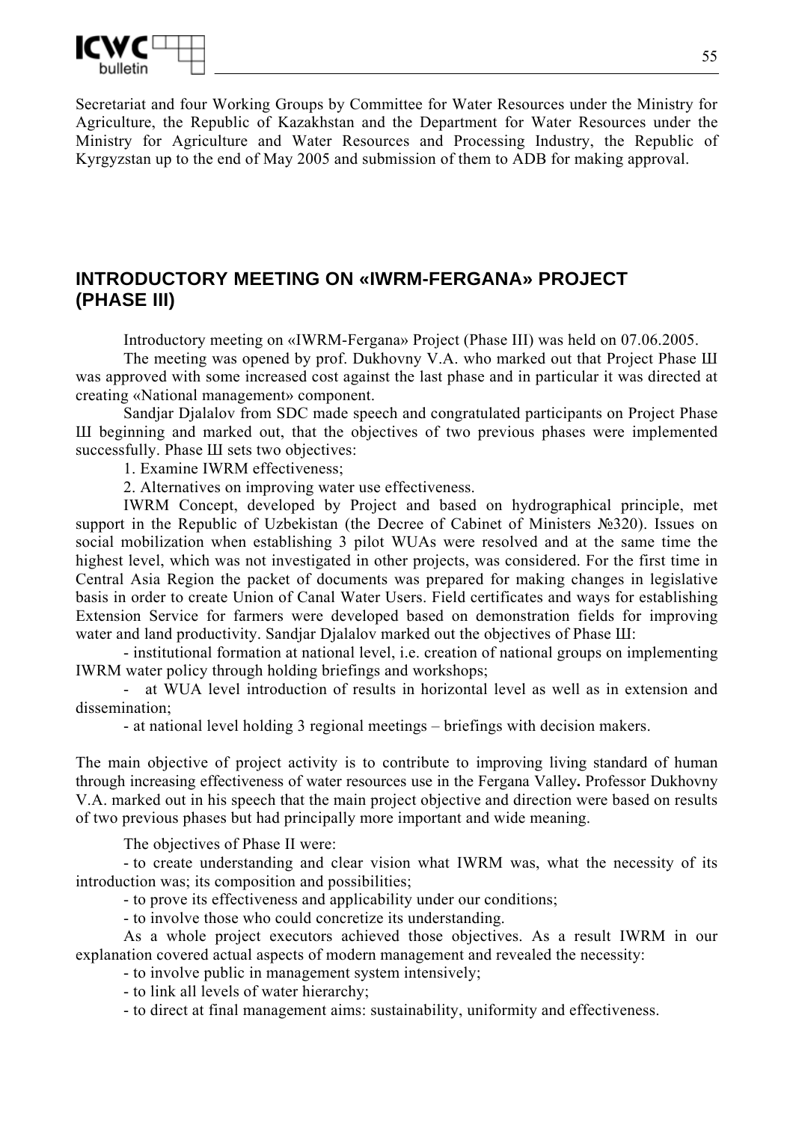

Secretariat and four Working Groups by Committee for Water Resources under the Ministry for Agriculture, the Republic of Kazakhstan and the Department for Water Resources under the Ministry for Agriculture and Water Resources and Processing Industry, the Republic of Kyrgyzstan up to the end of May 2005 and submission of them to ADB for making approval.

# **INTRODUCTORY MEETING ON «IWRM-FERGANA» PROJECT (PHASE III)**

Introductory meeting on «IWRM-Fergana» Project (Phase III) was held on 07.06.2005.

The meeting was opened by prof. Dukhovny V.A. who marked out that Project Phase III was approved with some increased cost against the last phase and in particular it was directed at creating «National management» component.

Sandjar Djalalov from SDC made speech and congratulated participants on Project Phase Ш beginning and marked out, that the objectives of two previous phases were implemented successfully. Phase Ш sets two objectives:

1. Examine IWRM effectiveness;

2. Alternatives on improving water use effectiveness.

IWRM Concept, developed by Project and based on hydrographical principle, met support in the Republic of Uzbekistan (the Decree of Cabinet of Ministers №320). Issues on social mobilization when establishing 3 pilot WUAs were resolved and at the same time the highest level, which was not investigated in other projects, was considered. For the first time in Central Asia Region the packet of documents was prepared for making changes in legislative basis in order to create Union of Canal Water Users. Field certificates and ways for establishing Extension Service for farmers were developed based on demonstration fields for improving water and land productivity. Sandjar Djalalov marked out the objectives of Phase III:

- institutional formation at national level, i.e. creation of national groups on implementing IWRM water policy through holding briefings and workshops;

- at WUA level introduction of results in horizontal level as well as in extension and dissemination;

- at national level holding 3 regional meetings – briefings with decision makers.

The main objective of project activity is to contribute to improving living standard of human through increasing effectiveness of water resources use in the Fergana Valley**.** Professor Dukhovny V.A. marked out in his speech that the main project objective and direction were based on results of two previous phases but had principally more important and wide meaning.

The objectives of Phase II were:

- to create understanding and clear vision what IWRM was, what the necessity of its introduction was; its composition and possibilities;

- to prove its effectiveness and applicability under our conditions;

- to involve those who could concretize its understanding.

As a whole project executors achieved those objectives. As a result IWRM in our explanation covered actual aspects of modern management and revealed the necessity:

- to involve public in management system intensively;

- to link all levels of water hierarchy;

- to direct at final management aims: sustainability, uniformity and effectiveness.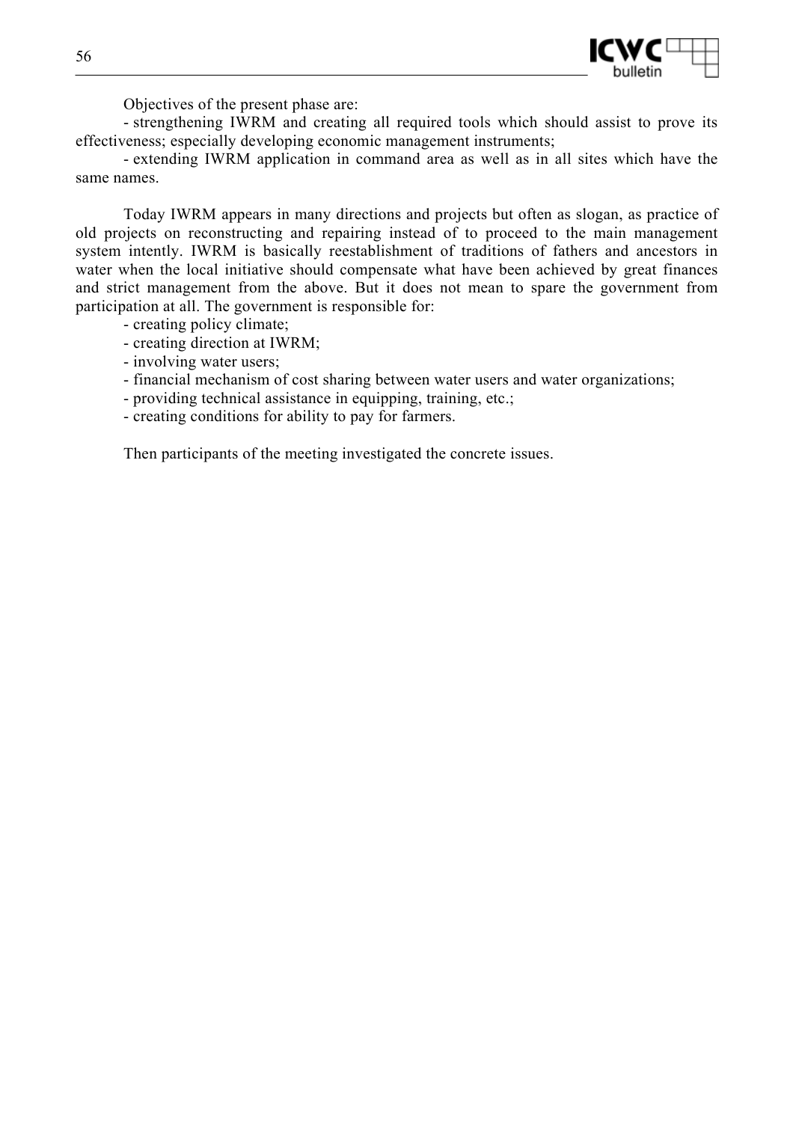

Objectives of the present phase are:

- strengthening IWRM and creating all required tools which should assist to prove its effectiveness; especially developing economic management instruments;

- extending IWRM application in command area as well as in all sites which have the same names.

Today IWRM appears in many directions and projects but often as slogan, as practice of old projects on reconstructing and repairing instead of to proceed to the main management system intently. IWRM is basically reestablishment of traditions of fathers and ancestors in water when the local initiative should compensate what have been achieved by great finances and strict management from the above. But it does not mean to spare the government from participation at all. The government is responsible for:

- creating policy climate;

- creating direction at IWRM;
- involving water users;
- financial mechanism of cost sharing between water users and water organizations;
- providing technical assistance in equipping, training, etc.;
- creating conditions for ability to pay for farmers.

Then participants of the meeting investigated the concrete issues.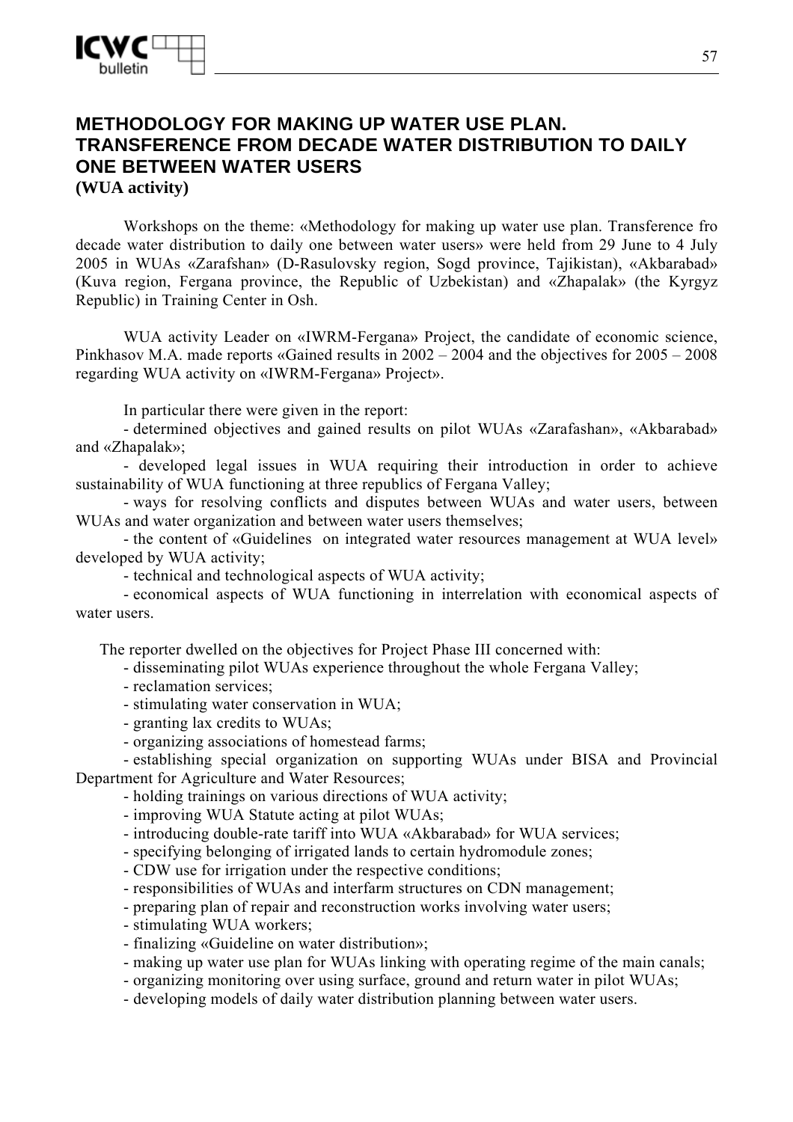# **METHODOLOGY FOR MAKING UP WATER USE PLAN. TRANSFERENCE FROM DECADE WATER DISTRIBUTION TO DAILY ONE BETWEEN WATER USERS (WUA activity)**

Workshops on the theme: «Methodology for making up water use plan. Transference fro decade water distribution to daily one between water users» were held from 29 June to 4 July 2005 in WUAs «Zarafshan» (D-Rasulovsky region, Sogd province, Tajikistan), «Akbarabad» (Kuva region, Fergana province, the Republic of Uzbekistan) and «Zhapalak» (the Kyrgyz Republic) in Training Center in Osh.

WUA activity Leader on «IWRM-Fergana» Project, the candidate of economic science, Pinkhasov M.A. made reports «Gained results in 2002 – 2004 and the objectives for 2005 – 2008 regarding WUA activity on «IWRM-Fergana» Project».

In particular there were given in the report:

- determined objectives and gained results on pilot WUAs «Zarafashan», «Akbarabad» and «Zhapalak»;

- developed legal issues in WUA requiring their introduction in order to achieve sustainability of WUA functioning at three republics of Fergana Valley;

- ways for resolving conflicts and disputes between WUAs and water users, between WUAs and water organization and between water users themselves;

- the content of «Guidelines on integrated water resources management at WUA level» developed by WUA activity;

- technical and technological aspects of WUA activity;

- economical aspects of WUA functioning in interrelation with economical aspects of water users.

The reporter dwelled on the objectives for Project Phase III concerned with:

- disseminating pilot WUAs experience throughout the whole Fergana Valley;

- reclamation services;

- stimulating water conservation in WUA;

- granting lax credits to WUAs;

- organizing associations of homestead farms;

- establishing special organization on supporting WUAs under BISA and Provincial Department for Agriculture and Water Resources;

- holding trainings on various directions of WUA activity;

- improving WUA Statute acting at pilot WUAs;

- introducing double-rate tariff into WUA «Akbarabad» for WUA services;

- specifying belonging of irrigated lands to certain hydromodule zones;

- CDW use for irrigation under the respective conditions;

- responsibilities of WUAs and interfarm structures on CDN management;

- preparing plan of repair and reconstruction works involving water users;

- stimulating WUA workers;

- finalizing «Guideline on water distribution»;

- making up water use plan for WUAs linking with operating regime of the main canals;

- organizing monitoring over using surface, ground and return water in pilot WUAs;

- developing models of daily water distribution planning between water users.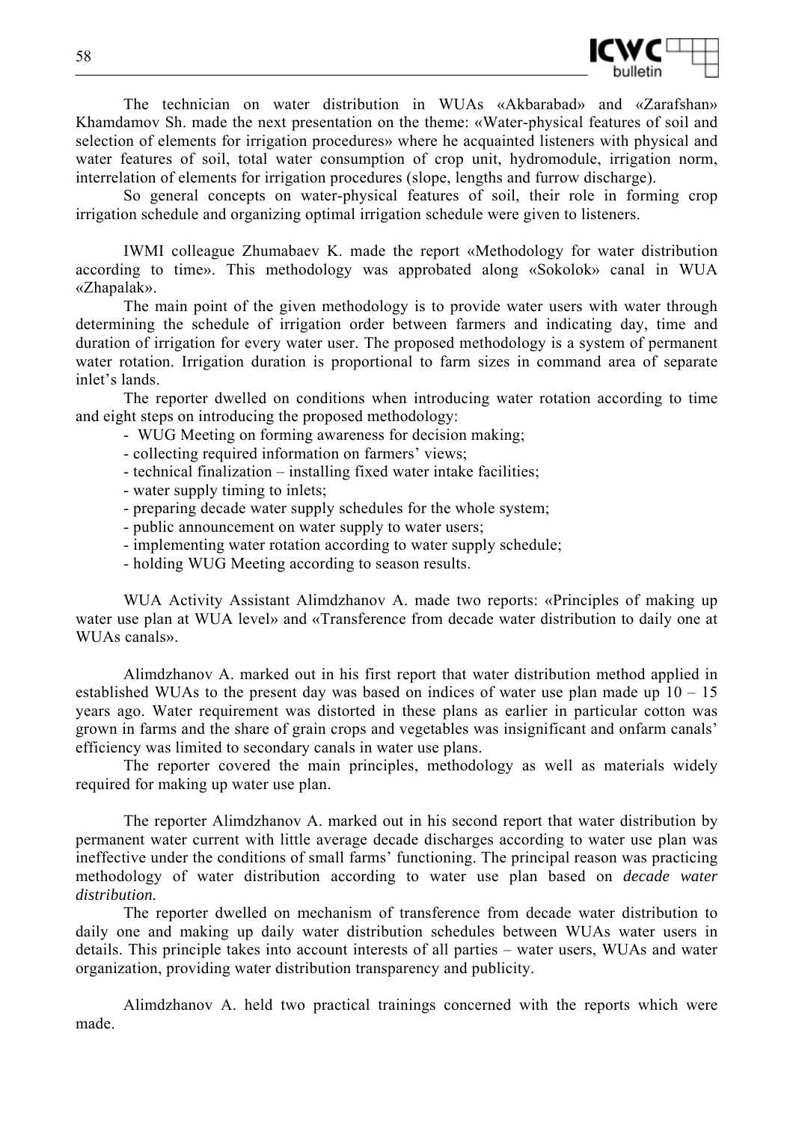

The technician on water distribution in WUAs «Akbarabad» and «Zarafshan» Khamdamov Sh. made the next presentation on the theme: «Water-physical features of soil and selection of elements for irrigation procedures» where he acquainted listeners with physical and water features of soil, total water consumption of crop unit, hydromodule, irrigation norm, interrelation of elements for irrigation procedures (slope, lengths and furrow discharge).

So general concepts on water-physical features of soil, their role in forming crop irrigation schedule and organizing optimal irrigation schedule were given to listeners.

IWMI colleague Zhumabaev K. made the report «Methodology for water distribution according to time». This methodology was approbated along «Sokolok» canal in WUA «Zhapalak».

The main point of the given methodology is to provide water users with water through determining the schedule of irrigation order between farmers and indicating day, time and duration of irrigation for every water user. The proposed methodology is a system of permanent water rotation. Irrigation duration is proportional to farm sizes in command area of separate inlet's lands.

The reporter dwelled on conditions when introducing water rotation according to time and eight steps on introducing the proposed methodology:

- WUG Meeting on forming awareness for decision making;
- collecting required information on farmers' views;
- technical finalization installing fixed water intake facilities;
- water supply timing to inlets;
- preparing decade water supply schedules for the whole system;
- public announcement on water supply to water users;
- implementing water rotation according to water supply schedule;
- holding WUG Meeting according to season results.

WUA Activity Assistant Alimdzhanov A. made two reports: «Principles of making up water use plan at WUA level» and «Transference from decade water distribution to daily one at WUAs canals».

Alimdzhanov A. marked out in his first report that water distribution method applied in established WUAs to the present day was based on indices of water use plan made up  $10 - 15$ years ago. Water requirement was distorted in these plans as earlier in particular cotton was grown in farms and the share of grain crops and vegetables was insignificant and onfarm canals' efficiency was limited to secondary canals in water use plans.

The reporter covered the main principles, methodology as well as materials widely required for making up water use plan.

The reporter Alimdzhanov A. marked out in his second report that water distribution by permanent water current with little average decade discharges according to water use plan was ineffective under the conditions of small farms' functioning. The principal reason was practicing methodology of water distribution according to water use plan based on *decade water distribution.* 

The reporter dwelled on mechanism of transference from decade water distribution to daily one and making up daily water distribution schedules between WUAs water users in details. This principle takes into account interests of all parties – water users, WUAs and water organization, providing water distribution transparency and publicity.

Alimdzhanov A. held two practical trainings concerned with the reports which were made.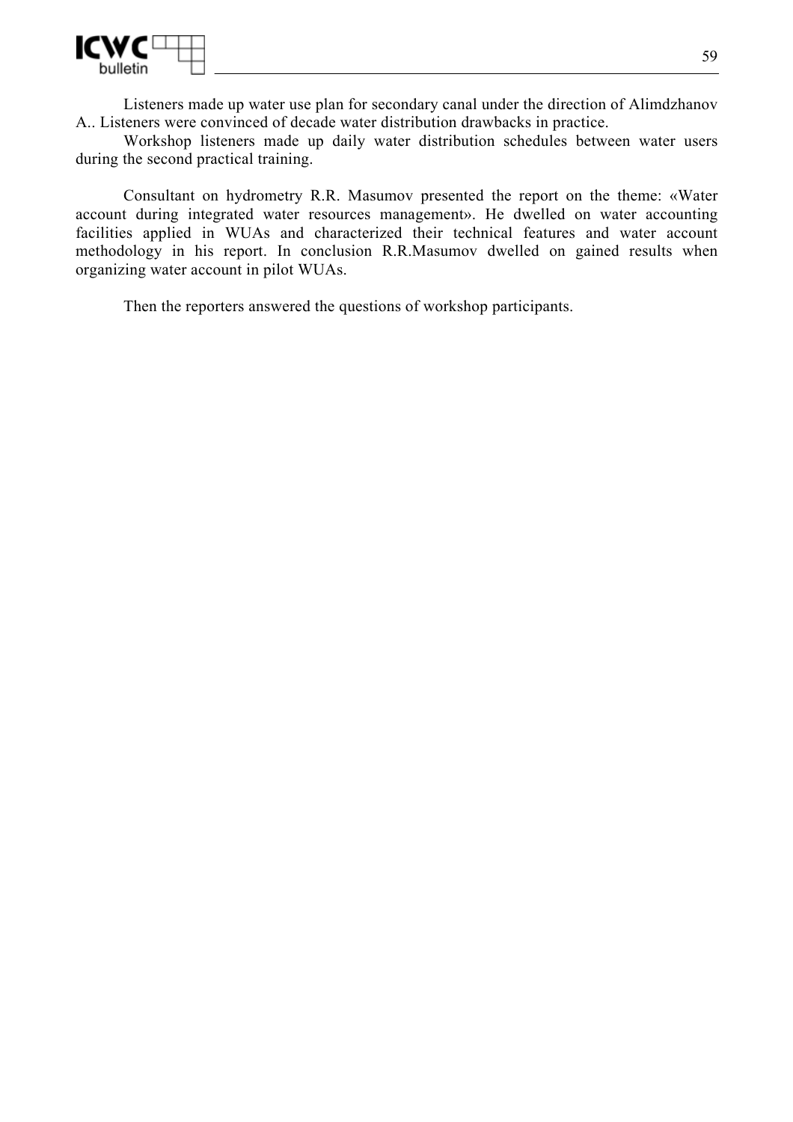

Listeners made up water use plan for secondary canal under the direction of Alimdzhanov A.. Listeners were convinced of decade water distribution drawbacks in practice.

Workshop listeners made up daily water distribution schedules between water users during the second practical training.

Consultant on hydrometry R.R. Masumov presented the report on the theme: «Water account during integrated water resources management». He dwelled on water accounting facilities applied in WUAs and characterized their technical features and water account methodology in his report. In conclusion R.R.Masumov dwelled on gained results when organizing water account in pilot WUAs.

Then the reporters answered the questions of workshop participants.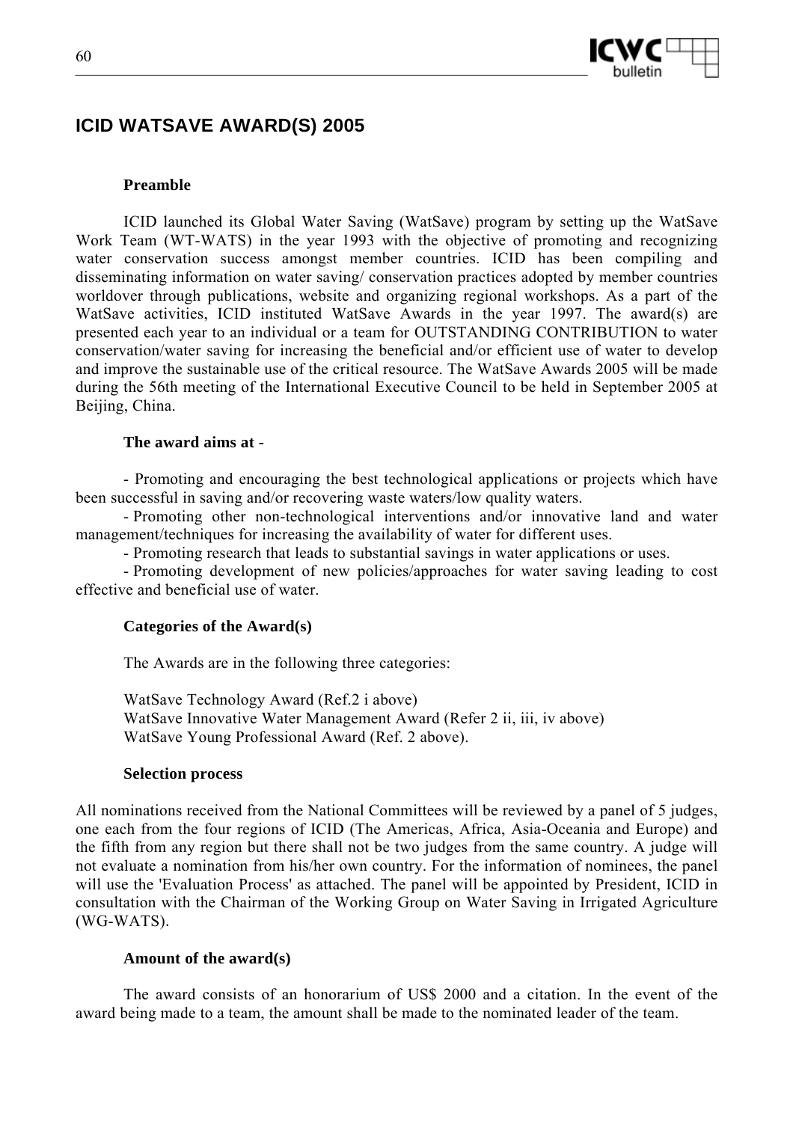



# **ICID WATSAVE AWARD(S) 2005**

### **Preamble**

ICID launched its Global Water Saving (WatSave) program by setting up the WatSave Work Team (WT-WATS) in the year 1993 with the objective of promoting and recognizing water conservation success amongst member countries. ICID has been compiling and disseminating information on water saving/ conservation practices adopted by member countries worldover through publications, website and organizing regional workshops. As a part of the WatSave activities, ICID instituted WatSave Awards in the year 1997. The award(s) are presented each year to an individual or a team for OUTSTANDING CONTRIBUTION to water conservation/water saving for increasing the beneficial and/or efficient use of water to develop and improve the sustainable use of the critical resource. The WatSave Awards 2005 will be made during the 56th meeting of the International Executive Council to be held in September 2005 at Beijing, China.

### **The award aims at -**

- Promoting and encouraging the best technological applications or projects which have been successful in saving and/or recovering waste waters/low quality waters.

- Promoting other non-technological interventions and/or innovative land and water management/techniques for increasing the availability of water for different uses.

- Promoting research that leads to substantial savings in water applications or uses.

- Promoting development of new policies/approaches for water saving leading to cost effective and beneficial use of water.

### **Categories of the Award(s)**

The Awards are in the following three categories:

WatSave Technology Award (Ref.2 i above) WatSave Innovative Water Management Award (Refer 2 ii, iii, iv above) WatSave Young Professional Award (Ref. 2 above).

#### **Selection process**

All nominations received from the National Committees will be reviewed by a panel of 5 judges, one each from the four regions of ICID (The Americas, Africa, Asia-Oceania and Europe) and the fifth from any region but there shall not be two judges from the same country. A judge will not evaluate a nomination from his/her own country. For the information of nominees, the panel will use the 'Evaluation Process' as attached. The panel will be appointed by President, ICID in consultation with the Chairman of the Working Group on Water Saving in Irrigated Agriculture (WG-WATS).

#### **Amount of the award(s)**

The award consists of an honorarium of US\$ 2000 and a citation. In the event of the award being made to a team, the amount shall be made to the nominated leader of the team.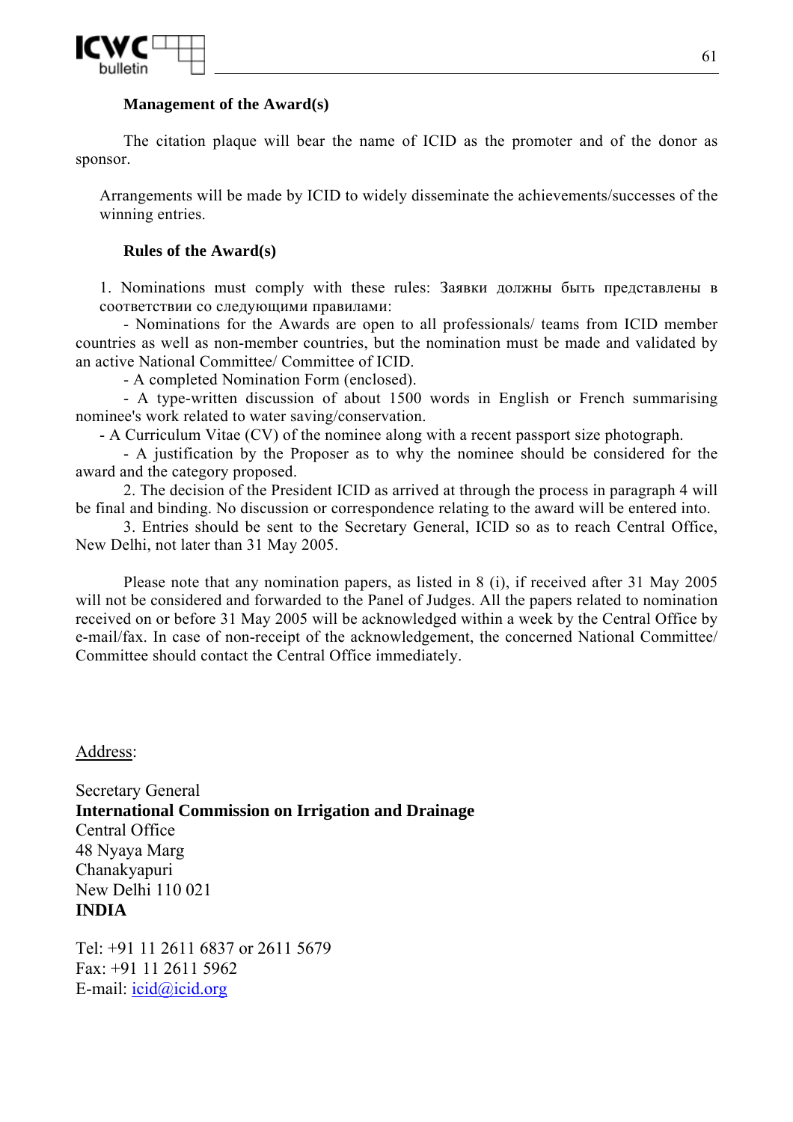

# **Management of the Award(s)**

The citation plaque will bear the name of ICID as the promoter and of the donor as sponsor.

Arrangements will be made by ICID to widely disseminate the achievements/successes of the winning entries.

# **Rules of the Award(s)**

1. Nominations must comply with these rules: Заявки должны быть представлены в соответствии со следующими правилами:

- Nominations for the Awards are open to all professionals/ teams from ICID member countries as well as non-member countries, but the nomination must be made and validated by an active National Committee/ Committee of ICID.

- A completed Nomination Form (enclosed).

- A type-written discussion of about 1500 words in English or French summarising nominee's work related to water saving/conservation.

- A Curriculum Vitae (CV) of the nominee along with a recent passport size photograph.

- A justification by the Proposer as to why the nominee should be considered for the award and the category proposed.

2. The decision of the President ICID as arrived at through the process in paragraph 4 will be final and binding. No discussion or correspondence relating to the award will be entered into.

3. Entries should be sent to the Secretary General, ICID so as to reach Central Office, New Delhi, not later than 31 May 2005.

Please note that any nomination papers, as listed in 8 (i), if received after 31 May 2005 will not be considered and forwarded to the Panel of Judges. All the papers related to nomination received on or before 31 May 2005 will be acknowledged within a week by the Central Office by e-mail/fax. In case of non-receipt of the acknowledgement, the concerned National Committee/ Committee should contact the Central Office immediately.

# Address:

Secretary General **International Commission on Irrigation and Drainage** Central Office 48 Nyaya Marg Chanakyapuri New Delhi 110 021 **INDIA**

Tel: +91 11 2611 6837 or 2611 5679 Fax: +91 11 2611 5962 E-mail: icid@icid.org